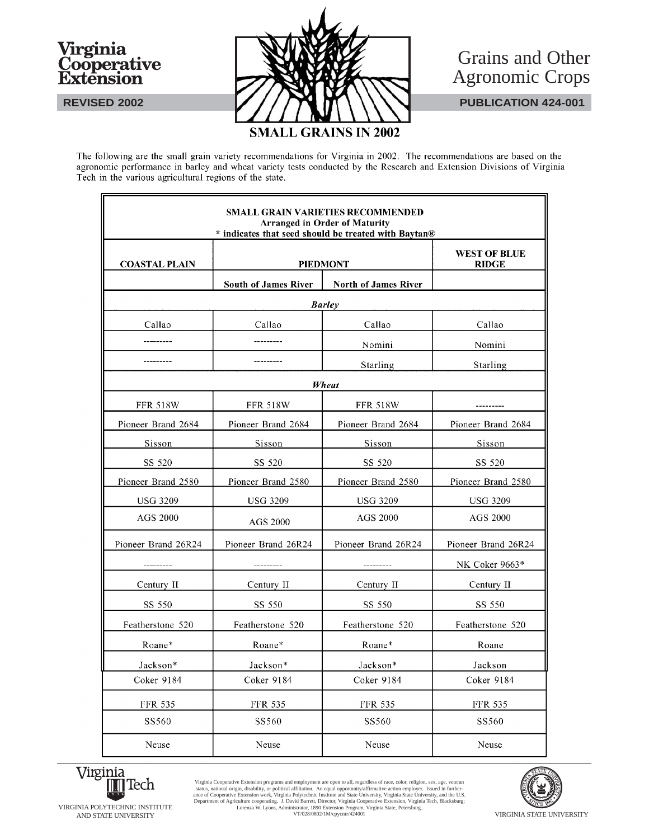# Virginia<br>Cooperative Extension



F





 $\overline{\mathbf{a}}$ 

The following are the small grain variety recommendations for Virginia in 2002. The recommendations are based on the agronomic performance in barley and wheat variety tests conducted by the Research and Extension Divisions of Virginia Tech in the various agricultural regions of the state.

|                      |                             | <b>SMALL GRAIN VARIETIES RECOMMENDED</b><br><b>Arranged in Order of Maturity</b><br>* indicates that seed should be treated with Baytan® |                                     |
|----------------------|-----------------------------|------------------------------------------------------------------------------------------------------------------------------------------|-------------------------------------|
| <b>COASTAL PLAIN</b> |                             | <b>PIEDMONT</b>                                                                                                                          | <b>WEST OF BLUE</b><br><b>RIDGE</b> |
|                      | <b>South of James River</b> | <b>North of James River</b>                                                                                                              |                                     |
|                      |                             | <b>Barley</b>                                                                                                                            |                                     |
| Callao               | Callao                      | Callao                                                                                                                                   | Callao                              |
|                      | --------                    | Nomini                                                                                                                                   | Nomini                              |
|                      |                             | Starling                                                                                                                                 | Starling                            |
|                      |                             | Wheat                                                                                                                                    |                                     |
| <b>FFR 518W</b>      | <b>FFR 518W</b>             | <b>FFR 518W</b>                                                                                                                          |                                     |
| Pioneer Brand 2684   | Pioneer Brand 2684          | Pioneer Brand 2684                                                                                                                       | Pioneer Brand 2684                  |
| Sisson               | Sisson                      | Sisson                                                                                                                                   | Sisson                              |
| SS 520               | SS 520                      | SS 520                                                                                                                                   | SS 520                              |
| Pioneer Brand 2580   | Pioneer Brand 2580          | Pioneer Brand 2580                                                                                                                       | Pioneer Brand 2580                  |
| <b>USG 3209</b>      | <b>USG 3209</b>             | <b>USG 3209</b>                                                                                                                          | USG 3209                            |
| AGS 2000             | AGS 2000                    | AGS 2000                                                                                                                                 | AGS 2000                            |
| Pioneer Brand 26R24  | Pioneer Brand 26R24         | Pioneer Brand 26R24                                                                                                                      | Pioneer Brand 26R24                 |
|                      | _________                   |                                                                                                                                          | NK Coker 9663*                      |
| Century II           | Century II                  | Century II                                                                                                                               | Century II                          |
| SS 550               | SS 550                      | SS 550                                                                                                                                   | SS 550                              |
| Featherstone 520     | Featherstone 520            | Featherstone 520                                                                                                                         | Featherstone 520                    |
| Roane*               | Roane*                      | Roane*                                                                                                                                   | Roane                               |
| Jackson*             | Jackson*                    | Jackson*                                                                                                                                 | Jackson                             |
| Coker 9184           | Coker 9184                  | Coker 9184                                                                                                                               | Coker 9184                          |
| <b>FFR 535</b>       | <b>FFR 535</b>              | FFR 535                                                                                                                                  | FFR 535                             |
| SS560                | SS560                       | SS560                                                                                                                                    | SS560                               |
| Neuse                | Neuse                       | Neuse                                                                                                                                    | Neuse                               |



AND STATE UNIVERSITY **STATE UNIVERSITY** VT/028/0802/1M/cpycntr/424001 VIRGINIA STATE UNIVERSITY Virginia Cooperative Extension programs and employment are open to all, regardless of race, color, religion, sex, age, veteran status, national origin, disability, or political affiliation. An equal opportunity/affirmative

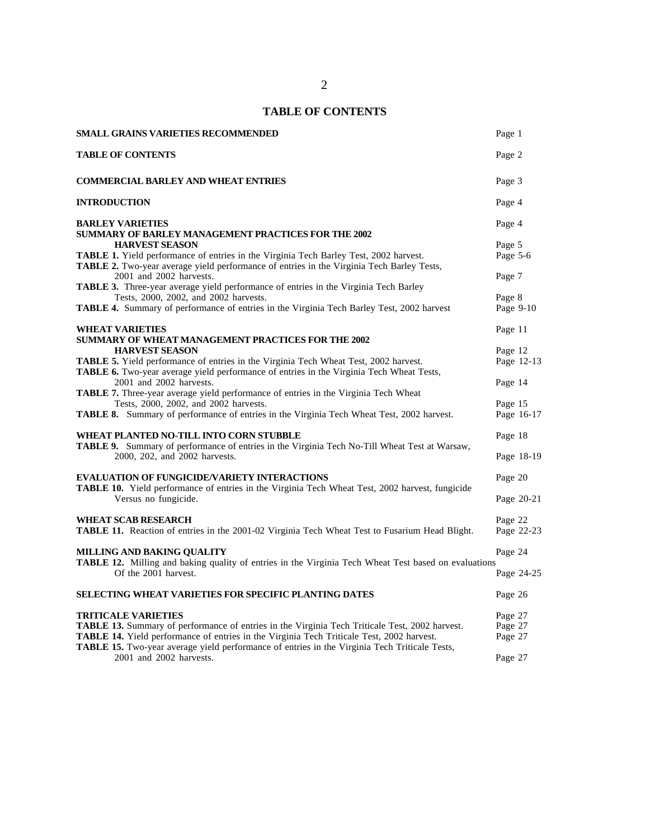# **TABLE OF CONTENTS**

| <b>SMALL GRAINS VARIETIES RECOMMENDED</b>                                                                                                                                                                                        | Page 1                        |
|----------------------------------------------------------------------------------------------------------------------------------------------------------------------------------------------------------------------------------|-------------------------------|
| <b>TABLE OF CONTENTS</b>                                                                                                                                                                                                         | Page 2                        |
| <b>COMMERCIAL BARLEY AND WHEAT ENTRIES</b>                                                                                                                                                                                       | Page 3                        |
| <b>INTRODUCTION</b>                                                                                                                                                                                                              | Page 4                        |
| <b>BARLEY VARIETIES</b><br><b>SUMMARY OF BARLEY MANAGEMENT PRACTICES FOR THE 2002</b>                                                                                                                                            | Page 4                        |
| <b>HARVEST SEASON</b><br><b>TABLE 1.</b> Yield performance of entries in the Virginia Tech Barley Test, 2002 harvest.<br>TABLE 2. Two-year average yield performance of entries in the Virginia Tech Barley Tests,               | Page 5<br>Page 5-6            |
| 2001 and 2002 harvests.<br><b>TABLE 3.</b> Three-year average yield performance of entries in the Virginia Tech Barley                                                                                                           | Page 7                        |
| Tests, 2000, 2002, and 2002 harvests.<br>TABLE 4. Summary of performance of entries in the Virginia Tech Barley Test, 2002 harvest                                                                                               | Page 8<br>Page 9-10           |
| <b>WHEAT VARIETIES</b><br><b>SUMMARY OF WHEAT MANAGEMENT PRACTICES FOR THE 2002</b>                                                                                                                                              | Page 11                       |
| <b>HARVEST SEASON</b><br><b>TABLE 5.</b> Yield performance of entries in the Virginia Tech Wheat Test, 2002 harvest.<br>TABLE 6. Two-year average yield performance of entries in the Virginia Tech Wheat Tests,                 | Page 12<br>Page 12-13         |
| 2001 and 2002 harvests.<br><b>TABLE 7.</b> Three-year average yield performance of entries in the Virginia Tech Wheat                                                                                                            | Page 14                       |
| Tests, 2000, 2002, and 2002 harvests.<br>TABLE 8. Summary of performance of entries in the Virginia Tech Wheat Test, 2002 harvest.                                                                                               | Page 15<br>Page 16-17         |
| WHEAT PLANTED NO-TILL INTO CORN STUBBLE<br>TABLE 9. Summary of performance of entries in the Virginia Tech No-Till Wheat Test at Warsaw,<br>2000, 202, and 2002 harvests.                                                        | Page 18<br>Page 18-19         |
| <b>EVALUATION OF FUNGICIDE/VARIETY INTERACTIONS</b><br>TABLE 10. Yield performance of entries in the Virginia Tech Wheat Test, 2002 harvest, fungicide                                                                           | Page 20                       |
| Versus no fungicide.<br><b>WHEAT SCAB RESEARCH</b>                                                                                                                                                                               | Page 20-21<br>Page 22         |
| TABLE 11. Reaction of entries in the 2001-02 Virginia Tech Wheat Test to Fusarium Head Blight.                                                                                                                                   | Page 22-23                    |
| <b>MILLING AND BAKING QUALITY</b><br><b>TABLE 12.</b> Milling and baking quality of entries in the Virginia Tech Wheat Test based on evaluations<br>Of the 2001 harvest.                                                         | Page 24<br>Page 24-25         |
| <b>SELECTING WHEAT VARIETIES FOR SPECIFIC PLANTING DATES</b>                                                                                                                                                                     | Page 26                       |
| <b>TRITICALE VARIETIES</b><br>TABLE 13. Summary of performance of entries in the Virginia Tech Triticale Test, 2002 harvest.<br><b>TABLE 14.</b> Yield performance of entries in the Virginia Tech Triticale Test, 2002 harvest. | Page 27<br>Page 27<br>Page 27 |
| TABLE 15. Two-year average yield performance of entries in the Virginia Tech Triticale Tests,<br>2001 and 2002 harvests.                                                                                                         | Page 27                       |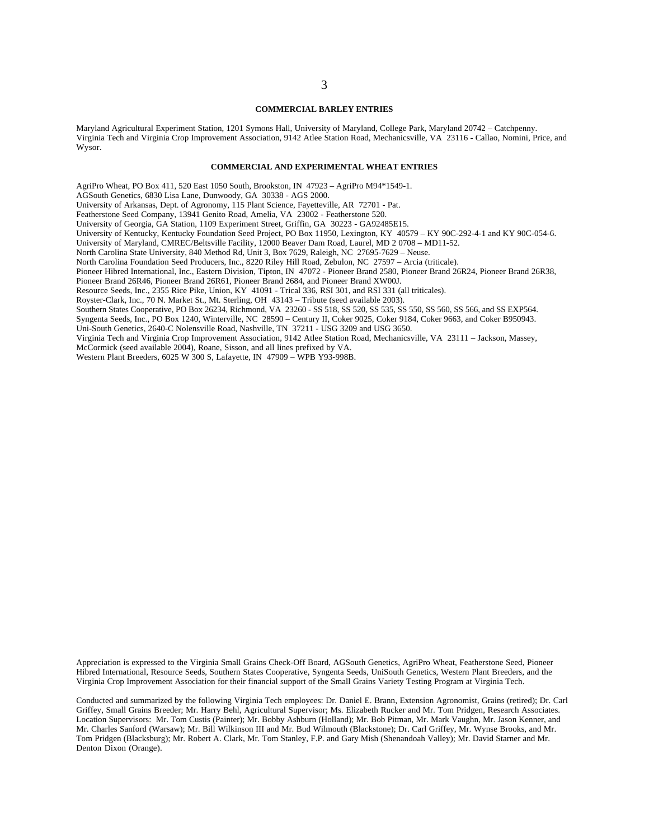#### **COMMERCIAL BARLEY ENTRIES**

Maryland Agricultural Experiment Station, 1201 Symons Hall, University of Maryland, College Park, Maryland 20742 – Catchpenny. Virginia Tech and Virginia Crop Improvement Association, 9142 Atlee Station Road, Mechanicsville, VA 23116 - Callao, Nomini, Price, and Wysor.

#### **COMMERCIAL AND EXPERIMENTAL WHEAT ENTRIES**

AgriPro Wheat, PO Box 411, 520 East 1050 South, Brookston, IN 47923 – AgriPro M94\*1549-1.

AGSouth Genetics, 6830 Lisa Lane, Dunwoody, GA 30338 - AGS 2000.

University of Arkansas, Dept. of Agronomy, 115 Plant Science, Fayetteville, AR 72701 - Pat.

Featherstone Seed Company, 13941 Genito Road, Amelia, VA 23002 - Featherstone 520.

University of Georgia, GA Station, 1109 Experiment Street, Griffin, GA 30223 - GA92485E15.

University of Kentucky, Kentucky Foundation Seed Project, PO Box 11950, Lexington, KY 40579 – KY 90C-292-4-1 and KY 90C-054-6.

University of Maryland, CMREC/Beltsville Facility, 12000 Beaver Dam Road, Laurel, MD 2 0708 – MD11-52.

North Carolina State University, 840 Method Rd, Unit 3, Box 7629, Raleigh, NC 27695-7629 – Neuse.

North Carolina Foundation Seed Producers, Inc., 8220 Riley Hill Road, Zebulon, NC 27597 – Arcia (triticale).

Pioneer Hibred International, Inc., Eastern Division, Tipton, IN 47072 - Pioneer Brand 2580, Pioneer Brand 26R24, Pioneer Brand 26R38,

Pioneer Brand 26R46, Pioneer Brand 26R61, Pioneer Brand 2684, and Pioneer Brand XW00J.

Resource Seeds, Inc., 2355 Rice Pike, Union, KY 41091 - Trical 336, RSI 301, and RSI 331 (all triticales).

Royster-Clark, Inc., 70 N. Market St., Mt. Sterling, OH 43143 – Tribute (seed available 2003).

Southern States Cooperative, PO Box 26234, Richmond, VA 23260 - SS 518, SS 520, SS 535, SS 550, SS 560, SS 566, and SS EXP564.

Syngenta Seeds, Inc., PO Box 1240, Winterville, NC 28590 – Century II, Coker 9025, Coker 9184, Coker 9663, and Coker B950943. Uni-South Genetics, 2640-C Nolensville Road, Nashville, TN 37211 - USG 3209 and USG 3650.

Virginia Tech and Virginia Crop Improvement Association, 9142 Atlee Station Road, Mechanicsville, VA 23111 – Jackson, Massey,

McCormick (seed available 2004), Roane, Sisson, and all lines prefixed by VA.

Western Plant Breeders, 6025 W 300 S, Lafayette, IN 47909 – WPB Y93-998B.

Appreciation is expressed to the Virginia Small Grains Check-Off Board, AGSouth Genetics, AgriPro Wheat, Featherstone Seed, Pioneer Hibred International, Resource Seeds, Southern States Cooperative, Syngenta Seeds, UniSouth Genetics, Western Plant Breeders, and the Virginia Crop Improvement Association for their financial support of the Small Grains Variety Testing Program at Virginia Tech.

Conducted and summarized by the following Virginia Tech employees: Dr. Daniel E. Brann, Extension Agronomist, Grains (retired); Dr. Carl Griffey, Small Grains Breeder; Mr. Harry Behl, Agricultural Supervisor; Ms. Elizabeth Rucker and Mr. Tom Pridgen, Research Associates. Location Supervisors: Mr. Tom Custis (Painter); Mr. Bobby Ashburn (Holland); Mr. Bob Pitman, Mr. Mark Vaughn, Mr. Jason Kenner, and Mr. Charles Sanford (Warsaw); Mr. Bill Wilkinson III and Mr. Bud Wilmouth (Blackstone); Dr. Carl Griffey, Mr. Wynse Brooks, and Mr. Tom Pridgen (Blacksburg); Mr. Robert A. Clark, Mr. Tom Stanley, F.P. and Gary Mish (Shenandoah Valley); Mr. David Starner and Mr. Denton Dixon (Orange).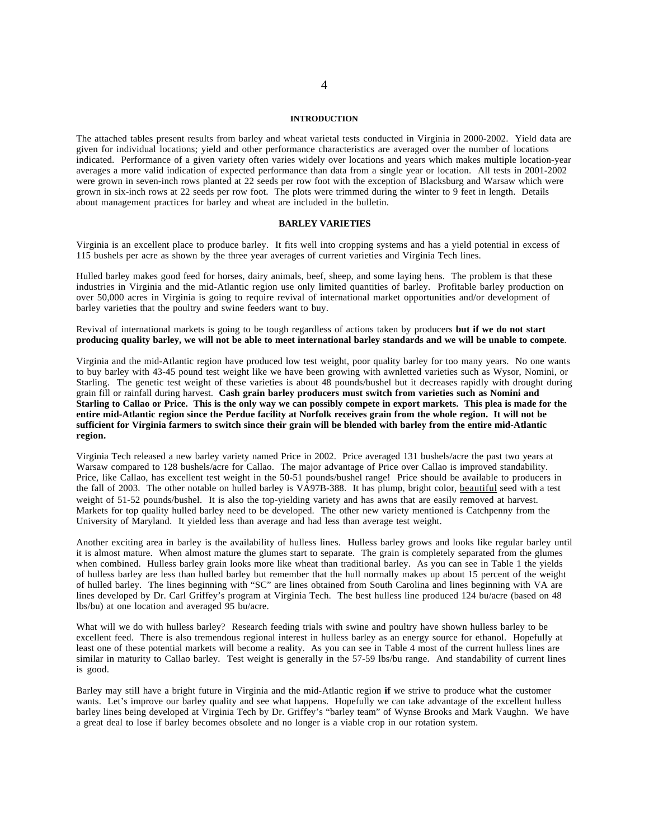#### **INTRODUCTION**

The attached tables present results from barley and wheat varietal tests conducted in Virginia in 2000-2002. Yield data are given for individual locations; yield and other performance characteristics are averaged over the number of locations indicated. Performance of a given variety often varies widely over locations and years which makes multiple location-year averages a more valid indication of expected performance than data from a single year or location. All tests in 2001-2002 were grown in seven-inch rows planted at 22 seeds per row foot with the exception of Blacksburg and Warsaw which were grown in six-inch rows at 22 seeds per row foot. The plots were trimmed during the winter to 9 feet in length. Details about management practices for barley and wheat are included in the bulletin.

#### **BARLEY VARIETIES**

Virginia is an excellent place to produce barley. It fits well into cropping systems and has a yield potential in excess of 115 bushels per acre as shown by the three year averages of current varieties and Virginia Tech lines.

Hulled barley makes good feed for horses, dairy animals, beef, sheep, and some laying hens. The problem is that these industries in Virginia and the mid-Atlantic region use only limited quantities of barley. Profitable barley production on over 50,000 acres in Virginia is going to require revival of international market opportunities and/or development of barley varieties that the poultry and swine feeders want to buy.

Revival of international markets is going to be tough regardless of actions taken by producers **but if we do not start producing quality barley, we will not be able to meet international barley standards and we will be unable to compete**.

Virginia and the mid-Atlantic region have produced low test weight, poor quality barley for too many years. No one wants to buy barley with 43-45 pound test weight like we have been growing with awnletted varieties such as Wysor, Nomini, or Starling. The genetic test weight of these varieties is about 48 pounds/bushel but it decreases rapidly with drought during grain fill or rainfall during harvest. **Cash grain barley producers must switch from varieties such as Nomini and Starling to Callao or Price. This is the only way we can possibly compete in export markets. This plea is made for the entire mid-Atlantic region since the Perdue facility at Norfolk receives grain from the whole region. It will not be sufficient for Virginia farmers to switch since their grain will be blended with barley from the entire mid-Atlantic region.**

Virginia Tech released a new barley variety named Price in 2002. Price averaged 131 bushels/acre the past two years at Warsaw compared to 128 bushels/acre for Callao. The major advantage of Price over Callao is improved standability. Price, like Callao, has excellent test weight in the 50-51 pounds/bushel range! Price should be available to producers in the fall of 2003. The other notable on hulled barley is VA97B-388. It has plump, bright color, beautiful seed with a test weight of 51-52 pounds/bushel. It is also the top-yielding variety and has awns that are easily removed at harvest. Markets for top quality hulled barley need to be developed. The other new variety mentioned is Catchpenny from the University of Maryland. It yielded less than average and had less than average test weight.

Another exciting area in barley is the availability of hulless lines. Hulless barley grows and looks like regular barley until it is almost mature. When almost mature the glumes start to separate. The grain is completely separated from the glumes when combined. Hulless barley grain looks more like wheat than traditional barley. As you can see in Table 1 the yields of hulless barley are less than hulled barley but remember that the hull normally makes up about 15 percent of the weight of hulled barley. The lines beginning with "SC" are lines obtained from South Carolina and lines beginning with VA are lines developed by Dr. Carl Griffey's program at Virginia Tech. The best hulless line produced 124 bu/acre (based on 48 lbs/bu) at one location and averaged 95 bu/acre.

What will we do with hulless barley? Research feeding trials with swine and poultry have shown hulless barley to be excellent feed. There is also tremendous regional interest in hulless barley as an energy source for ethanol. Hopefully at least one of these potential markets will become a reality. As you can see in Table 4 most of the current hulless lines are similar in maturity to Callao barley. Test weight is generally in the 57-59 lbs/bu range. And standability of current lines is good.

Barley may still have a bright future in Virginia and the mid-Atlantic region **if** we strive to produce what the customer wants. Let's improve our barley quality and see what happens. Hopefully we can take advantage of the excellent hulless barley lines being developed at Virginia Tech by Dr. Griffey's "barley team" of Wynse Brooks and Mark Vaughn. We have a great deal to lose if barley becomes obsolete and no longer is a viable crop in our rotation system.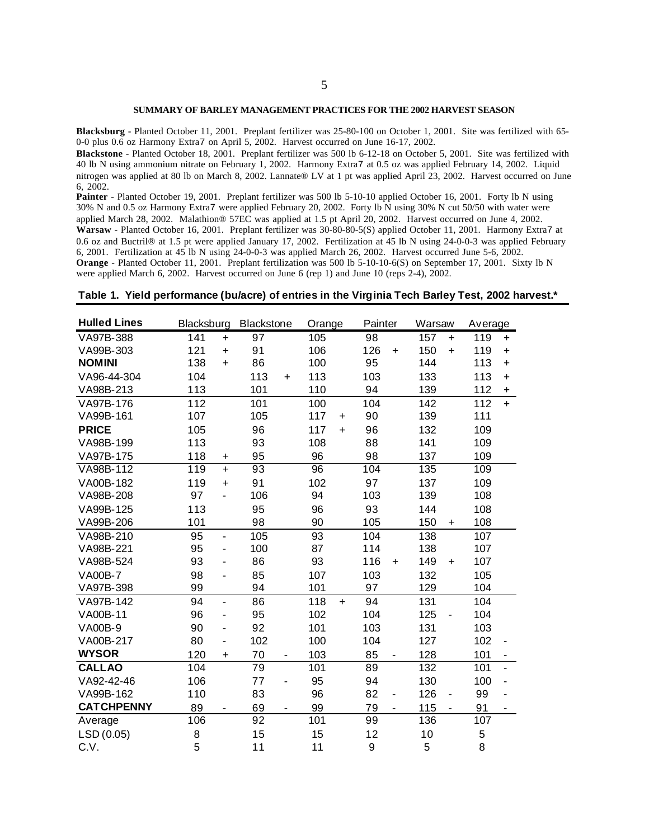#### **SUMMARY OF BARLEY MANAGEMENT PRACTICES FOR THE 2002 HARVEST SEASON**

**Blacksburg** - Planted October 11, 2001. Preplant fertilizer was 25-80-100 on October 1, 2001. Site was fertilized with 65- 0-0 plus 0.6 oz Harmony Extra7 on April 5, 2002. Harvest occurred on June 16-17, 2002.

**Blackstone** - Planted October 18, 2001. Preplant fertilizer was 500 lb 6-12-18 on October 5, 2001. Site was fertilized with 40 lb N using ammonium nitrate on February 1, 2002. Harmony Extra7 at 0.5 oz was applied February 14, 2002. Liquid nitrogen was applied at 80 lb on March 8, 2002. Lannate® LV at 1 pt was applied April 23, 2002. Harvest occurred on June 6, 2002.

Painter - Planted October 19, 2001. Preplant fertilizer was 500 lb 5-10-10 applied October 16, 2001. Forty lb N using 30% N and 0.5 oz Harmony Extra7 were applied February 20, 2002. Forty lb N using 30% N cut 50/50 with water were applied March 28, 2002. Malathion® 57EC was applied at 1.5 pt April 20, 2002. Harvest occurred on June 4, 2002. **Warsaw** - Planted October 16, 2001. Preplant fertilizer was 30-80-80-5(S) applied October 11, 2001. Harmony Extra7 at 0.6 oz and Buctril® at 1.5 pt were applied January 17, 2002. Fertilization at 45 lb N using 24-0-0-3 was applied February 6, 2001. Fertilization at 45 lb N using 24-0-0-3 was applied March 26, 2002. Harvest occurred June 5-6, 2002. **Orange** - Planted October 11, 2001. Preplant fertilization was 500 lb 5-10-10-6(S) on September 17, 2001. Sixty lb N were applied March 6, 2002. Harvest occurred on June 6 (rep 1) and June 10 (reps 2-4), 2002.

#### **Table 1. Yield performance (bu/acre) of entries in the Virginia Tech Barley Test, 2002 harvest.\***

| <b>Hulled Lines</b> | Blacksburg |                              | <b>Blackstone</b> |           | Orange |           | Painter |           | Warsaw |                              | Average   |           |
|---------------------|------------|------------------------------|-------------------|-----------|--------|-----------|---------|-----------|--------|------------------------------|-----------|-----------|
| VA97B-388           | 141        | 97<br>$+$                    |                   | 105       |        | 98        |         | 157       | $+$    | 119                          | $\ddot{}$ |           |
| VA99B-303           | 121        | $+$                          | 91                |           | 106    |           | 126     | $\ddot{}$ | 150    | $+$                          | 119       | $+$       |
| <b>NOMINI</b>       | 138        | $\ddot{}$                    | 86                |           | 100    |           | 95      |           | 144    |                              | 113       | $\ddot{}$ |
| VA96-44-304         | 104        |                              | 113               | $\ddot{}$ | 113    |           | 103     |           | 133    |                              | 113       | $+$       |
| VA98B-213           | 113        |                              | 101               |           | 110    |           | 94      |           | 139    |                              | 112       | $+$       |
| VA97B-176           | 112        |                              | 101               |           | 100    |           | 104     |           | 142    |                              | 112       | $+$       |
| VA99B-161           | 107        |                              | 105               |           | 117    | $\ddot{}$ | 90      |           | 139    |                              | 111       |           |
| <b>PRICE</b>        | 105        |                              | 96                |           | 117    | $\ddot{}$ | 96      |           | 132    |                              | 109       |           |
| VA98B-199           | 113        |                              | 93                |           | 108    |           | 88      |           | 141    |                              | 109       |           |
| VA97B-175           | 118        | +                            | 95                |           | 96     |           | 98      |           | 137    |                              | 109       |           |
| VA98B-112           | 119        | $\ddot{}$                    | 93                |           | 96     |           | 104     |           | 135    |                              | 109       |           |
| VA00B-182           | 119        | $\ddot{}$                    | 91                |           | 102    |           | 97      |           | 137    |                              | 109       |           |
| VA98B-208           | 97         | ä,                           | 106               |           | 94     |           | 103     |           | 139    |                              | 108       |           |
| VA99B-125           | 113        |                              | 95                |           | 96     |           | 93      |           | 144    |                              | 108       |           |
| VA99B-206           | 101        |                              | 98                |           | 90     |           | 105     |           | 150    | $\ddot{}$                    | 108       |           |
| VA98B-210           | 95         | $\blacksquare$               | 105               |           | 93     |           | 104     |           | 138    |                              | 107       |           |
| VA98B-221           | 95         | ä,                           | 100               |           | 87     |           | 114     |           | 138    |                              | 107       |           |
| VA98B-524           | 93         | ÷,                           | 86                |           | 93     |           | 116     | $\ddot{}$ | 149    | $\ddot{}$                    | 107       |           |
| <b>VA00B-7</b>      | 98         | ä,                           | 85                |           | 107    |           | 103     |           | 132    |                              | 105       |           |
| VA97B-398           | 99         |                              | 94                |           | 101    |           | 97      |           | 129    |                              | 104       |           |
| VA97B-142           | 94         | ÷.                           | 86                |           | 118    | $+$       | 94      |           | 131    |                              | 104       |           |
| VA00B-11            | 96         | $\blacksquare$               | 95                |           | 102    |           | 104     |           | 125    | $\blacksquare$               | 104       |           |
| <b>VA00B-9</b>      | 90         | $\overline{\phantom{a}}$     | 92                |           | 101    |           | 103     |           | 131    |                              | 103       |           |
| VA00B-217           | 80         | $\qquad \qquad \blacksquare$ | 102               |           | 100    |           | 104     |           | 127    |                              | 102       |           |
| <b>WYSOR</b>        | 120        | $\ddot{}$                    | 70                |           | 103    |           | 85      |           | 128    |                              | 101       |           |
| <b>CALLAO</b>       | 104        |                              | 79                |           | 101    |           | 89      |           | 132    |                              | 101       |           |
| VA92-42-46          | 106        |                              | 77                |           | 95     |           | 94      |           | 130    |                              | 100       |           |
| VA99B-162           | 110        |                              | 83                |           | 96     |           | 82      | ٠         | 126    | $\qquad \qquad \blacksquare$ | 99        |           |
| <b>CATCHPENNY</b>   | 89         |                              | 69                |           | 99     |           | 79      |           | 115    |                              | 91        |           |
| Average             | 106        |                              | 92                |           | 101    |           | 99      |           | 136    |                              | 107       |           |
| LSD (0.05)          | 8          |                              | 15                |           | 15     |           | 12      |           | 10     |                              | 5         |           |
| C.V.                | 5          |                              | 11                |           | 11     |           | 9       |           | 5      |                              | 8         |           |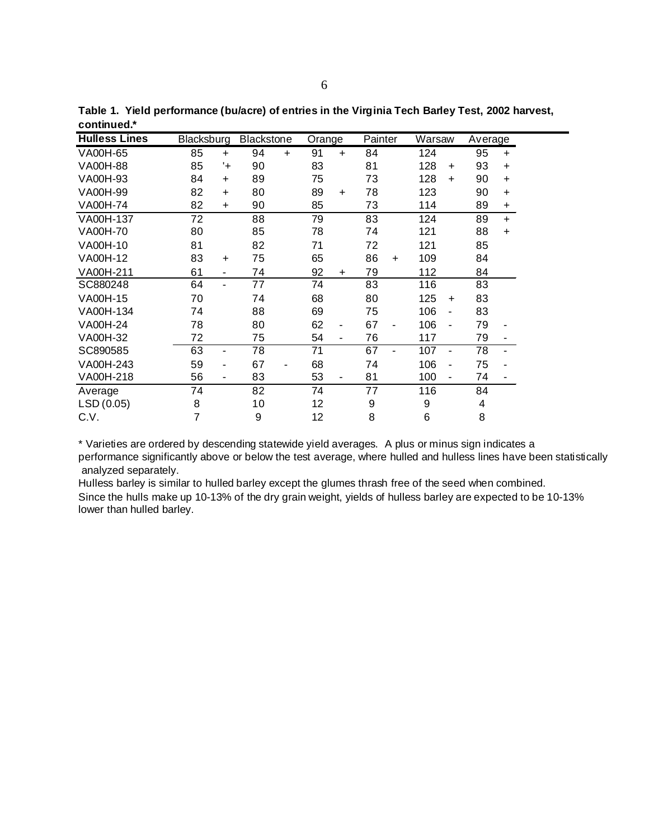| <b>Hulless Lines</b> | Blacksburg |                          | <b>Blackstone</b> |           | Orange |           | Painter |           | Warsaw |                | Average |           |
|----------------------|------------|--------------------------|-------------------|-----------|--------|-----------|---------|-----------|--------|----------------|---------|-----------|
| VA00H-65             | 85         | $\ddot{}$                | 94                | $\ddot{}$ | 91     | $\ddot{}$ | 84      |           | 124    |                | 95      | $\ddot{}$ |
| VA00H-88             | 85         | '+                       | 90                |           | 83     |           | 81      |           | 128    | $\ddot{}$      | 93      | $\ddot{}$ |
| VA00H-93             | 84         | $\ddot{}$                | 89                |           | 75     |           | 73      |           | 128    | $\ddot{}$      | 90      | $\ddot{}$ |
| VA00H-99             | 82         | $\ddot{}$                | 80                |           | 89     | $+$       | 78      |           | 123    |                | 90      | $\ddot{}$ |
| <b>VA00H-74</b>      | 82         | $\ddot{}$                | 90                |           | 85     |           | 73      |           | 114    |                | 89      | $\ddot{}$ |
| VA00H-137            | 72         |                          | 88                |           | 79     |           | 83      |           | 124    |                | 89      | $+$       |
| VA00H-70             | 80         |                          | 85                |           | 78     |           | 74      |           | 121    |                | 88      | $\ddot{}$ |
| VA00H-10             | 81         |                          | 82                |           | 71     |           | 72      |           | 121    |                | 85      |           |
| VA00H-12             | 83         | $\ddot{}$                | 75                |           | 65     |           | 86      | $\ddot{}$ | 109    |                | 84      |           |
| VA00H-211            | 61         | $\overline{\phantom{a}}$ | 74                |           | 92     | ÷         | 79      |           | 112    |                | 84      |           |
| SC880248             | 64         | ٠                        | 77                |           | 74     |           | 83      |           | 116    |                | 83      |           |
| VA00H-15             | 70         |                          | 74                |           | 68     |           | 80      |           | 125    | $\ddot{}$      | 83      |           |
| VA00H-134            | 74         |                          | 88                |           | 69     |           | 75      |           | 106    | ۰              | 83      |           |
| <b>VA00H-24</b>      | 78         |                          | 80                |           | 62     | ۰         | 67      |           | 106    | $\blacksquare$ | 79      |           |
| VA00H-32             | 72         |                          | 75                |           | 54     | -         | 76      |           | 117    |                | 79      |           |
| SC890585             | 63         | ٠                        | 78                |           | 71     |           | 67      |           | 107    | ٠              | 78      |           |
| VA00H-243            | 59         | ٠                        | 67                |           | 68     |           | 74      |           | 106    | ۰              | 75      |           |
| VA00H-218            | 56         | ۰                        | 83                |           | 53     | ۰         | 81      |           | 100    | ۰              | 74      |           |
| Average              | 74         |                          | 82                |           | 74     |           | 77      |           | 116    |                | 84      |           |
| LSD (0.05)           | 8          |                          | 10                |           | 12     |           | 9       |           | 9      |                | 4       |           |
| C.V.                 | 7          |                          | 9                 |           | 12     |           | 8       |           | 6      |                | 8       |           |

**Table 1. Yield performance (bu/acre) of entries in the Virginia Tech Barley Test, 2002 harvest, continued.\***

\* Varieties are ordered by descending statewide yield averages. A plus or minus sign indicates a performance significantly above or below the test average, where hulled and hulless lines have been statistically analyzed separately.

Hulless barley is similar to hulled barley except the glumes thrash free of the seed when combined. Since the hulls make up 10-13% of the dry grain weight, yields of hulless barley are expected to be 10-13% lower than hulled barley.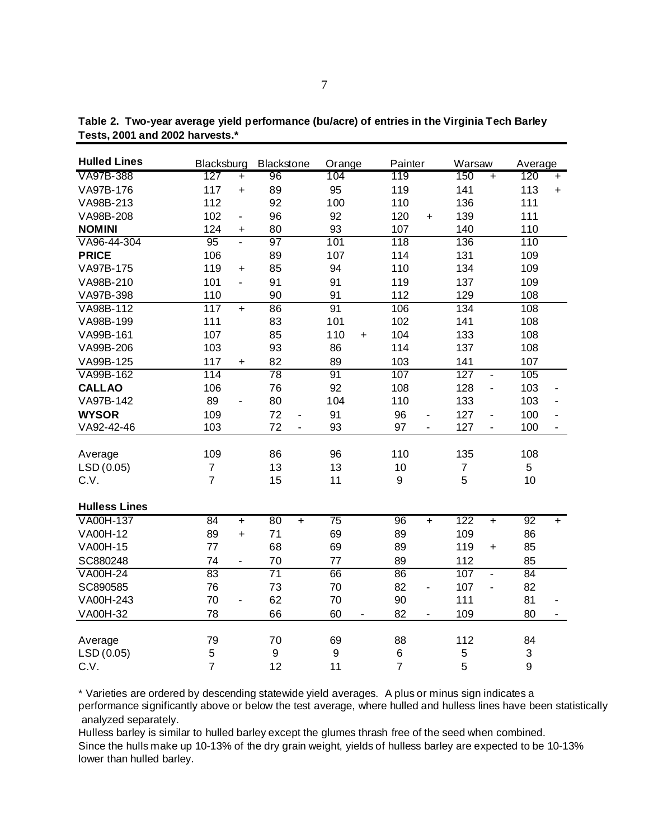| <b>Hulled Lines</b>  | Blacksburg     |                          | Blackstone       |                | Orange      |                | Painter        |                          | Warsaw         |                          | Average |           |
|----------------------|----------------|--------------------------|------------------|----------------|-------------|----------------|----------------|--------------------------|----------------|--------------------------|---------|-----------|
| VA97B-388            | 127            | $+$                      | 96               |                | 104         |                | 119            |                          | 150            | $+$                      | 120     | $+$       |
| VA97B-176            | 117            | $\ddot{}$                | 89               |                | 95          |                | 119            |                          | 141            |                          | 113     | $\ddot{}$ |
| VA98B-213            | 112            |                          | 92               |                | 100         |                | 110            |                          | 136            |                          | 111     |           |
| VA98B-208            | 102            | $\overline{\phantom{0}}$ | 96               |                | 92          |                | 120            | $\ddot{}$                | 139            |                          | 111     |           |
| <b>NOMINI</b>        | 124            | $\ddot{}$                | 80               |                | 93          |                | 107            |                          | 140            |                          | 110     |           |
| VA96-44-304          | 95             | L.                       | 97               |                | 101         |                | 118            |                          | 136            |                          | 110     |           |
| <b>PRICE</b>         | 106            |                          | 89               |                | 107         |                | 114            |                          | 131            |                          | 109     |           |
| VA97B-175            | 119            | $\ddot{}$                | 85               |                | 94          |                | 110            |                          | 134            |                          | 109     |           |
| VA98B-210            | 101            | ÷.                       | 91               |                | 91          |                | 119            |                          | 137            |                          | 109     |           |
| VA97B-398            | 110            |                          | 90               |                | 91          |                | 112            |                          | 129            |                          | 108     |           |
| VA98B-112            | 117            | $\ddot{}$                | 86               |                | 91          |                | 106            |                          | 134            |                          | 108     |           |
| VA98B-199            | 111            |                          | 83               |                | 101         |                | 102            |                          | 141            |                          | 108     |           |
| VA99B-161            | 107            |                          | 85               |                | 110         | $\ddot{}$      | 104            |                          | 133            |                          | 108     |           |
| VA99B-206            | 103            |                          | 93               |                | 86          |                | 114            |                          | 137            |                          | 108     |           |
| VA99B-125            | 117            | +                        | 82               |                | 89          |                | 103            |                          | 141            |                          | 107     |           |
| VA99B-162            | 114            |                          | $\overline{78}$  |                | 91          |                | 107            |                          | 127            | $\blacksquare$           | 105     |           |
| <b>CALLAO</b>        | 106            |                          | 76               |                | 92          |                | 108            |                          | 128            | $\blacksquare$           | 103     |           |
| VA97B-142            | 89             |                          | 80               |                | 104         |                | 110            |                          | 133            |                          | 103     |           |
| <b>WYSOR</b>         | 109            |                          | 72               | $\blacksquare$ | 91          |                | 96             | $\blacksquare$           | 127            | ÷,                       | 100     |           |
| VA92-42-46           | 103            |                          | 72               | ÷.             | 93          |                | 97             | ä,                       | 127            | $\overline{\phantom{a}}$ | 100     |           |
| Average              | 109            |                          | 86               |                | 96          |                | 110            |                          | 135            |                          | 108     |           |
| LSD (0.05)           | $\overline{7}$ |                          | 13               |                | 13          |                | 10             |                          | $\overline{7}$ |                          | 5       |           |
| C.V.                 | $\overline{7}$ |                          | 15               |                | 11          |                | 9              |                          | 5              |                          | 10      |           |
| <b>Hulless Lines</b> |                |                          |                  |                |             |                |                |                          |                |                          |         |           |
| VA00H-137            | 84             | $\ddot{}$                | 80               | $+$            | 75          |                | 96             | $+$                      | 122            | $+$                      | 92      | $+$       |
| VA00H-12             | 89             | $+$                      | 71               |                | 69          |                | 89             |                          | 109            |                          | 86      |           |
| VA00H-15             | 77             |                          | 68               |                | 69          |                | 89             |                          | 119            | $\ddot{}$                | 85      |           |
| SC880248             | 74             | $\overline{\phantom{0}}$ | 70               |                | 77          |                | 89             |                          | 112            |                          | 85      |           |
| <b>VA00H-24</b>      | 83             |                          | 71               |                | 66          |                | 86             |                          | 107            | $\blacksquare$           | 84      |           |
| SC890585             | 76             |                          | 73               |                | 70          |                | 82             | $\overline{a}$           | 107            | ä,                       | 82      |           |
| VA00H-243            | 70             | ä,                       | 62               |                | 70          |                | 90             |                          | 111            |                          | 81      |           |
| VA00H-32             | 78             |                          | 66               |                | 60          | $\blacksquare$ | 82             | $\overline{\phantom{a}}$ | 109            |                          | 80      | ٠         |
| Average              | 79             |                          | 70               |                | 69          |                | 88             |                          | 112            |                          | 84      |           |
| LSD (0.05)           | 5              |                          | $\boldsymbol{9}$ |                | $\mathsf g$ |                | 6              |                          | 5              |                          | 3       |           |
| C.V.                 | $\overline{7}$ |                          | 12               |                | 11          |                | $\overline{7}$ |                          | 5              |                          | 9       |           |

**Table 2. Two-year average yield performance (bu/acre) of entries in the Virginia Tech Barley Tests, 2001 and 2002 harvests.\***

\* Varieties are ordered by descending statewide yield averages. A plus or minus sign indicates a performance significantly above or below the test average, where hulled and hulless lines have been statistically analyzed separately.

Hulless barley is similar to hulled barley except the glumes thrash free of the seed when combined. Since the hulls make up 10-13% of the dry grain weight, yields of hulless barley are expected to be 10-13% lower than hulled barley.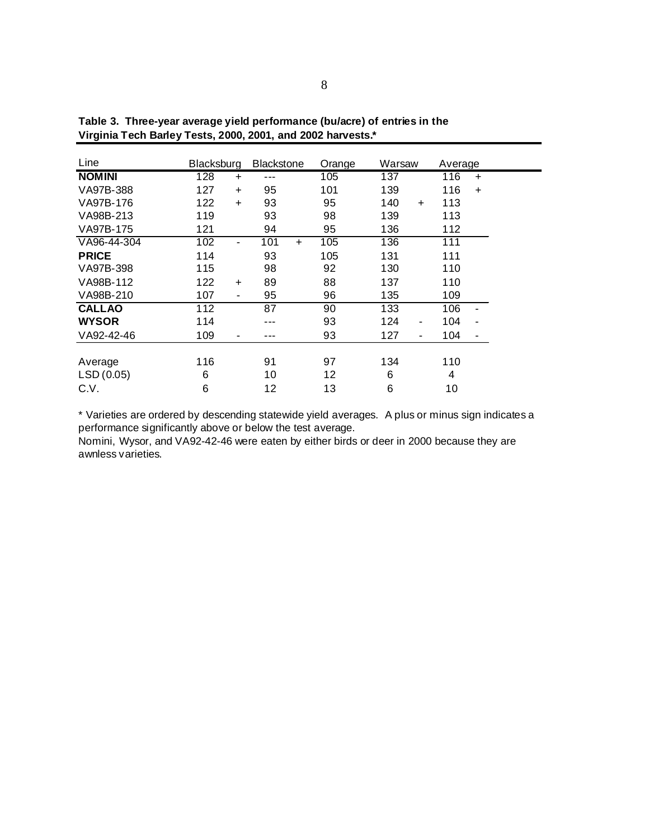| Line          | <b>Blacksburg</b> |           | <b>Blackstone</b> |     | Orange | Warsaw |     | Average |                |
|---------------|-------------------|-----------|-------------------|-----|--------|--------|-----|---------|----------------|
| <b>NOMINI</b> | 128               | $\ddot{}$ |                   |     | 105    | 137    |     | 116     | $\ddot{}$      |
| VA97B-388     | 127               | $+$       | 95                |     | 101    | 139    |     | 116     | $+$            |
| VA97B-176     | 122               | $\ddot{}$ | 93                |     | 95     | 140    | $+$ | 113     |                |
| VA98B-213     | 119               |           | 93                |     | 98     | 139    |     | 113     |                |
| VA97B-175     | 121               |           | 94                |     | 95     | 136    |     | 112     |                |
| VA96-44-304   | 102               | ٠         | 101               | $+$ | 105    | 136    |     | 111     |                |
| <b>PRICE</b>  | 114               |           | 93                |     | 105    | 131    |     | 111     |                |
| VA97B-398     | 115               | 98        |                   | 92  | 130    |        | 110 |         |                |
| VA98B-112     | 122               | $\ddot{}$ | 89                |     | 88     | 137    |     | 110     |                |
| VA98B-210     | 107               | ٠         | 95                |     | 96     | 135    |     | 109     |                |
| <b>CALLAO</b> | 112               |           | 87                |     | 90     | 133    |     | 106     | ۰              |
| <b>WYSOR</b>  | 114               |           | ---               |     | 93     | 124    | ۰   | 104     | $\blacksquare$ |
| VA92-42-46    | 109               | ۰         |                   |     | 93     | 127    | ٠   | 104     | ۰              |
| Average       | 116               |           | 91                |     | 97     | 134    |     | 110     |                |
| LSD(0.05)     | 6                 |           | 10                |     | 12     | 6      |     | 4       |                |
| C.V.          | 6                 |           | 12                |     | 13     | 6      |     | 10      |                |

**Table 3. Three-year average yield performance (bu/acre) of entries in the Virginia Tech Barley Tests, 2000, 2001, and 2002 harvests.\***

\* Varieties are ordered by descending statewide yield averages. A plus or minus sign indicates a performance significantly above or below the test average.

Nomini, Wysor, and VA92-42-46 were eaten by either birds or deer in 2000 because they are awnless varieties.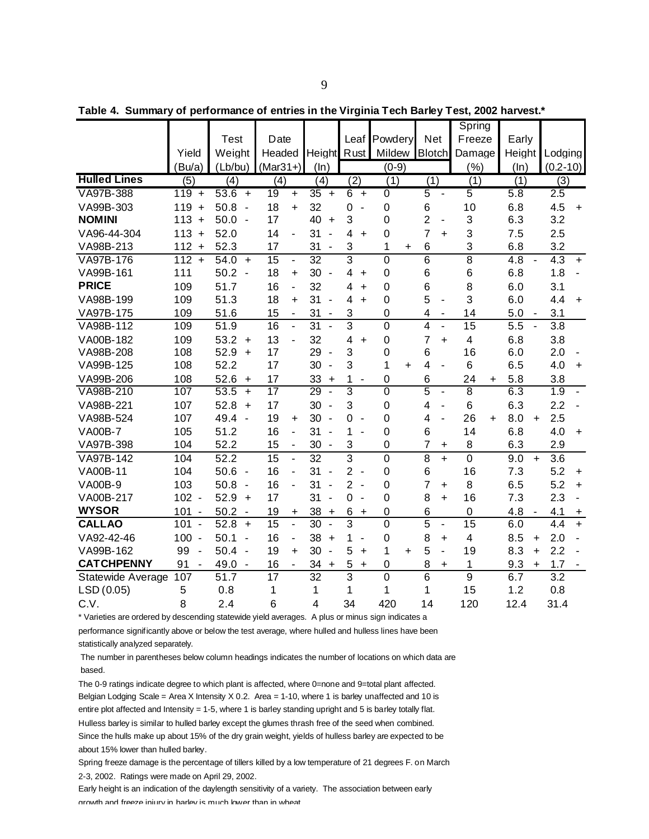|                     |                      |                                  |                                   |                                |                                            |                |                             | Spring                  |                                 |                       |
|---------------------|----------------------|----------------------------------|-----------------------------------|--------------------------------|--------------------------------------------|----------------|-----------------------------|-------------------------|---------------------------------|-----------------------|
|                     |                      | <b>Test</b>                      | Date                              |                                |                                            | Leaf Powdery   | <b>Net</b>                  | Freeze                  | Early                           |                       |
|                     | Yield                | Weight                           | Headed                            | Height Rust                    |                                            | <b>Mildew</b>  | <b>Blotch</b>               | Damage                  | Height                          | Lodging               |
|                     | Bu/a)                | (Lb/bu)                          | $(Mar31+)$                        | (ln)                           |                                            | $(0-9)$        |                             | (%)                     | (ln)                            | $(0.2 - 10)$          |
| <b>Hulled Lines</b> | (5)                  | (4)                              | (4)                               | (4)                            | (2)                                        | (1)            | (1)                         | (1)                     | (1)                             | (3)                   |
| VA97B-388           | 119<br>$\ddot{}$     | 53.6<br>$\ddot{}$                | 19<br>$\ddot{}$                   | $\overline{35}$<br>$\ddot{}$   | 6<br>$+$                                   | $\overline{0}$ | $\overline{5}$<br>÷,        | $\overline{5}$          | 5.8                             | 2.5                   |
| VA99B-303           | 119<br>$\ddot{}$     | 50.8<br>$\blacksquare$           | 18<br>$\ddot{}$                   | 32                             | $\mathbf 0$<br>$\blacksquare$              | $\mathbf 0$    | 6                           | 10                      | 6.8                             | 4.5<br>$\ddot{}$      |
| <b>NOMINI</b>       | $113 +$              | 50.0<br>$\overline{\phantom{a}}$ | 17                                | 40<br>$\ddot{}$                | 3                                          | $\mathbf 0$    | $\overline{2}$<br>÷,        | 3                       | 6.3                             | 3.2                   |
| VA96-44-304         | $113 +$              | 52.0                             | 14<br>ä,                          | 31<br>$\blacksquare$           | $\overline{4}$<br>$\ddot{}$                | $\mathbf 0$    | $\overline{7}$<br>$\ddot{}$ | 3                       | 7.5                             | 2.5                   |
| VA98B-213           | $112 +$              | 52.3                             | 17                                | 31<br>÷,                       | 3                                          | 1<br>+         | 6                           | 3                       | 6.8                             | 3.2                   |
| VA97B-176           | $112 +$              | 54.0<br>$\ddot{}$                | 15<br>$\blacksquare$              | $\overline{32}$                | 3                                          | $\overline{0}$ | 6                           | $\overline{8}$          | 4.8<br>ä,                       | 4.3<br>$+$            |
| VA99B-161           | 111                  | 50.2<br>$\blacksquare$           | 18<br>$+$                         | 30<br>÷,                       | 4<br>$\ddot{}$                             | $\mathbf 0$    | 6                           | 6                       | 6.8                             | 1.8<br>$\blacksquare$ |
| <b>PRICE</b>        | 109                  | 51.7                             | 16<br>$\blacksquare$              | 32                             | 4<br>$\ddot{}$                             | $\mathbf 0$    | 6                           | 8                       | 6.0                             | 3.1                   |
| VA98B-199           | 109                  | 51.3                             | 18<br>$\ddot{}$                   | 31<br>$\overline{\phantom{a}}$ | 4<br>$\ddot{}$                             | $\mathbf 0$    | 5<br>ä,                     | 3                       | 6.0                             | 4.4<br>$\ddot{}$      |
| VA97B-175           | 109                  | 51.6                             | 15<br>$\blacksquare$              | 31<br>$\blacksquare$           | 3                                          | $\mathbf 0$    | 4                           | 14                      | 5.0<br>$\overline{\phantom{a}}$ | 3.1                   |
| VA98B-112           | 109                  | 51.9                             | 16<br>$\blacksquare$              | $\overline{31}$                | 3                                          | 0              | 4                           | 15                      | 5.5<br>ä,                       | 3.8                   |
| VA00B-182           | 109                  | $53.2 +$                         | 13<br>ä,                          | 32                             | 4<br>$+$                                   | $\mathbf 0$    | $\overline{7}$<br>$+$       | $\overline{\mathbf{4}}$ | 6.8                             | 3.8                   |
| VA98B-208           | 108                  | 52.9<br>$\ddot{}$                | 17                                | 29<br>$\sim$                   | 3                                          | $\mathbf 0$    | 6                           | 16                      | 6.0                             | 2.0                   |
| VA99B-125           | 108                  | 52.2                             | 17                                | 30<br>÷,                       | 3                                          | 1<br>$\ddot{}$ | 4<br>$\overline{a}$         | 6                       | 6.5                             | 4.0<br>$\ddot{}$      |
| VA99B-206           | 108                  | 52.6<br>$\ddot{}$                | 17                                | 33<br>$\ddot{}$                | 1                                          | $\mathbf 0$    | 6                           | 24<br>$\ddot{}$         | 5.8                             | 3.8                   |
| VA98B-210           | 107                  | 53.5<br>$\ddotmark$              | $\overline{17}$                   | 29<br>L,                       | 3                                          | $\overline{0}$ | $\overline{5}$<br>ä,        | $\overline{8}$          | 6.3                             | 1.9                   |
| VA98B-221           | 107                  | 52.8<br>$\ddot{}$                | 17                                | 30<br>$\overline{\phantom{a}}$ | 3                                          | $\mathbf 0$    | 4<br>÷,                     | 6                       | 6.3                             | 2.2<br>÷,             |
| VA98B-524           | 107                  | 49.4<br>$\blacksquare$           | 19<br>$\ddot{}$                   | 30<br>$\sim$                   | 0<br>$\overline{\phantom{a}}$              | $\overline{0}$ | 4<br>L,                     | 26<br>$\ddot{}$         | 8.0<br>$+$                      | 2.5                   |
| <b>VA00B-7</b>      | 105                  | 51.2                             | 16<br>$\blacksquare$              | 31<br>$\overline{\phantom{a}}$ | 1                                          | $\mathbf 0$    | 6                           | 14                      | 6.8                             | 4.0<br>$\ddot{}$      |
| VA97B-398           | 104                  | 52.2                             | 15<br>$\overline{\phantom{a}}$    | 30<br>$\overline{\phantom{a}}$ | 3                                          | $\mathbf 0$    | 7<br>+                      | 8                       | 6.3                             | 2.9                   |
| VA97B-142           | 104                  | 52.2                             | $\overline{15}$<br>$\blacksquare$ | $\overline{32}$                | $\overline{3}$                             | $\overline{0}$ | 8<br>$+$                    | $\mathbf 0$             | 9.0<br>$+$                      | 3.6                   |
| VA00B-11            | 104                  | 50.6<br>$\sim$                   | 16<br>$\blacksquare$              | 31<br>$\blacksquare$           | $\overline{2}$<br>$\overline{\phantom{a}}$ | $\mathbf 0$    | 6                           | 16                      | 7.3                             | 5.2<br>$\ddot{}$      |
| <b>VA00B-9</b>      | 103                  | 50.8<br>$\overline{\phantom{a}}$ | 16                                | 31<br>$\overline{\phantom{a}}$ | $\overline{2}$<br>$\sim$                   | $\mathbf 0$    | $\overline{7}$<br>+         | 8                       | 6.5                             | 5.2<br>$+$            |
| VA00B-217           | $102 -$              | 52.9<br>$\ddot{}$                | 17                                | 31<br>$\blacksquare$           | $\mathbf 0$<br>$\sim$                      | $\mathbf 0$    | 8<br>$+$                    | 16                      | 7.3                             | 2.3<br>ä,             |
| <b>WYSOR</b>        | $101 -$              | 50.2<br>$\blacksquare$           | 19<br>$\ddot{}$                   | 38<br>$\ddot{}$                | 6<br>$\ddot{}$                             | $\mathbf 0$    | 6                           | $\mathbf 0$             | 4.8<br>$\blacksquare$           | 4.1<br>+              |
| <b>CALLAO</b>       | 101<br>$\sim$        | 52.8<br>$\ddot{}$                | 15<br>$\blacksquare$              | 30<br>$\blacksquare$           | 3                                          | $\overline{0}$ | 5<br>÷,                     | 15                      | 6.0                             | 4.4<br>$+$            |
| VA92-42-46          | $100 -$              | 50.1<br>$\overline{\phantom{a}}$ | 16<br>$\blacksquare$              | 38<br>$\ddot{}$                | 1<br>$\overline{\phantom{a}}$              | $\mathbf 0$    | 8<br>$\ddot{}$              | $\overline{\mathbf{4}}$ | 8.5<br>$+$                      | 2.0                   |
| VA99B-162           | 99<br>$\sim$         | 50.4<br>$\blacksquare$           | 19<br>$\ddot{}$                   | 30<br>$\overline{\phantom{a}}$ | 5<br>$\ddot{}$                             | 1<br>$\ddot{}$ | 5<br>÷,                     | 19                      | 8.3<br>$+$                      | 2.2                   |
| <b>CATCHPENNY</b>   | 91<br>$\blacksquare$ | 49.0<br>$\blacksquare$           | 16                                | 34<br>$\ddot{}$                | 5<br>+                                     | $\mathbf 0$    | 8<br>$\ddot{}$              | 1                       | 9.3<br>$\ddot{}$                | 1.7                   |
| Statewide Average   | 107                  | 51.7                             | 17                                | $\overline{32}$                | 3                                          | $\overline{0}$ | 6                           | $\overline{9}$          | 6.7                             | 3.2                   |
| LSD(0.05)           | 5                    | 0.8                              | 1                                 | 1                              | 1                                          | 1              | 1                           | 15                      | 1.2                             | 0.8                   |
| C.V.                | 8                    | 2.4                              | 6                                 | $\overline{\mathbf{4}}$        | 34                                         | 420            | 14                          | 120                     | 12.4                            | 31.4                  |

**Table 4. Summary of performance of entries in the Virginia Tech Barley Test, 2002 harvest.\***

\* Varieties are ordered by descending statewide yield averages. A plus or minus sign indicates a

performance significantly above or below the test average, where hulled and hulless lines have been statistically analyzed separately.

 The number in parentheses below column headings indicates the number of locations on which data are based.

The 0-9 ratings indicate degree to which plant is affected, where 0=none and 9=total plant affected. Belgian Lodging Scale = Area X Intensity X 0.2. Area = 1-10, where 1 is barley unaffected and 10 is entire plot affected and Intensity = 1-5, where 1 is barley standing upright and 5 is barley totally flat. Hulless barley is similar to hulled barley except the glumes thrash free of the seed when combined. Since the hulls make up about 15% of the dry grain weight, yields of hulless barley are expected to be about 15% lower than hulled barley.

Spring freeze damage is the percentage of tillers killed by a low temperature of 21 degrees F. on March 2-3, 2002. Ratings were made on April 29, 2002.

Early height is an indication of the daylength sensitivity of a variety. The association between early growth and freeze injury in barley is much lower than in wheat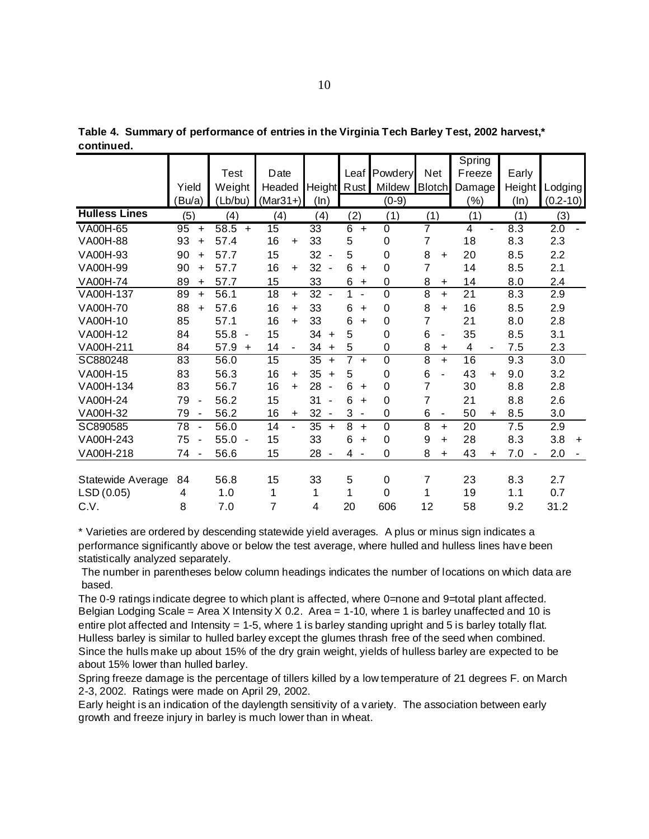|                      |                                |                                  |                 |                                |                               |                |                     | Spring          |                       |                       |
|----------------------|--------------------------------|----------------------------------|-----------------|--------------------------------|-------------------------------|----------------|---------------------|-----------------|-----------------------|-----------------------|
|                      |                                | Test                             | Date            |                                | Leaf                          | Powdery        | <b>Net</b>          | Freeze          | Early                 |                       |
|                      | Yield                          | Weight                           | Headed          | Height Rust                    |                               | Mildew         | <b>Blotch</b>       | Damage          | Height                | Lodging               |
|                      | (Bu/a)                         | (Lb/bu)                          | $(Mar31+)$      | (ln)                           |                               | $(0-9)$        |                     | (%)             | (ln)                  | $(0.2 - 10)$          |
| <b>Hulless Lines</b> | (5)                            | (4)                              | (4)             | (4)                            | (2)                           | (1)            | (1)                 | (1)             | (1)                   | (3)                   |
| <b>VA00H-65</b>      | 95<br>$\ddot{}$                | 58.5<br>$\ddot{}$                | $\overline{15}$ | $\overline{33}$                | $\overline{6}$<br>$\ddot{}$   | $\overline{0}$ | 7                   | $\overline{4}$  | 8.3                   | 2.0                   |
| <b>VA00H-88</b>      | 93<br>$\ddot{}$                | 57.4                             | 16<br>$\ddot{}$ | 33                             | 5                             | $\mathbf 0$    | $\overline{7}$      | 18              | 8.3                   | 2.3                   |
| VA00H-93             | 90<br>$\ddot{}$                | 57.7                             | 15              | 32<br>$\blacksquare$           | 5                             | $\mathbf 0$    | 8<br>$\ddot{}$      | 20              | 8.5                   | 2.2                   |
| VA00H-99             | 90<br>÷.                       | 57.7                             | 16<br>$\ddot{}$ | 32<br>$\blacksquare$           | 6<br>$\ddot{}$                | 0              | 7                   | 14              | 8.5                   | 2.1                   |
| <b>VA00H-74</b>      | 89<br>$\ddot{}$                | 57.7                             | 15              | 33                             | 6<br>$\ddot{}$                | 0              | 8<br>$\ddot{}$      | 14              | 8.0                   | 2.4                   |
| VA00H-137            | 89<br>$\ddot{}$                | 56.1                             | 18<br>$\ddot{}$ | 32                             | 1<br>$\sim$                   | $\mathbf 0$    | 8<br>$\ddot{}$      | 21              | 8.3                   | 2.9                   |
| <b>VA00H-70</b>      | 88<br>$\ddot{}$                | 57.6                             | 16<br>$+$       | 33                             | 6<br>$\ddot{}$                | $\mathbf 0$    | 8<br>$+$            | 16              | 8.5                   | 2.9                   |
| VA00H-10             | 85                             | 57.1                             | 16<br>$+$       | 33                             | 6<br>$\ddot{}$                | 0              | 7                   | 21              | 8.0                   | 2.8                   |
| VA00H-12             | 84                             | 55.8<br>$\overline{\phantom{a}}$ | 15              | 34<br>$\ddot{}$                | 5                             | 0              | 6                   | 35              | 8.5                   | 3.1                   |
| VA00H-211            | 84                             | 57.9<br>$\ddot{}$                | 14              | 34<br>$\ddot{}$                | 5                             | 0              | 8<br>$\ddot{}$      | 4<br>٠          | 7.5                   | 2.3                   |
| SC880248             | 83                             | 56.0                             | $\overline{15}$ | $\overline{35}$<br>$\ddot{}$   | $\overline{7}$<br>$\ddot{}$   | $\mathbf 0$    | 8<br>$+$            | 16              | 9.3                   | $\overline{3.0}$      |
| VA00H-15             | 83                             | 56.3                             | 16<br>$\ddot{}$ | 35<br>$\ddot{}$                | 5                             | 0              | 6                   | 43<br>$\ddot{}$ | 9.0                   | 3.2                   |
| VA00H-134            | 83                             | 56.7                             | 16<br>$+$       | 28<br>$\overline{\phantom{a}}$ | 6<br>$\ddot{}$                | $\mathbf 0$    | $\overline{7}$      | 30              | 8.8                   | 2.8                   |
| <b>VA00H-24</b>      | 79<br>$\overline{\phantom{a}}$ | 56.2                             | 15              | 31<br>$\blacksquare$           | 6<br>$\ddot{}$                | $\mathbf 0$    | 7                   | 21              | 8.8                   | 2.6                   |
| VA00H-32             | 79<br>$\overline{\phantom{a}}$ | 56.2                             | 16<br>$\ddot{}$ | 32<br>$\overline{\phantom{a}}$ | 3<br>$\overline{\phantom{a}}$ | $\mathbf 0$    | 6<br>$\blacksquare$ | 50<br>$\ddot{}$ | 8.5                   | 3.0                   |
| SC890585             | 78<br>$\overline{a}$           | 56.0                             | 14              | 35<br>$\ddot{}$                | 8<br>$\ddot{}$                | $\mathbf 0$    | 8<br>$\ddot{}$      | 20              | 7.5                   | 2.9                   |
| VA00H-243            | 75<br>$\blacksquare$           | 55.0<br>$\overline{\phantom{a}}$ | 15              | 33                             | 6<br>$\ddot{}$                | 0              | 9<br>÷.             | 28              | 8.3                   | 3.8<br>$\ddot{}$      |
| VA00H-218            | 74<br>$\overline{\phantom{a}}$ | 56.6                             | 15              | 28<br>$\blacksquare$           | 4<br>$\blacksquare$           | $\mathbf 0$    | 8<br>÷.             | 43<br>$\ddot{}$ | 7.0<br>$\blacksquare$ | 2.0<br>$\blacksquare$ |
|                      |                                |                                  |                 |                                |                               |                |                     |                 |                       |                       |
| Statewide Average    | 84                             | 56.8                             | 15              | 33                             | 5                             | 0              | 7                   | 23              | 8.3                   | 2.7                   |
| LSD (0.05)           | 4                              | 1.0                              | 1               | 1                              | 1                             | 0              | 1                   | 19              | 1.1                   | 0.7                   |
| C.V.                 | 8                              | 7.0                              | 7               | 4                              | 20                            | 606            | 12                  | 58              | 9.2                   | 31.2                  |

**Table 4. Summary of performance of entries in the Virginia Tech Barley Test, 2002 harvest,\* continued.**

\* Varieties are ordered by descending statewide yield averages. A plus or minus sign indicates a performance significantly above or below the test average, where hulled and hulless lines have been statistically analyzed separately.

The number in parentheses below column headings indicates the number of locations on which data are based.

The 0-9 ratings indicate degree to which plant is affected, where 0=none and 9=total plant affected. Belgian Lodging Scale = Area X Intensity X 0.2. Area = 1-10, where 1 is barley unaffected and 10 is entire plot affected and Intensity = 1-5, where 1 is barley standing upright and 5 is barley totally flat. Hulless barley is similar to hulled barley except the glumes thrash free of the seed when combined. Since the hulls make up about 15% of the dry grain weight, yields of hulless barley are expected to be about 15% lower than hulled barley.

Spring freeze damage is the percentage of tillers killed by a low temperature of 21 degrees F. on March 2-3, 2002. Ratings were made on April 29, 2002.

Early height is an indication of the daylength sensitivity of a variety. The association between early growth and freeze injury in barley is much lower than in wheat.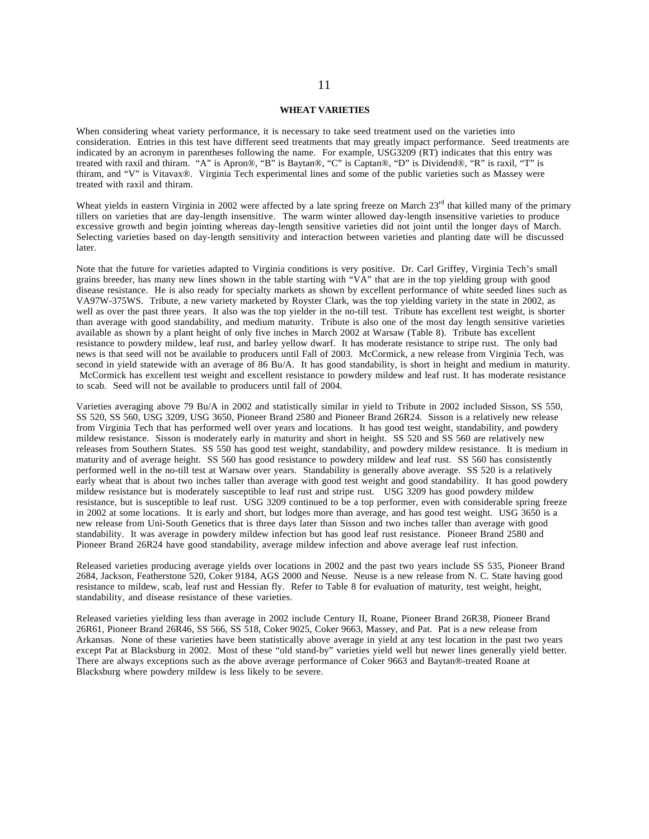#### **WHEAT VARIETIES**

When considering wheat variety performance, it is necessary to take seed treatment used on the varieties into consideration. Entries in this test have different seed treatments that may greatly impact performance. Seed treatments are indicated by an acronym in parentheses following the name. For example, USG3209 (RT) indicates that this entry was treated with raxil and thiram. "A" is Apron®, "B" is Baytan®, "C" is Captan®, "D" is Dividend®, "R" is raxil, "T" is thiram, and "V" is Vitavax®. Virginia Tech experimental lines and some of the public varieties such as Massey were treated with raxil and thiram.

Wheat yields in eastern Virginia in 2002 were affected by a late spring freeze on March  $23<sup>rd</sup>$  that killed many of the primary tillers on varieties that are day-length insensitive. The warm winter allowed day-length insensitive varieties to produce excessive growth and begin jointing whereas day-length sensitive varieties did not joint until the longer days of March. Selecting varieties based on day-length sensitivity and interaction between varieties and planting date will be discussed later.

Note that the future for varieties adapted to Virginia conditions is very positive. Dr. Carl Griffey, Virginia Tech's small grains breeder, has many new lines shown in the table starting with "VA" that are in the top yielding group with good disease resistance. He is also ready for specialty markets as shown by excellent performance of white seeded lines such as VA97W-375WS. Tribute, a new variety marketed by Royster Clark, was the top yielding variety in the state in 2002, as well as over the past three years. It also was the top yielder in the no-till test. Tribute has excellent test weight, is shorter than average with good standability, and medium maturity. Tribute is also one of the most day length sensitive varieties available as shown by a plant height of only five inches in March 2002 at Warsaw (Table 8). Tribute has excellent resistance to powdery mildew, leaf rust, and barley yellow dwarf. It has moderate resistance to stripe rust. The only bad news is that seed will not be available to producers until Fall of 2003. McCormick, a new release from Virginia Tech, was second in yield statewide with an average of 86 Bu/A. It has good standability, is short in height and medium in maturity. McCormick has excellent test weight and excellent resistance to powdery mildew and leaf rust. It has moderate resistance to scab. Seed will not be available to producers until fall of 2004.

Varieties averaging above 79 Bu/A in 2002 and statistically similar in yield to Tribute in 2002 included Sisson, SS 550, SS 520, SS 560, USG 3209, USG 3650, Pioneer Brand 2580 and Pioneer Brand 26R24. Sisson is a relatively new release from Virginia Tech that has performed well over years and locations. It has good test weight, standability, and powdery mildew resistance. Sisson is moderately early in maturity and short in height. SS 520 and SS 560 are relatively new releases from Southern States. SS 550 has good test weight, standability, and powdery mildew resistance. It is medium in maturity and of average height. SS 560 has good resistance to powdery mildew and leaf rust. SS 560 has consistently performed well in the no-till test at Warsaw over years. Standability is generally above average. SS 520 is a relatively early wheat that is about two inches taller than average with good test weight and good standability. It has good powdery mildew resistance but is moderately susceptible to leaf rust and stripe rust. USG 3209 has good powdery mildew resistance, but is susceptible to leaf rust. USG 3209 continued to be a top performer, even with considerable spring freeze in 2002 at some locations. It is early and short, but lodges more than average, and has good test weight. USG 3650 is a new release from Uni-South Genetics that is three days later than Sisson and two inches taller than average with good standability. It was average in powdery mildew infection but has good leaf rust resistance. Pioneer Brand 2580 and Pioneer Brand 26R24 have good standability, average mildew infection and above average leaf rust infection.

Released varieties producing average yields over locations in 2002 and the past two years include SS 535, Pioneer Brand 2684, Jackson, Featherstone 520, Coker 9184, AGS 2000 and Neuse. Neuse is a new release from N. C. State having good resistance to mildew, scab, leaf rust and Hessian fly. Refer to Table 8 for evaluation of maturity, test weight, height, standability, and disease resistance of these varieties.

Released varieties yielding less than average in 2002 include Century II, Roane, Pioneer Brand 26R38, Pioneer Brand 26R61, Pioneer Brand 26R46, SS 566, SS 518, Coker 9025, Coker 9663, Massey, and Pat. Pat is a new release from Arkansas. None of these varieties have been statistically above average in yield at any test location in the past two years except Pat at Blacksburg in 2002. Most of these "old stand-by" varieties yield well but newer lines generally yield better. There are always exceptions such as the above average performance of Coker 9663 and Baytan®-treated Roane at Blacksburg where powdery mildew is less likely to be severe.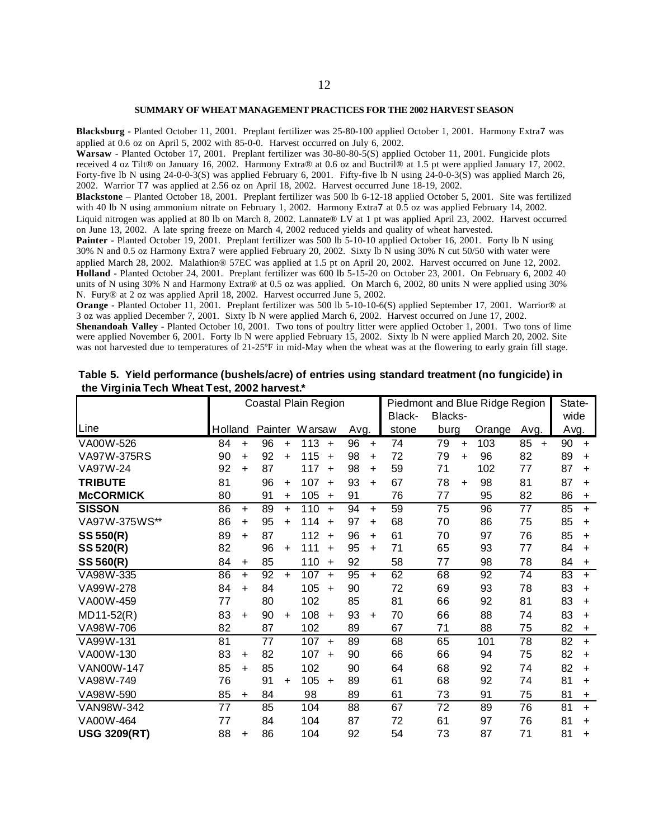#### **SUMMARY OF WHEAT MANAGEMENT PRACTICES FOR THE 2002 HARVEST SEASON**

**Blacksburg** - Planted October 11, 2001. Preplant fertilizer was 25-80-100 applied October 1, 2001. Harmony Extra7 was applied at 0.6 oz on April 5, 2002 with 85-0-0. Harvest occurred on July 6, 2002.

**Warsaw** - Planted October 17, 2001. Preplant fertilizer was 30-80-80-5(S) applied October 11, 2001. Fungicide plots received 4 oz Tilt® on January 16, 2002. Harmony Extra® at 0.6 oz and Buctril® at 1.5 pt were applied January 17, 2002. Forty-five lb N using 24-0-0-3(S) was applied February 6, 2001. Fifty-five lb N using  $24$ -0-0-3(S) was applied March 26, 2002. Warrior T7 was applied at 2.56 oz on April 18, 2002. Harvest occurred June 18-19, 2002.

**Blackstone** – Planted October 18, 2001. Preplant fertilizer was 500 lb 6-12-18 applied October 5, 2001. Site was fertilized with 40 lb N using ammonium nitrate on February 1, 2002. Harmony Extra7 at 0.5 oz was applied February 14, 2002.

Liquid nitrogen was applied at 80 lb on March 8, 2002. Lannate® LV at 1 pt was applied April 23, 2002. Harvest occurred on June 13, 2002. A late spring freeze on March 4, 2002 reduced yields and quality of wheat harvested.

Painter - Planted October 19, 2001. Preplant fertilizer was 500 lb 5-10-10 applied October 16, 2001. Forty lb N using 30% N and 0.5 oz Harmony Extra7 were applied February 20, 2002. Sixty lb N using 30% N cut 50/50 with water were applied March 28, 2002. Malathion® 57EC was applied at 1.5 pt on April 20, 2002. Harvest occurred on June 12, 2002. **Holland** - Planted October 24, 2001. Preplant fertilizer was 600 lb 5-15-20 on October 23, 2001. On February 6, 2002 40 units of N using 30% N and Harmony Extra® at 0.5 oz was applied. On March 6, 2002, 80 units N were applied using 30% N. Fury® at 2 oz was applied April 18, 2002. Harvest occurred June 5, 2002.

**Orange** - Planted October 11, 2001. Preplant fertilizer was 500 lb 5-10-10-6(S) applied September 17, 2001. Warrior® at 3 oz was applied December 7, 2001. Sixty lb N were applied March 6, 2002. Harvest occurred on June 17, 2002.

**Shenandoah Valley** - Planted October 10, 2001. Two tons of poultry litter were applied October 1, 2001. Two tons of lime were applied November 6, 2001. Forty lb N were applied February 15, 2002. Sixty lb N were applied March 20, 2002. Site was not harvested due to temperatures of 21-25°F in mid-May when the wheat was at the flowering to early grain fill stage.

|                     |         |           |    |           | Coastal Plain Region |            |      |           | Piedmont and Blue Ridge Region |         | State-    |        |                 |      |           |
|---------------------|---------|-----------|----|-----------|----------------------|------------|------|-----------|--------------------------------|---------|-----------|--------|-----------------|------|-----------|
|                     |         |           |    |           |                      |            |      |           | Black-                         | Blacks- |           |        |                 | wide |           |
| Line                | Holland |           |    |           | Painter Warsaw       |            | Avg. |           | stone                          | burg    |           | Orange | Avg.            | Avg. |           |
| VA00W-526           | 84      | $\ddot{}$ | 96 | $+$       | 113                  | $+$        | 96   | $+$       | 74                             | 79      | $+$       | 103    | 85<br>$\ddot{}$ | 90   | $+$       |
| VA97W-375RS         | 90      | $\ddot{}$ | 92 | $+$       | 115                  | $+$        | 98   | $\ddot{}$ | 72                             | 79      | $\ddot{}$ | 96     | 82              | 89   | $+$       |
| VA97W-24            | 92      | $\ddot{}$ | 87 |           | 117                  | $+$        | 98   | $\ddot{}$ | 59                             | 71      |           | 102    | 77              | 87   | $+$       |
| <b>TRIBUTE</b>      | 81      |           | 96 | $\ddot{}$ | 107                  | $+$        | 93   | $\ddot{}$ | 67                             | 78      | $\ddot{}$ | 98     | 81              | 87   | $\ddot{}$ |
| <b>McCORMICK</b>    | 80      |           | 91 | $\ddot{}$ | 105                  | $+$        | 91   |           | 76                             | 77      |           | 95     | 82              | 86   | $\ddot{}$ |
| <b>SISSON</b>       | 86      | $+$       | 89 | $+$       | 110                  | $+$        | 94   | $+$       | 59                             | 75      |           | 96     | 77              | 85   | $+$       |
| VA97W-375WS**       | 86      | $\ddot{}$ | 95 | $\ddot{}$ | 114                  | $\ddot{}$  | 97   | $\ddot{}$ | 68                             | 70      |           | 86     | 75              | 85   | $\ddot{}$ |
| SS 550(R)           | 89      | $\ddot{}$ | 87 |           | 112                  | $\ddot{+}$ | 96   | $+$       | 61                             | 70      |           | 97     | 76              | 85   | $\ddot{}$ |
| SS 520(R)           | 82      |           | 96 | $\ddot{}$ | 111                  | $+$        | 95   | $+$       | 71                             | 65      |           | 93     | 77              | 84   | $\ddot{}$ |
| SS 560(R)           | 84      | $\ddot{}$ | 85 |           | 110                  | $+$        | 92   |           | 58                             | 77      |           | 98     | 78              | 84   | $\ddot{}$ |
| VA98W-335           | 86      | $+$       | 92 | $+$       | 107                  | $+$        | 95   | $+$       | 62                             | 68      |           | 92     | 74              | 83   | $+$       |
| VA99W-278           | 84      | $\ddot{}$ | 84 |           | 105                  | $+$        | 90   |           | 72                             | 69      |           | 93     | 78              | 83   | $\ddot{}$ |
| VA00W-459           | 77      |           | 80 |           | 102                  |            | 85   |           | 81                             | 66      |           | 92     | 81              | 83   | $\ddot{}$ |
| $MD11-52(R)$        | 83      | $\ddot{}$ | 90 | $\ddot{}$ | 108                  | $+$        | 93   | $+$       | 70                             | 66      |           | 88     | 74              | 83   | $+$       |
| VA98W-706           | 82      |           | 87 |           | 102                  |            | 89   |           | 67                             | 71      |           | 88     | 75              | 82   | $\ddot{}$ |
| VA99W-131           | 81      |           | 77 |           | 107                  | $+$        | 89   |           | 68                             | 65      |           | 101    | 78              | 82   | $+$       |
| VA00W-130           | 83      | $\ddot{}$ | 82 |           | 107                  | $\ddot{}$  | 90   |           | 66                             | 66      |           | 94     | 75              | 82   | $\ddot{}$ |
| VAN00W-147          | 85      | $\ddot{}$ | 85 |           | 102                  |            | 90   |           | 64                             | 68      |           | 92     | 74              | 82   | $\ddot{}$ |
| VA98W-749           | 76      |           | 91 | $\ddot{}$ | 105                  | $+$        | 89   |           | 61                             | 68      |           | 92     | 74              | 81   | $+$       |
| VA98W-590           | 85      | $\ddot{}$ | 84 |           | 98                   |            | 89   |           | 61                             | 73      |           | 91     | 75              | 81   | $\ddot{}$ |
| VAN98W-342          | 77      |           | 85 |           | 104                  |            | 88   |           | 67                             | 72      |           | 89     | 76              | 81   | $+$       |
| VA00W-464           | 77      |           | 84 |           | 104                  |            | 87   |           | 72                             | 61      |           | 97     | 76              | 81   | $+$       |
| <b>USG 3209(RT)</b> | 88      | $\ddot{}$ | 86 |           | 104                  |            | 92   |           | 54                             | 73      |           | 87     | 71              | 81   | $\ddot{}$ |

**Table 5. Yield performance (bushels/acre) of entries using standard treatment (no fungicide) in the Virginia Tech Wheat Test, 2002 harvest.\***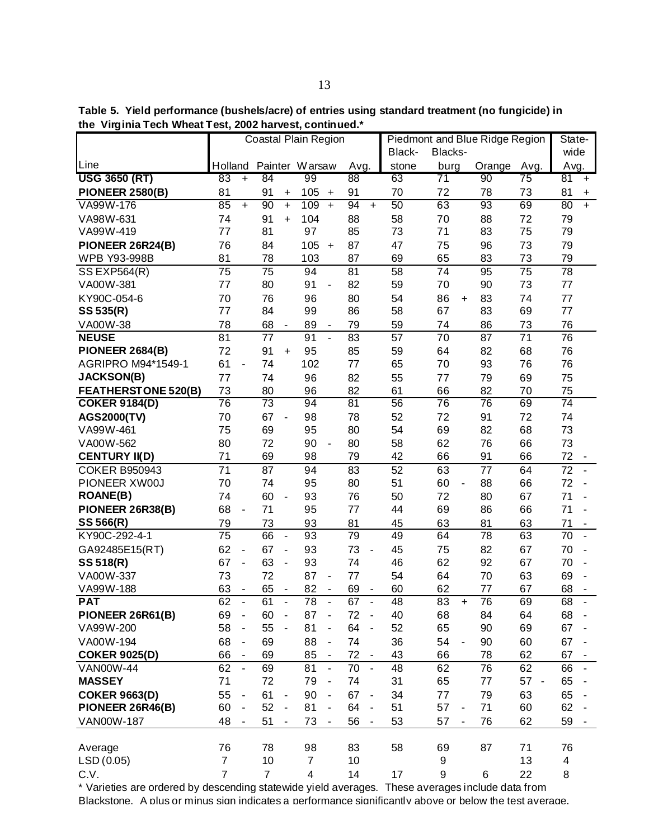|                            |                       |                              |                 |                          | Coastal Plain Region |                          |                 |                              | Piedmont and Blue Ridge Region |                       | State-          |                      |              |                          |
|----------------------------|-----------------------|------------------------------|-----------------|--------------------------|----------------------|--------------------------|-----------------|------------------------------|--------------------------------|-----------------------|-----------------|----------------------|--------------|--------------------------|
|                            |                       |                              |                 |                          |                      |                          |                 |                              | Black-                         | Blacks-               |                 |                      | wide         |                          |
| Line                       | Holland               |                              |                 |                          | Painter Warsaw       |                          | Avg.            |                              | stone                          | burg                  | Orange          | Avg.                 | Avg.         |                          |
| <b>USG 3650 (RT)</b>       | 83                    | $+$                          | 84              |                          | 99                   |                          | 88              |                              | 63                             | 71                    | 90              | $\overline{75}$      | 81           | $\ddot{}$                |
| <b>PIONEER 2580(B)</b>     | 81                    |                              | 91              | +                        | 105                  | $\ddot{}$                | 91              |                              | 70                             | 72                    | 78              | 73                   | 81           | $\ddot{}$                |
| VA99W-176                  | 85                    | $+$                          | 90              | $\ddot{}$                | 109                  | $+$                      | 94              | $+$                          | 50                             | 63                    | 93              | 69                   | 80           | $+$                      |
| VA98W-631                  | 74                    |                              | 91              | $+$                      | 104                  |                          | 88              |                              | 58                             | 70                    | 88              | 72                   | 79           |                          |
| VA99W-419                  | 77                    |                              | 81              |                          | 97                   |                          | 85              |                              | 73                             | 71                    | 83              | 75                   | 79           |                          |
| PIONEER 26R24(B)           | 76                    |                              | 84              |                          | 105                  | $\ddot{}$                | 87              |                              | 47                             | 75                    | 96              | 73                   | 79           |                          |
| WPB Y93-998B               | 81                    |                              | 78              |                          | 103                  |                          | 87              |                              | 69                             | 65                    | 83              | 73                   | 79           |                          |
| <b>SS EXP564(R)</b>        | 75                    |                              | 75              |                          | 94                   |                          | 81              |                              | 58                             | 74                    | 95              | 75                   | 78           |                          |
| VA00W-381                  | 77                    |                              | 80              |                          | 91                   | $\overline{\phantom{a}}$ | 82              |                              | 59                             | 70                    | 90              | 73                   | 77           |                          |
| KY90C-054-6                | 70<br>77              |                              | 76<br>84        |                          | 96                   |                          | 80              |                              | 54                             | 86<br>$\ddot{}$<br>67 | 83<br>83        | 74<br>69             | 77<br>77     |                          |
| SS 535(R)                  |                       |                              |                 |                          | 99                   |                          | 86              |                              | 58                             |                       |                 |                      |              |                          |
| VA00W-38<br><b>NEUSE</b>   | 78<br>$\overline{81}$ |                              | 68<br>77        | $\overline{\phantom{a}}$ | 89<br>91             | $\frac{1}{2}$            | 79<br>83        |                              | 59<br>57                       | 74<br>70              | 86<br>87        | 73<br>71             | 76<br>76     |                          |
| <b>PIONEER 2684(B)</b>     | 72                    |                              | 91              | $\ddot{}$                | 95                   |                          | 85              |                              | 59                             | 64                    | 82              | 68                   | 76           |                          |
| AGRIPRO M94*1549-1         | 61                    | $\qquad \qquad \blacksquare$ | 74              |                          | 102                  |                          | 77              |                              | 65                             | 70                    | 93              | 76                   | 76           |                          |
| <b>JACKSON(B)</b>          | 77                    |                              | 74              |                          | 96                   |                          | 82              |                              | 55                             | 77                    | 79              | 69                   | 75           |                          |
| <b>FEATHERSTONE 520(B)</b> | 73                    |                              | 80              |                          | 96                   |                          | 82              |                              | 61                             | 66                    | 82              | 70                   | 75           |                          |
| <b>COKER 9184(D)</b>       | 76                    |                              | $\overline{73}$ |                          | 94                   |                          | $\overline{81}$ |                              | 56                             | 76                    | $\overline{76}$ | 69                   | 74           |                          |
| <b>AGS2000(TV)</b>         | 70                    |                              | 67              | $\overline{\phantom{a}}$ | 98                   |                          | 78              |                              | 52                             | 72                    | 91              | 72                   | 74           |                          |
| VA99W-461                  | 75                    |                              | 69              |                          | 95                   |                          | 80              |                              | 54                             | 69                    | 82              | 68                   | 73           |                          |
| VA00W-562                  | 80                    |                              | 72              |                          | 90                   | $\blacksquare$           | 80              |                              | 58                             | 62                    | 76              | 66                   | 73           |                          |
| <b>CENTURY II(D)</b>       | 71                    |                              | 69              |                          | 98                   |                          | 79              |                              | 42                             | 66                    | 91              | 66                   | 72           |                          |
| <b>COKER B950943</b>       | 71                    |                              | 87              |                          | 94                   |                          | 83              |                              | 52                             | 63                    | 77              | 64                   | 72           |                          |
| PIONEER XW00J              | 70                    |                              | 74              |                          | 95                   |                          | 80              |                              | 51                             | 60<br>$\blacksquare$  | 88              | 66                   | 72<br>$\sim$ |                          |
| <b>ROANE(B)</b>            | 74                    |                              | 60              | $\blacksquare$           | 93                   |                          | 76              |                              | 50                             | 72                    | 80              | 67                   | 71           | $\overline{\phantom{a}}$ |
| PIONEER 26R38(B)           | 68                    | $\overline{\phantom{a}}$     | 71              |                          | 95                   |                          | 77              |                              | 44                             | 69                    | 86              | 66                   | 71           | $\blacksquare$           |
| SS 566(R)                  | 79                    |                              | 73              |                          | 93                   |                          | 81              |                              | 45                             | 63                    | 81              | 63                   | 71           |                          |
| KY90C-292-4-1              | 75                    |                              | 66              | $\blacksquare$           | 93                   |                          | 79              |                              | 49                             | 64                    | 78              | 63                   | 70           | $\blacksquare$           |
| GA92485E15(RT)             | 62                    | $\blacksquare$               | 67              | ÷,                       | 93                   |                          | 73              | $\blacksquare$               | 45                             | 75                    | 82              | 67                   | 70           | $\overline{\phantom{a}}$ |
| SS 518(R)                  | 67                    | $\blacksquare$               | 63              | ÷,                       | 93                   |                          | 74              |                              | 46                             | 62                    | 92              | 67                   | 70           | $\blacksquare$           |
| VA00W-337                  | 73                    |                              | 72              |                          | 87                   | $\blacksquare$           | 77              |                              | 54                             | 64                    | 70              | 63                   | 69           | $\overline{\phantom{a}}$ |
| VA99W-188                  | 63                    | $\overline{\phantom{a}}$     | 65              | $\overline{\phantom{a}}$ | 82                   | $\blacksquare$           | 69              | $\qquad \qquad \blacksquare$ | 60                             | 62                    | 77              | 67                   | 68           | $\overline{\phantom{a}}$ |
| <b>PAT</b>                 | 62                    | $\blacksquare$               | 61              | $\overline{a}$           | $\overline{78}$      | $\frac{1}{2}$            | 67              | $\overline{a}$               | 48                             | 83<br>$\ddot{}$       | 76              | 69                   | 68           |                          |
| PIONEER 26R61(B)           | 69                    | $\blacksquare$               | 60              | $\blacksquare$           | 87                   | $\blacksquare$           | 72              | $\overline{a}$               | 40                             | 68                    | 84              | 64                   | 68           |                          |
| VA99W-200                  | 58                    | $\blacksquare$               | 55              |                          | 81                   | $\overline{\phantom{a}}$ | 64              |                              | 52                             | 65                    | 90              | 69                   | 67           |                          |
| VA00W-194                  | 68                    | $\blacksquare$               | 69              |                          | 88                   | $\overline{\phantom{a}}$ | 74              |                              | 36                             | 54<br>$\blacksquare$  | 90              | 60                   | 67           | $\blacksquare$           |
| <b>COKER 9025(D)</b>       | 66                    | ä,                           | 69              |                          | 85                   | $\blacksquare$           | 72              |                              | 43                             | 66                    | 78              | 62                   | 67           |                          |
| <b>VAN00W-44</b>           | 62                    | $\sim$                       | 69              |                          | 81                   | $\blacksquare$           | 70              | $\blacksquare$               | 48                             | 62                    | 76              | 62                   | 66           | $\blacksquare$           |
| <b>MASSEY</b>              | 71                    |                              | 72              |                          | 79                   | $\blacksquare$           | 74              |                              | 31                             | 65                    | 77              | 57<br>$\overline{a}$ | 65           |                          |
| <b>COKER 9663(D)</b>       | 55                    | $\blacksquare$               | 61              | $\blacksquare$           | 90                   |                          | 67              | $\blacksquare$               | 34                             | 77                    | 79              | 63                   | 65           |                          |
| PIONEER 26R46(B)           | 60                    | $\blacksquare$               | 52              | $\blacksquare$           | 81                   |                          | 64              |                              | 51                             | 57                    | 71              | 60                   | 62           |                          |
| VAN00W-187                 | 48                    | $\blacksquare$               | 51              | $\overline{\phantom{a}}$ | 73                   |                          | 56              |                              | 53                             | 57<br>٠               | 76              | 62                   | 59           |                          |
| Average                    | 76                    |                              | 78              |                          | 98                   |                          | 83              |                              | 58                             | 69                    | 87              | 71                   | 76           |                          |
| LSD(0.05)                  | $\overline{7}$        |                              | 10              |                          | $\overline{7}$       |                          | 10              |                              |                                | 9                     |                 | 13                   | 4            |                          |
| C.V.                       | $\overline{7}$        |                              | $\overline{7}$  |                          | 4                    |                          | 14              |                              | 17                             | 9                     | 6               | 22                   | 8            |                          |

\* Varieties are ordered by descending statewide yield averages. These averages include data from Blackstone. A plus or minus sign indicates a performance significantly above or below the test average.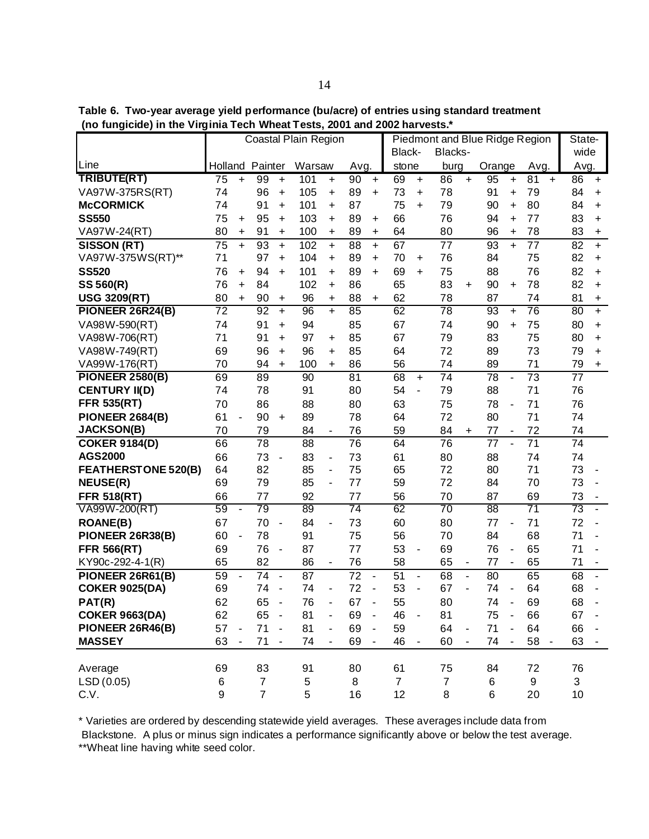**Table 6. Two-year average yield performance (bu/acre) of entries using standard treatment (no fungicide) in the Virginia Tech Wheat Tests, 2001 and 2002 harvests.\***

|                            |                 |                |                |                | Coastal Plain Region |                          |                 |                      | Piedmont and Blue Ridge Region |                          |                |                |                 |                          |                 |  | State-          |                                  |
|----------------------------|-----------------|----------------|----------------|----------------|----------------------|--------------------------|-----------------|----------------------|--------------------------------|--------------------------|----------------|----------------|-----------------|--------------------------|-----------------|--|-----------------|----------------------------------|
|                            |                 |                |                |                |                      |                          |                 |                      | Black-                         |                          | Blacks-        |                |                 |                          |                 |  | wide            |                                  |
| Line                       | Holland Painter |                |                |                | Warsaw               |                          | Avg.            |                      | stone                          |                          | burg           |                | Orange          |                          | Avg.            |  | Avg.            |                                  |
| TRIBUTE(RT)                | 75              | $\ddot{}$      | 99             | $\ddot{}$      | 101                  | $\ddot{}$                | 90              | $\ddot{}$            | 69                             | $\ddot{}$                | 86             | $\ddot{}$      | 95              | $\ddot{}$                | 81<br>$\ddot{}$ |  | 86              | $+$                              |
| VA97W-375RS(RT)            | 74              |                | 96             | $\ddot{}$      | 105                  | $\ddot{}$                | 89              | +                    | 73                             | +                        | 78             |                | 91              | +                        | 79              |  | 84              | $\ddot{}$                        |
| <b>McCORMICK</b>           | 74              |                | 91             | $\ddot{}$      | 101                  | $\ddot{}$                | 87              |                      | 75                             | $\ddot{}$                | 79             |                | 90              | +                        | 80              |  | 84              | $\ddot{}$                        |
| <b>SS550</b>               | 75              | +              | 95             | $\ddot{}$      | 103                  | $\ddot{}$                | 89              | +                    | 66                             |                          | 76             |                | 94              | $\ddot{}$                | 77              |  | 83              | $\ddot{}$                        |
| VA97W-24(RT)               | 80              | +              | 91             | $\ddot{}$      | 100                  | $\ddot{}$                | 89              | $\ddot{}$            | 64                             |                          | 80             |                | 96              | $\ddot{}$                | 78              |  | 83              | $\begin{array}{c} + \end{array}$ |
| SISSON (RT)                | 75              | $\ddot{}$      | 93             | $\ddot{}$      | 102                  | $\ddot{}$                | 88              | $+$                  | 67                             |                          | 77             |                | 93              | $\ddot{}$                | 77              |  | 82              | $\ddot{}$                        |
| VA97W-375WS(RT)**          | 71              |                | 97             | $\ddot{}$      | 104                  | $\ddot{}$                | 89              | $\ddot{}$            | 70                             | $\ddot{}$                | 76             |                | 84              |                          | 75              |  | 82              | $\ddot{}$                        |
| <b>SS520</b>               | 76              | $\ddot{}$      | 94             | $\ddot{}$      | 101                  | $\ddot{}$                | 89              | $\ddot{}$            | 69                             | $\ddot{}$                | 75             |                | 88              |                          | 76              |  | 82              | $+$                              |
| SS 560(R)                  | 76              | $\ddot{}$      | 84             |                | 102                  | $\ddot{}$                | 86              |                      | 65                             |                          | 83             | $\ddot{}$      | 90              | $\ddot{}$                | 78              |  | 82              | $+$                              |
| <b>USG 3209(RT)</b>        | 80              | $\ddot{}$      | 90             | +              | 96                   | $\ddot{}$                | 88              | +                    | 62                             |                          | 78             |                | 87              |                          | 74              |  | 81              | $\ddot{}$                        |
| PIONEER 26R24(B)           | 72              |                | 92             | $\ddot{}$      | 96                   | $\ddot{}$                | 85              |                      | 62                             |                          | 78             |                | 93              | $\ddot{}$                | 76              |  | 80              | $+$                              |
| VA98W-590(RT)              | 74              |                | 91             | $\ddot{}$      | 94                   |                          | 85              |                      | 67                             |                          | 74             |                | 90              | $\ddot{}$                | 75              |  | 80              | $\ddot{}$                        |
| VA98W-706(RT)              | 71              |                | 91             | $\ddot{}$      | 97                   | +                        | 85              |                      | 67                             |                          | 79             |                | 83              |                          | 75              |  | 80              | $\ddot{}$                        |
| VA98W-749(RT)              | 69              |                | 96             | $\ddot{}$      | 96                   | +                        | 85              |                      | 64                             |                          | 72             |                | 89              |                          | 73              |  | 79              | $\ddot{}$                        |
| VA99W-176(RT)              | 70              |                | 94             | $\ddot{}$      | 100                  | $\ddot{}$                | 86              |                      | 56                             |                          | 74             |                | 89              |                          | 71              |  | 79              | $\begin{array}{c} + \end{array}$ |
| <b>PIONEER 2580(B)</b>     | 69              |                | 89             |                | 90                   |                          | 81              |                      | 68                             | $\ddot{}$                | 74             |                | 78              | ÷,                       | 73              |  | 77              |                                  |
| <b>CENTURY II(D)</b>       | 74              |                | 78             |                | 91                   |                          | 80              |                      | 54                             | ÷,                       | 79             |                | 88              |                          | 71              |  | 76              |                                  |
| <b>FFR 535(RT)</b>         | 70              |                | 86             |                | 88                   |                          | 80              |                      | 63                             |                          | 75             |                | 78              | $\overline{a}$           | 71              |  | 76              |                                  |
| <b>PIONEER 2684(B)</b>     | 61              | $\blacksquare$ | 90             | $\ddot{}$      | 89                   |                          | 78              |                      | 64                             |                          | 72             |                | 80              |                          | 71              |  | 74              |                                  |
| <b>JACKSON(B)</b>          | 70              |                | 79             |                | 84                   | $\blacksquare$           | 76              |                      | 59                             |                          | 84             | +              | 77              | $\overline{\phantom{a}}$ | 72              |  | 74              |                                  |
| <b>COKER 9184(D)</b>       | 66              |                | 78             |                | 88                   |                          | 76              |                      | 64                             |                          | 76             |                | 77              | $\overline{a}$           | 71              |  | 74              |                                  |
| <b>AGS2000</b>             | 66              |                | 73             | $\blacksquare$ | 83                   | $\blacksquare$           | 73              |                      | 61                             |                          | 80             |                | 88              |                          | 74              |  | 74              |                                  |
| <b>FEATHERSTONE 520(B)</b> | 64              |                | 82             |                | 85                   | $\overline{\phantom{a}}$ | 75              |                      | 65                             |                          | 72             |                | 80              |                          | 71              |  | 73              | $\qquad \qquad \blacksquare$     |
| <b>NEUSE(R)</b>            | 69              |                | 79             |                | 85                   | $\overline{\phantom{a}}$ | 77              |                      | 59                             |                          | 72             |                | 84              |                          | 70              |  | 73              | ÷,                               |
| <b>FFR 518(RT)</b>         | 66              |                | 77             |                | 92                   |                          | 77              |                      | 56                             |                          | 70             |                | 87              |                          | 69              |  | 73              |                                  |
| VA99W-200(RT)              | 59              | ä,             | 79             |                | 89                   |                          | $\overline{74}$ |                      | 62                             |                          | 70             |                | $\overline{88}$ |                          | $\overline{71}$ |  | $\overline{73}$ | $\blacksquare$                   |
| <b>ROANE(B)</b>            | 67              |                | 70             | $\blacksquare$ | 84                   | $\blacksquare$           | 73              |                      | 60                             |                          | 80             |                | 77              |                          | 71              |  | 72              | $\overline{\phantom{a}}$         |
| PIONEER 26R38(B)           | 60              | ä,             | 78             |                | 91                   |                          | 75              |                      | 56                             |                          | 70             |                | 84              |                          | 68              |  | 71              | $\blacksquare$                   |
| <b>FFR 566(RT)</b>         | 69              |                | 76             | ÷,             | 87                   |                          | 77              |                      | 53                             | ÷,                       | 69             |                | 76              | ÷,                       | 65              |  | 71              | $\overline{a}$                   |
| KY90c-292-4-1(R)           | 65              |                | 82             |                | 86                   | $\overline{\phantom{a}}$ | 76              |                      | 58                             |                          | 65             | $\blacksquare$ | 77              | ÷,                       | 65              |  | 71              | $\blacksquare$                   |
| PIONEER 26R61(B)           | 59              | $\overline{a}$ | 74             | $\blacksquare$ | 87                   |                          | 72              | ÷,                   | 51                             | $\overline{\phantom{a}}$ | 68             | $\overline{a}$ | 80              |                          | 65              |  | 68              | ÷,                               |
| <b>COKER 9025(DA)</b>      | 69              |                | 74             | $\blacksquare$ | 74                   | ä,                       | 72              | $\ddot{\phantom{1}}$ | 53                             | ÷,                       | 67             | L,             | 74              | $\blacksquare$           | 64              |  | 68              | ÷,                               |
| PAT(R)                     | 62              |                | 65             | $\blacksquare$ | 76                   |                          | 67              | ÷,                   | 55                             |                          | 80             |                | 74              |                          | 69              |  | 68              |                                  |
| <b>COKER 9663(DA)</b>      | 62              |                | 65             | $\sim$         | 81                   |                          | 69              | $\blacksquare$       | 46                             | $\blacksquare$           | 81             |                | 75              | ÷,                       | 66              |  | 67              |                                  |
| PIONEER 26R46(B)           | 57              | $\blacksquare$ | 71             |                | 81                   |                          | 69              |                      | 59                             |                          | 64             |                | 71              |                          | 64              |  | 66              |                                  |
| <b>MASSEY</b>              | 63              |                | 71             |                | 74                   |                          | 69              |                      | 46                             |                          | 60             |                | 74              |                          | 58 -            |  | 63              |                                  |
|                            |                 |                |                |                |                      |                          |                 |                      |                                |                          |                |                |                 |                          |                 |  |                 |                                  |
| Average                    | 69              |                | 83             |                | 91                   |                          | 80              |                      | 61                             |                          | 75             |                | 84              |                          | 72              |  | 76              |                                  |
| LSD(0.05)                  | 6               |                | $\overline{7}$ |                | 5                    |                          | 8               |                      | $\overline{7}$                 |                          | $\overline{7}$ |                | 6               |                          | 9               |  | 3               |                                  |
| C.V.                       | 9               |                | $\overline{7}$ |                | 5                    |                          | 16              |                      | 12                             |                          | 8              |                | 6               |                          | 20              |  | 10 <sup>1</sup> |                                  |

\* Varieties are ordered by descending statewide yield averages. These averages include data from

Blackstone. A plus or minus sign indicates a performance significantly above or below the test average. \*\*Wheat line having white seed color.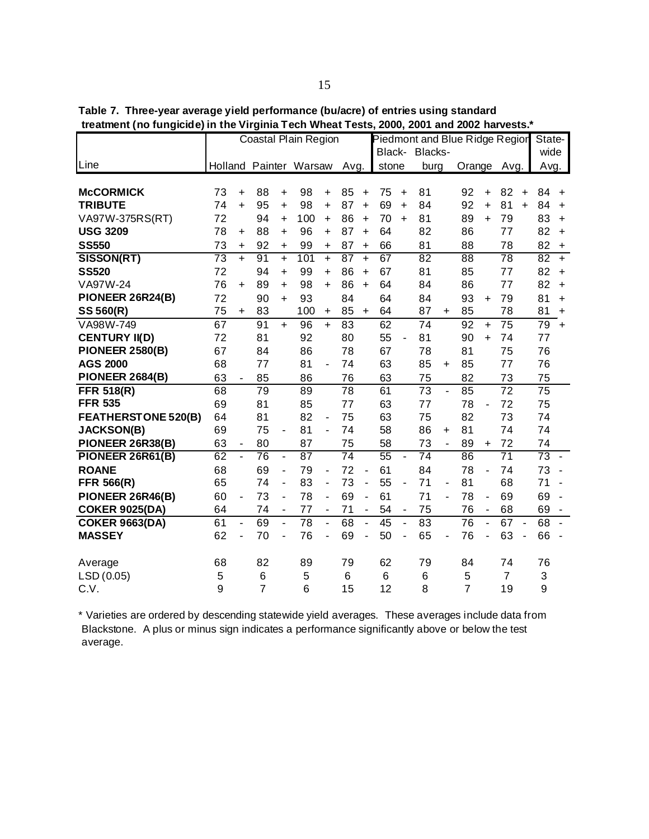|                            |                 |                          |                |                | Coastal Plain Region   |                          |                 |                | Piedmont and Blue Ridge Regior |                          |                 |                |                 |                          |                 |           | State-          |                |
|----------------------------|-----------------|--------------------------|----------------|----------------|------------------------|--------------------------|-----------------|----------------|--------------------------------|--------------------------|-----------------|----------------|-----------------|--------------------------|-----------------|-----------|-----------------|----------------|
|                            |                 |                          |                |                |                        |                          |                 |                |                                |                          | Black- Blacks-  |                |                 |                          |                 |           | wide            |                |
| Line                       |                 |                          |                |                | Holland Painter Warsaw |                          | Avg.            |                | stone                          |                          | burg            |                | Orange          |                          | Avg.            |           | Avg.            |                |
|                            |                 |                          |                |                |                        |                          |                 |                |                                |                          |                 |                |                 |                          |                 |           |                 |                |
| <b>McCORMICK</b>           | 73              | $\ddot{}$                | 88             | +              | 98                     | $\ddot{}$                | 85              | $\ddot{}$      | 75                             | $\ddot{}$                | 81              |                | 92              | $\ddot{}$                | 82              | $\ddot{}$ | 84              | $\ddot{}$      |
| <b>TRIBUTE</b>             | 74              | $\ddot{}$                | 95             | $\ddot{}$      | 98                     | $\ddot{}$                | 87              | $\ddot{}$      | 69                             | $\ddot{}$                | 84              |                | 92              | $\ddotmark$              | 81              | $+$       | 84              | $\ddot{}$      |
| VA97W-375RS(RT)            | 72              |                          | 94             | $\ddot{}$      | 100                    | $\ddot{}$                | 86              | $\ddot{}$      | 70                             | $\ddot{}$                | 81              |                | 89              | $\ddot{}$                | 79              |           | 83              | $\ddot{}$      |
| <b>USG 3209</b>            | 78              | +                        | 88             | $\ddot{}$      | 96                     | $\ddot{}$                | 87              | $\ddot{}$      | 64                             |                          | 82              |                | 86              |                          | 77              |           | 82              | $\ddot{}$      |
| <b>SS550</b>               | 73              | $\ddot{}$                | 92             | +              | 99                     | +                        | 87              | $\ddot{}$      | 66                             |                          | 81              |                | 88              |                          | 78              |           | 82              | $\ddot{}$      |
| SISSON(RT)                 | $\overline{73}$ | $\ddot{}$                | 91             | $+$            | 101                    | $+$                      | 87              | $\ddot{}$      | 67                             |                          | $\overline{82}$ |                | $\overline{88}$ |                          | 78              |           | $\overline{82}$ | $+$            |
| <b>SS520</b>               | 72              |                          | 94             | +              | 99                     | $\ddot{}$                | 86              | $\ddot{}$      | 67                             |                          | 81              |                | 85              |                          | 77              |           | 82              | $\ddot{}$      |
| VA97W-24                   | 76              | $\ddot{}$                | 89             | $\ddot{}$      | 98                     | $+$                      | 86              | $\ddot{}$      | 64                             |                          | 84              |                | 86              |                          | 77              |           | 82              | $+$            |
| PIONEER 26R24(B)           | 72              |                          | 90             | $+$            | 93                     |                          | 84              |                | 64                             |                          | 84              |                | 93              | $\ddot{}$                | 79              |           | 81              | $\ddot{}$      |
| SS 560(R)                  | 75              | $\ddot{}$                | 83             |                | 100                    | $\ddot{}$                | 85              | $\ddot{}$      | 64                             |                          | 87              | $\ddot{}$      | 85              |                          | 78              |           | 81              | $\ddot{}$      |
| VA98W-749                  | 67              |                          | 91             | $+$            | 96                     | $+$                      | 83              |                | 62                             |                          | 74              |                | $\overline{92}$ | $\ddot{}$                | $\overline{75}$ |           | 79              | $+$            |
| <b>CENTURY II(D)</b>       | 72              |                          | 81             |                | 92                     |                          | 80              |                | 55                             |                          | 81              |                | 90              | $\ddot{}$                | 74              |           | 77              |                |
| <b>PIONEER 2580(B)</b>     | 67              |                          | 84             |                | 86                     |                          | 78              |                | 67                             |                          | 78              |                | 81              |                          | 75              |           | 76              |                |
| <b>AGS 2000</b>            | 68              |                          | 77             |                | 81                     | ä,                       | 74              |                | 63                             |                          | 85              | +              | 85              |                          | 77              |           | 76              |                |
| <b>PIONEER 2684(B)</b>     | 63              | $\overline{\phantom{a}}$ | 85             |                | 86                     |                          | 76              |                | 63                             |                          | 75              |                | 82              |                          | 73              |           | 75              |                |
| <b>FFR 518(R)</b>          | 68              |                          | 79             |                | 89                     |                          | 78              |                | 61                             |                          | 73              | L.             | 85              |                          | $\overline{72}$ |           | 75              |                |
| <b>FFR 535</b>             | 69              |                          | 81             |                | 85                     |                          | 77              |                | 63                             |                          | 77              |                | 78              | $\overline{a}$           | 72              |           | 75              |                |
| <b>FEATHERSTONE 520(B)</b> | 64              |                          | 81             |                | 82                     | $\blacksquare$           | 75              |                | 63                             |                          | 75              |                | 82              |                          | 73              |           | 74              |                |
| <b>JACKSON(B)</b>          | 69              |                          | 75             | $\blacksquare$ | 81                     | $\blacksquare$           | 74              |                | 58                             |                          | 86              | $\ddot{}$      | 81              |                          | 74              |           | 74              |                |
| PIONEER 26R38(B)           | 63              | -                        | 80             |                | 87                     |                          | 75              |                | 58                             |                          | 73              | $\blacksquare$ | 89              | +                        | 72              |           | 74              |                |
| PIONEER 26R61(B)           | 62              | $\overline{\phantom{a}}$ | 76             | $\blacksquare$ | 87                     |                          | $\overline{74}$ |                | 55                             | ÷,                       | 74              |                | 86              |                          | $\overline{71}$ |           | 73              | $\blacksquare$ |
| <b>ROANE</b>               | 68              |                          | 69             | ÷,             | 79                     | ÷,                       | 72              | ÷,             | 61                             |                          | 84              |                | 78              | ÷,                       | 74              |           | 73              |                |
| <b>FFR 566(R)</b>          | 65              |                          | 74             | ÷,             | 83                     | $\overline{\phantom{0}}$ | 73              | ÷,             | 55                             | $\overline{\phantom{a}}$ | 71              | $\blacksquare$ | 81              |                          | 68              |           | 71              |                |
| PIONEER 26R46(B)           | 60              | $\blacksquare$           | 73             | $\blacksquare$ | 78                     | ä,                       | 69              | $\blacksquare$ | 61                             |                          | 71              | ä,             | 78              | $\overline{\phantom{0}}$ | 69              |           | 69              | $\blacksquare$ |
| <b>COKER 9025(DA)</b>      | 64              |                          | 74             | $\blacksquare$ | 77                     | $\overline{a}$           | 71              | $\blacksquare$ | 54                             | ÷,                       | 75              |                | 76              | $\blacksquare$           | 68              |           | 69              |                |
| <b>COKER 9663(DA)</b>      | 61              | ä,                       | 69             | L.             | 78                     | $\overline{a}$           | 68              | $\overline{a}$ | 45                             | $\blacksquare$           | 83              |                | 76              | $\overline{a}$           | 67              |           | 68              |                |
| <b>MASSEY</b>              | 62              | ä,                       | 70             | ÷,             | 76                     | ä,                       | 69              | ä,             | 50                             | ä,                       | 65              | $\blacksquare$ | 76              |                          | 63              |           | 66              |                |
| Average                    | 68              |                          | 82             |                | 89                     |                          | 79              |                | 62                             |                          | 79              |                | 84              |                          | 74              |           | 76              |                |
| LSD (0.05)                 | 5               |                          | 6              |                | 5                      |                          | 6               |                | 6                              |                          | 6               |                | 5               |                          | $\overline{7}$  |           | 3               |                |
| C.V.                       | 9               |                          | $\overline{7}$ |                | 6                      |                          | 15              |                | 12                             |                          | 8               |                | $\overline{7}$  |                          | 19              |           | 9               |                |
|                            |                 |                          |                |                |                        |                          |                 |                |                                |                          |                 |                |                 |                          |                 |           |                 |                |

\* Varieties are ordered by descending statewide yield averages. These averages include data from Blackstone. A plus or minus sign indicates a performance significantly above or below the test average.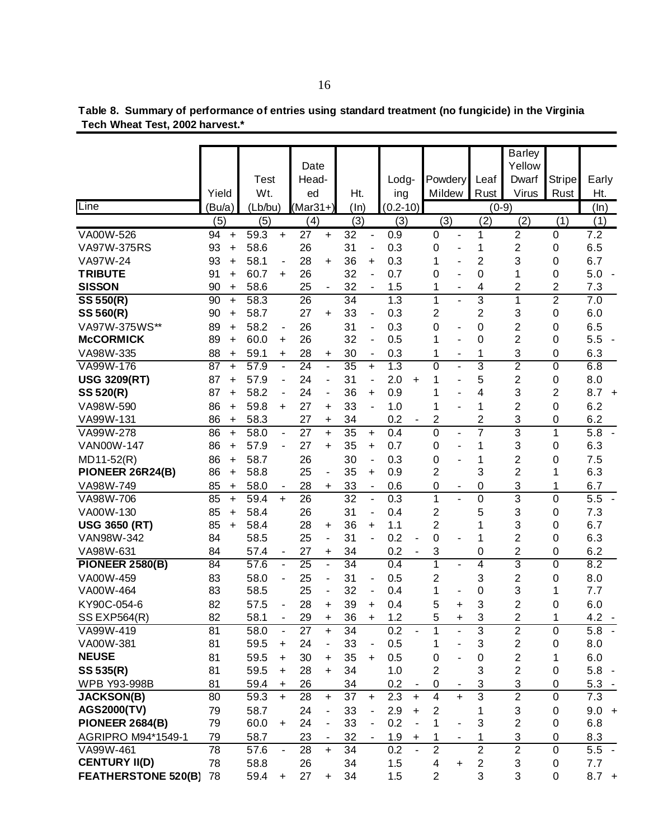|                                   |          |           |                   |                          | Date            |                              |                 |                              |              |           |                     |                          |                  | <b>Barley</b><br>Yellow |                  |                  |
|-----------------------------------|----------|-----------|-------------------|--------------------------|-----------------|------------------------------|-----------------|------------------------------|--------------|-----------|---------------------|--------------------------|------------------|-------------------------|------------------|------------------|
|                                   |          |           | Test              |                          | Head-           |                              |                 |                              | Lodg-        |           | Powdery             |                          | Leaf             | Dwarf                   | <b>Stripe</b>    | Early            |
|                                   | Yield    |           | Wt.               |                          | ed              |                              | Ht.             |                              | ing          |           | Mildew              |                          | Rust             | <b>Virus</b>            | Rust             | Ht.              |
| Line                              | (Bu/a)   |           | (Lb/bu)           |                          | $(Mar31+)$      |                              | $(\ln)$         |                              | $(0.2 - 10)$ |           |                     |                          | $(0-9)$          |                         |                  | (ln)             |
|                                   | (5)      |           | (5)               |                          | (4)             |                              | (3)             |                              | (3)          |           | (3)                 |                          | (2)              | (2)                     | (1)              | (1)              |
| VA00W-526                         | 94       | $\ddot{}$ | $59.\overline{3}$ | $+$                      | 27              | $+$                          | 32              | $\blacksquare$               | 0.9          |           | 0                   | $\blacksquare$           | 1                | $\overline{c}$          | 0                | 7.2              |
| VA97W-375RS                       | 93       | +         | 58.6              |                          | 26              |                              | 31              | $\overline{\phantom{a}}$     | 0.3          |           | 0                   | -                        | 1                | $\overline{c}$          | 0                | 6.5              |
| VA97W-24                          | 93       | $\ddot{}$ | 58.1              | $\blacksquare$           | 28              | $\ddot{}$                    | 36              | $\ddot{}$                    | 0.3          |           | 1                   |                          | $\overline{2}$   | 3                       | 0                | 6.7              |
| <b>TRIBUTE</b>                    | 91       | $\ddot{}$ | 60.7              | $+$                      | 26              |                              | 32              | ä,                           | 0.7          |           | 0                   |                          | 0                | 1                       | 0                | 5.0              |
| <b>SISSON</b>                     | 90       | $\ddot{}$ | 58.6              |                          | 25              | $\blacksquare$               | 32              | $\blacksquare$               | 1.5          |           | 1                   | $\blacksquare$           | 4                | $\overline{2}$          | $\overline{2}$   | 7.3              |
| $\overline{\text{SS}}$ 550(R)     | 90       | $\ddot{}$ | 58.3              |                          | 26              |                              | 34              |                              | 1.3          |           | 1                   | $\sim$                   | $\overline{3}$   | 1                       | $\overline{2}$   | 7.0              |
| SS 560(R)                         | 90       | $\ddot{}$ | 58.7              |                          | 27              | $\ddot{}$                    | 33              | $\overline{\phantom{a}}$     | 0.3          |           | $\overline{2}$      |                          | $\overline{2}$   | 3                       | 0                | 6.0              |
| VA97W-375WS**                     | 89       | $\ddot{}$ | 58.2              | ۰                        | 26              |                              | 31              | ÷,                           | 0.3          |           | 0                   | $\blacksquare$           | $\mathbf 0$      | $\overline{c}$          | 0                | 6.5              |
| <b>McCORMICK</b>                  | 89       | $\ddot{}$ | 60.0              | $\ddot{}$                | 26              |                              | 32              | ÷,                           | 0.5          |           | 1                   | $\blacksquare$           | $\mathbf 0$      | $\overline{c}$          | 0                | 5.5              |
| VA98W-335                         | 88       | +         | 59.1              | +                        | 28              | $\ddot{}$                    | 30              | ۰                            | 0.3          |           | 1                   | ۰                        | 1                | 3                       | 0                | 6.3              |
| VA99W-176                         | 87       | $\ddot{}$ | 57.9              | ÷,                       | $\overline{24}$ | $\overline{\phantom{a}}$     | $\overline{35}$ | $+$                          | 1.3          |           | 0                   | $\blacksquare$           | 3                | $\overline{2}$          | $\overline{0}$   | 6.8              |
| <b>USG 3209(RT)</b>               | 87       | $\ddot{}$ | 57.9              | $\overline{\phantom{a}}$ | 24              | ä,                           | 31              | $\overline{\phantom{m}}$     | 2.0          | $\ddot{}$ | 1                   | $\blacksquare$           | 5                | $\overline{2}$          | 0                | 8.0              |
| SS 520(R)                         | 87       | +         | 58.2              | $\blacksquare$           | 24              | $\overline{\phantom{0}}$     | 36              | $\ddot{}$                    | 0.9          |           | 1                   | $\blacksquare$           | 4                | 3                       | $\overline{2}$   | 8.7<br>$\ddot{}$ |
| VA98W-590                         | 86       | +         | 59.8              | +                        | 27              | +                            | 33              | $\blacksquare$               | 1.0          |           | 1                   |                          | 1                | $\overline{2}$          | 0                | 6.2              |
| VA99W-131                         | 86       | $\ddot{}$ | 58.3              |                          | 27              | +                            | 34              |                              | 0.2          |           | $\overline{2}$      |                          | $\overline{2}$   | 3                       | 0                | 6.2              |
| VA99W-278                         | 86       | $\ddot{}$ | 58.0              | $\blacksquare$           | 27              | $+$                          | 35              | $+$                          | 0.4          |           | $\overline{0}$      | $\blacksquare$           | 7                | 3                       | 1                | $\overline{5.8}$ |
| <b>VAN00W-147</b>                 | 86       | $\ddot{}$ | 57.9              | $\blacksquare$           | 27              | $\ddot{}$                    | 35              | $\ddot{}$                    | 0.7          |           | 0                   | $\blacksquare$           | 1                | 3                       | 0                | 6.3              |
| MD11-52(R)                        | 86       | $\ddot{}$ | 58.7              |                          | 26              |                              | 30              | ÷,                           | 0.3          |           | 0                   |                          | 1                | 2                       | 0                | 7.5              |
| PIONEER 26R24(B)                  | 86       | $\ddot{}$ | 58.8              |                          | 25              | $\qquad \qquad \blacksquare$ | 35              | $\ddot{}$                    | 0.9          |           | 2                   |                          | 3                | $\overline{2}$          | 1                | 6.3              |
| VA98W-749                         | 85       | +         | 58.0              |                          | 28              | +                            | 33              | $\qquad \qquad \blacksquare$ | 0.6          |           | 0                   |                          | $\boldsymbol{0}$ | 3                       | 1                | 6.7              |
| VA98W-706                         | 85       | $\ddot{}$ | 59.4              | $\ddot{}$                | 26              |                              | 32              | ÷,                           | 0.3          |           | 1                   |                          | $\mathbf 0$      | 3<br>3                  | $\boldsymbol{0}$ | 5.5              |
| VA00W-130<br><b>USG 3650 (RT)</b> | 85<br>85 | $\ddot{}$ | 58.4<br>58.4      |                          | 26<br>28        |                              | 31<br>36        |                              | 0.4<br>1.1   |           | 2<br>$\overline{2}$ |                          | 5<br>1           | 3                       | 0                | 7.3<br>6.7       |
| VAN98W-342                        | 84       | $\ddot{}$ | 58.5              |                          | 25              | $\ddot{}$                    | 31              | +<br>ä,                      | 0.2          |           | 0                   |                          | 1                | $\overline{2}$          | 0<br>0           | 6.3              |
| VA98W-631                         | 84       |           | 57.4              | ۰                        | 27              | +                            | 34              |                              | 0.2          | ÷,        | 3                   |                          | 0                | $\overline{c}$          | 0                | 6.2              |
| <b>PIONEER 2580(B)</b>            | 84       |           | 57.6              | ä,                       | $\overline{25}$ | $\blacksquare$               | 34              |                              | 0.4          |           | 1                   | $\blacksquare$           | 4                | 3                       | 0                | 8.2              |
| VA00W-459                         | 83       |           | 58.0              |                          | 25              | $\overline{\phantom{a}}$     | 31              | $\overline{\phantom{a}}$     | 0.5          |           | 2                   |                          | 3                | $\overline{2}$          | 0                | 8.0              |
| VA00W-464                         | 83       |           | 58.5              |                          | 25              | ٠                            | 32              | $\blacksquare$               | 0.4          |           | 1                   |                          | 0                | 3                       | 1                | 7.7              |
| KY90C-054-6                       | 82       |           | 57.5              |                          | 28              | +                            | 39              | $\ddot{}$                    | 0.4          |           | 5                   | $\ddot{}$                | 3                | $\overline{2}$          | 0                | 6.0              |
| <b>SS EXP564(R)</b>               | 82       |           | 58.1              |                          | 29              |                              | 36              | $\ddot{}$                    | 1.2          |           | 5                   |                          | 3                | $\overline{\mathbf{c}}$ | 1                | 4.2              |
| VA99W-419                         | 81       |           | 58.0              |                          | 27              | $\ddot{}$                    | 34              |                              | 0.2          |           | 1                   |                          | 3                | $\overline{2}$          | $\boldsymbol{0}$ | 5.8              |
| VA00W-381                         | 81       |           | 59.5              | +                        | 24              |                              | 33              |                              | 0.5          |           | 1                   |                          | 3                | $\overline{2}$          | $\boldsymbol{0}$ | 8.0              |
| <b>NEUSE</b>                      | 81       |           | 59.5              | +                        | 30              | +                            | 35              | $\ddot{}$                    | 0.5          |           | 0                   |                          | $\pmb{0}$        | $\overline{\mathbf{c}}$ | 1                | 6.0              |
| SS 535(R)                         | 81       |           | 59.5              | $\ddot{}$                | 28              | $\ddot{}$                    | 34              |                              | 1.0          |           | $\overline{2}$      |                          | 3                | $\overline{2}$          | 0                | 5.8              |
| WPB Y93-998B                      | 81       |           | 59.4              | +                        | 26              |                              | 34              |                              | 0.2          |           | 0                   |                          | 3                | 3                       | 0                | 5.3              |
| <b>JACKSON(B)</b>                 | 80       |           | 59.3              | $+$                      | $\overline{28}$ | $\ddot{}$                    | $\overline{37}$ | $\ddot{}$                    | 2.3          | $\ddot{}$ | $\overline{4}$      | $\ddot{}$                | $\overline{3}$   | $\overline{2}$          | $\overline{0}$   | 7.3              |
| <b>AGS2000(TV)</b>                | 79       |           | 58.7              |                          | 24              |                              | 33              |                              | 2.9          | +         | $\overline{c}$      |                          | 1                | 3                       | $\pmb{0}$        | $9.0 +$          |
| <b>PIONEER 2684(B)</b>            | 79       |           | 60.0              | +                        | 24              |                              | 33              |                              | 0.2          |           | 1                   |                          | $\mathsf 3$      | $\overline{2}$          | $\mathbf 0$      | 6.8              |
| AGRIPRO M94*1549-1                | 79       |           | 58.7              |                          | 23              |                              | 32              |                              | 1.9          | $\ddot{}$ | 1                   | $\overline{\phantom{a}}$ | $\mathbf 1$      | 3                       | $\pmb{0}$        | 8.3              |
| VA99W-461                         | 78       |           | 57.6              | ä,                       | 28              | $+$                          | 34              |                              | 0.2          |           | $\overline{2}$      |                          | $\overline{2}$   | $\overline{2}$          | $\mathbf 0$      | 5.5              |
| <b>CENTURY II(D)</b>              | 78       |           | 58.8              |                          | 26              |                              | 34              |                              | 1.5          |           | 4                   | $\ddot{}$                | $\mathbf 2$      | 3                       | $\boldsymbol{0}$ | 7.7              |
| <b>FEATHERSTONE 520(B)</b>        | 78       |           | 59.4              | $\ddot{}$                | 27              | $\ddot{}$                    | 34              |                              | 1.5          |           | $\overline{2}$      |                          | 3                | 3                       | 0                | $8.7 +$          |

 **Tech Wheat Test, 2002 harvest.\* Table 8. Summary of performance of entries using standard treatment (no fungicide) in the Virginia**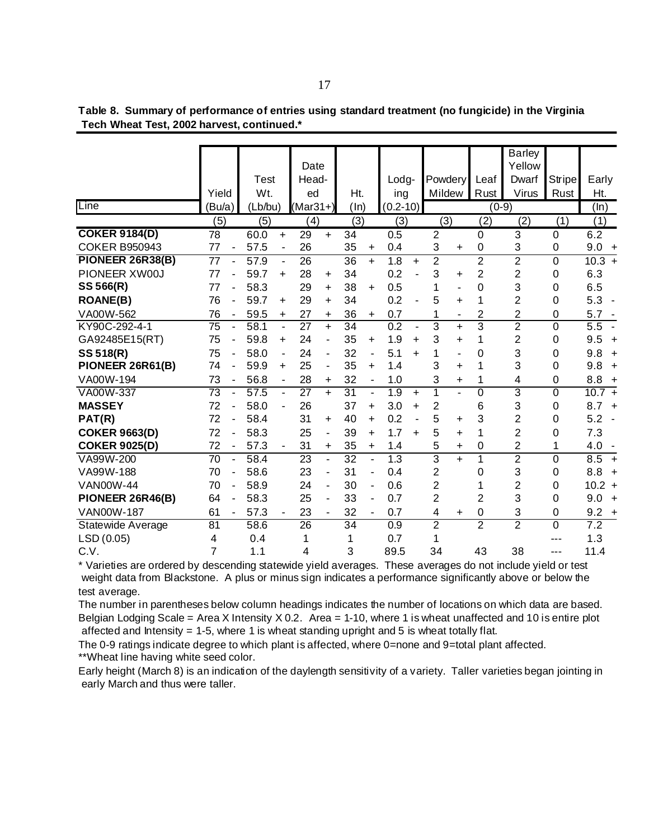|                         |                 |                          |                  |                          |                  |                          |                 |                          |                  |           |                  |           |                  | <b>Barley</b>  |                  |                       |
|-------------------------|-----------------|--------------------------|------------------|--------------------------|------------------|--------------------------|-----------------|--------------------------|------------------|-----------|------------------|-----------|------------------|----------------|------------------|-----------------------|
|                         |                 |                          |                  |                          | Date             |                          |                 |                          |                  |           |                  |           |                  | Yellow         |                  |                       |
|                         |                 |                          | Test             |                          | Head-            |                          |                 |                          | Lodg-            |           | <b>Powdery</b>   |           | Leaf             | Dwarf          | Stripel          | Early                 |
|                         | Yield           |                          | Wt.              |                          | ed               |                          | Ht.             |                          | ing              |           | Mildew           |           | Rust             | <b>Virus</b>   | Rust             | Ht.                   |
| Line                    | (Bu/a)          |                          | (Lb/bu)          |                          | $(Mar31+)$       |                          | (ln)            |                          | $(0.2 - 10)$     |           |                  |           |                  | $(0-9)$        |                  | (ln)                  |
|                         | (5)             |                          | $\overline{(5)}$ |                          | $\overline{(4)}$ |                          | $\overline{3}$  |                          | $\overline{(3)}$ |           | $\overline{(3)}$ |           | $\overline{(2)}$ | (2)            | $\overline{(1)}$ | (1)                   |
| <b>COKER 9184(D)</b>    | 78              |                          | 60.0             | $+$                      | 29               | $+$                      | 34              |                          | 0.5              |           | $\overline{2}$   |           | $\mathbf 0$      | 3              | 0                | 6.2                   |
| <b>COKER B950943</b>    | 77              |                          | 57.5             | $\overline{\phantom{a}}$ | 26               |                          | 35              | $\ddot{}$                | 0.4              |           | 3                | $\ddot{}$ | $\mathbf 0$      | 3              | 0                | $9.0 +$               |
| <b>PIONEER 26R38(B)</b> | 77              |                          | 57.9             | $\blacksquare$           | 26               |                          | 36              | $+$                      | 1.8              | $\ddot{}$ | $\overline{2}$   |           | 2                | $\overline{2}$ | 0                | $10.3 +$              |
| PIONEER XW00J           | 77              |                          | 59.7             | $\ddot{}$                | 28               | $\ddot{}$                | 34              |                          | 0.2              |           | 3                | ÷.        | $\overline{2}$   | $\overline{2}$ | 0                | 6.3                   |
| SS 566(R)               | 77              |                          | 58.3             |                          | 29               | +                        | 38              | $\ddot{}$                | 0.5              |           | 1                | ۳         | $\mathbf 0$      | 3              | 0                | 6.5                   |
| <b>ROANE(B)</b>         | 76              |                          | 59.7             | $\ddot{}$                | 29               | $\ddot{}$                | 34              |                          | 0.2              |           | 5                | ÷.        | 1                | $\overline{2}$ | 0                | 5.3                   |
| VA00W-562               | 76              |                          | 59.5             | +                        | 27               | +                        | 36              | $\ddot{}$                | 0.7              |           |                  | ۰         | $\overline{2}$   | $\overline{2}$ | 0                | 5.7                   |
| KY90C-292-4-1           | $\overline{75}$ |                          | 58.1             | L,                       | $\overline{27}$  | $+$                      | $\overline{34}$ |                          | $\overline{0.2}$ |           | 3                | $\ddot{}$ | 3                | $\overline{2}$ | 0                | $\overline{5.5}$      |
| GA92485E15(RT)          | 75              |                          | 59.8             | $\ddot{}$                | 24               |                          | 35              | $\ddot{}$                | 1.9              | $\ddot{}$ | 3                | $\ddot{}$ | 1                | $\overline{2}$ | 0                | 9.5<br>$\overline{+}$ |
| SS 518(R)               | 75              |                          | 58.0             | ٠                        | 24               | $\overline{\phantom{a}}$ | 32              |                          | 5.1              | $+$       | 1                | Ξ.        | 0                | 3              | 0                | 9.8<br>$\overline{+}$ |
| PIONEER 26R61(B)        | 74              |                          | 59.9             | $\ddot{}$                | 25               | $\overline{\phantom{a}}$ | 35              | $\ddot{}$                | 1.4              |           | 3                | ÷.        | 1                | 3              | 0                | $9.8 +$               |
| VA00W-194               | 73              |                          | 56.8             | ÷,                       | 28               | +                        | 32              | $\overline{\phantom{a}}$ | 1.0              |           | 3                | +         | 1                | 4              | 0                | 8.8<br>$+$            |
| VA00W-337               | 73              |                          | 57.5             | ÷,                       | $\overline{27}$  | $+$                      | $\overline{31}$ | ÷,                       | 1.9              | $\ddot{}$ | 1                |           | $\overline{0}$   | 3              | $\overline{0}$   | $10.7 +$              |
| <b>MASSEY</b>           | 72              |                          | 58.0             |                          | 26               |                          | 37              | $\ddot{}$                | 3.0              | $\ddot{}$ | 2                |           | 6                | 3              | 0                | $8.7 +$               |
| PAT(R)                  | 72              |                          | 58.4             |                          | 31               | ÷                        | 40              | $\ddot{}$                | 0.2              |           | 5                | +         | 3                | $\overline{2}$ | 0                | 5.2<br>÷,             |
| <b>COKER 9663(D)</b>    | 72              |                          | 58.3             |                          | 25               |                          | 39              | $\ddot{}$                | 1.7              | $\ddot{}$ | 5                | ÷.        | 1                | $\overline{2}$ | 0                | 7.3                   |
| <b>COKER 9025(D)</b>    | 72              |                          | 57.3             |                          | 31               | $\ddot{}$                | 35              | $+$                      | 1.4              |           | 5                | $\ddot{}$ | $\mathbf 0$      | $\overline{2}$ | 1                | $4.0 -$               |
| VA99W-200               | 70              |                          | 58.4             |                          | 23               |                          | 32              |                          | 1.3              |           | $\overline{3}$   | $+$       | 1                | $\overline{2}$ | 0                | 8.5<br>$+$            |
| VA99W-188               | 70              | $\overline{\phantom{a}}$ | 58.6             |                          | 23               | ٠                        | 31              | $\overline{\phantom{a}}$ | 0.4              |           | $\overline{2}$   |           | $\Omega$         | 3              | 0                | 8.8<br>$+$            |
| <b>VAN00W-44</b>        | 70              |                          | 58.9             |                          | 24               |                          | 30              |                          | 0.6              |           | 2                |           | 1                | $\overline{2}$ | 0                | $10.2 +$              |
| PIONEER 26R46(B)        | 64              |                          | 58.3             |                          | 25               | ٠                        | 33              | ٠                        | 0.7              |           | $\overline{2}$   |           | $\overline{2}$   | 3              | 0                | 9.0<br>$\overline{+}$ |
| <b>VAN00W-187</b>       | 61              | $\overline{\phantom{a}}$ | 57.3             |                          | 23               |                          | 32              | $\blacksquare$           | 0.7              |           | 4                | +         | $\mathbf 0$      | 3              | $\mathbf 0$      | 9.2<br>$\overline{+}$ |
| Statewide Average       | 81              |                          | 58.6             |                          | $\overline{26}$  |                          | $\overline{34}$ |                          | 0.9              |           | $\overline{2}$   |           | $\overline{2}$   | $\overline{2}$ | 0                | 7.2                   |
| LSD (0.05)              | 4               |                          | 0.4              |                          | 1                |                          | 1               |                          | 0.7              |           | 1                |           |                  |                | ---              | 1.3                   |
| C.V.                    | $\overline{7}$  |                          | 1.1              |                          | 4                |                          | 3               |                          | 89.5             |           | 34               |           | 43               | 38             | ---              | 11.4                  |

 **Tech Wheat Test, 2002 harvest, continued.\* Table 8. Summary of performance of entries using standard treatment (no fungicide) in the Virginia**

\* Varieties are ordered by descending statewide yield averages. These averages do not include yield or test weight data from Blackstone. A plus or minus sign indicates a performance significantly above or below the test average.

The number in parentheses below column headings indicates the number of locations on which data are based. Belgian Lodging Scale = Area X Intensity X 0.2. Area = 1-10, where 1 is wheat unaffected and 10 is entire plot affected and Intensity  $= 1-5$ , where 1 is wheat standing upright and 5 is wheat totally flat.

The 0-9 ratings indicate degree to which plant is affected, where 0=none and 9=total plant affected. \*\*Wheat line having white seed color.

Early height (March 8) is an indication of the daylength sensitivity of a variety. Taller varieties began jointing in early March and thus were taller.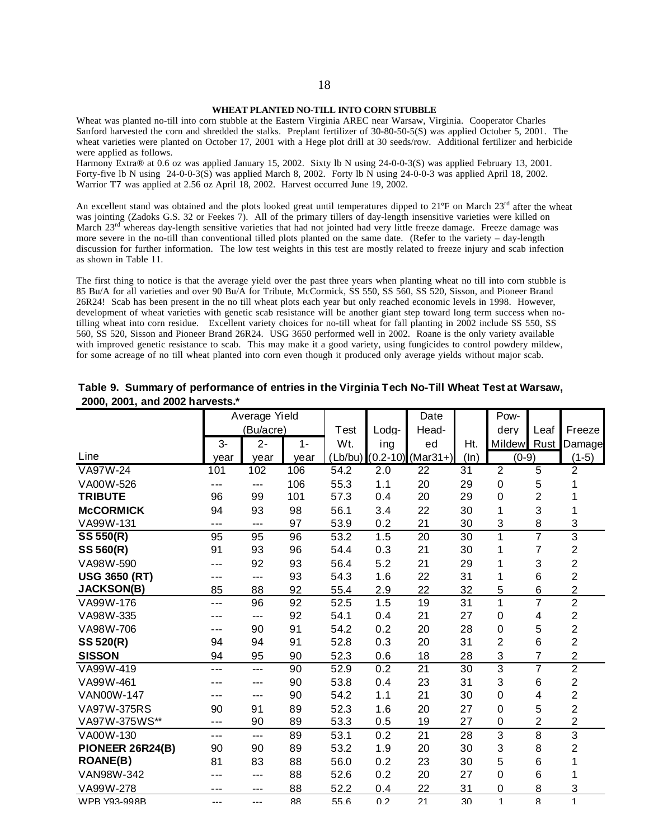#### **WHEAT PLANTED NO-TILL INTO CORN STUBBLE**

Wheat was planted no-till into corn stubble at the Eastern Virginia AREC near Warsaw, Virginia. Cooperator Charles Sanford harvested the corn and shredded the stalks. Preplant fertilizer of 30-80-50-5(S) was applied October 5, 2001. The wheat varieties were planted on October 17, 2001 with a Hege plot drill at 30 seeds/row. Additional fertilizer and herbicide were applied as follows.

Harmony Extra® at 0.6 oz was applied January 15, 2002. Sixty lb N using 24-0-0-3(S) was applied February 13, 2001. Forty-five lb N using 24-0-0-3(S) was applied March 8, 2002. Forty lb N using 24-0-0-3 was applied April 18, 2002. Warrior T7 was applied at 2.56 oz April 18, 2002. Harvest occurred June 19, 2002.

An excellent stand was obtained and the plots looked great until temperatures dipped to  $21^{\circ}F$  on March  $23^{\text{rd}}$  after the wheat was jointing (Zadoks G.S. 32 or Feekes 7). All of the primary tillers of day-length insensitive varieties were killed on March 23<sup>rd</sup> whereas day-length sensitive varieties that had not jointed had very little freeze damage. Freeze damage was more severe in the no-till than conventional tilled plots planted on the same date. (Refer to the variety – day-length discussion for further information. The low test weights in this test are mostly related to freeze injury and scab infection as shown in Table 11.

The first thing to notice is that the average yield over the past three years when planting wheat no till into corn stubble is 85 Bu/A for all varieties and over 90 Bu/A for Tribute, McCormick, SS 550, SS 560, SS 520, Sisson, and Pioneer Brand 26R24! Scab has been present in the no till wheat plots each year but only reached economic levels in 1998. However, development of wheat varieties with genetic scab resistance will be another giant step toward long term success when notilling wheat into corn residue. Excellent variety choices for no-till wheat for fall planting in 2002 include SS 550, SS 560, SS 520, Sisson and Pioneer Brand 26R24. USG 3650 performed well in 2002. Roane is the only variety available with improved genetic resistance to scab. This may make it a good variety, using fungicides to control powdery mildew, for some acreage of no till wheat planted into corn even though it produced only average yields without major scab.

|                      |      | Average Yield |       |      |       | Date                            |                 | Pow-             |                |                         |
|----------------------|------|---------------|-------|------|-------|---------------------------------|-----------------|------------------|----------------|-------------------------|
|                      |      | (Bu/acre)     |       | Test | Lodg- | Head-                           |                 | dery             | Leaf           | Freeze                  |
|                      | 3-   | $2 -$         | $1 -$ | Wt.  | ing   | ed                              | Ht.             | Mildew           | Rust           | Damage                  |
| Line                 | vear | year          | year  |      |       | $(Lb/bu)$ $(0.2-10)$ $(Mar31+)$ | (ln)            | $(0-9)$          |                | $(1-5)$                 |
| <b>VA97W-24</b>      | 101  | 102           | 106   | 54.2 | 2.0   | $\overline{22}$                 | $\overline{31}$ | $\overline{2}$   | $\overline{5}$ | $\overline{2}$          |
| VA00W-526            | ---  | ---           | 106   | 55.3 | 1.1   | 20                              | 29              | 0                | 5              |                         |
| <b>TRIBUTE</b>       | 96   | 99            | 101   | 57.3 | 0.4   | 20                              | 29              | $\boldsymbol{0}$ | $\overline{2}$ |                         |
| <b>McCORMICK</b>     | 94   | 93            | 98    | 56.1 | 3.4   | 22                              | 30              | 1                | 3              |                         |
| VA99W-131            | ---  | ---           | 97    | 53.9 | 0.2   | 21                              | 30              | 3                | 8              | 3                       |
| SS 550(R)            | 95   | 95            | 96    | 53.2 | 1.5   | 20                              | 30              | $\overline{1}$   | $\overline{7}$ | $\overline{3}$          |
| SS 560(R)            | 91   | 93            | 96    | 54.4 | 0.3   | 21                              | 30              | 1                | 7              | $\overline{2}$          |
| VA98W-590            | ---  | 92            | 93    | 56.4 | 5.2   | 21                              | 29              | 1                | 3              | $\overline{2}$          |
| <b>USG 3650 (RT)</b> |      | ---           | 93    | 54.3 | 1.6   | 22                              | 31              | 1                | 6              | $\overline{c}$          |
| <b>JACKSON(B)</b>    | 85   | 88            | 92    | 55.4 | 2.9   | 22                              | 32              | 5                | 6              | $\overline{2}$          |
| VA99W-176            | ---  | 96            | 92    | 52.5 | 1.5   | 19                              | 31              | 1                | $\overline{7}$ | $\overline{2}$          |
| VA98W-335            |      | ---           | 92    | 54.1 | 0.4   | 21                              | 27              | $\mathbf 0$      | 4              | $\overline{2}$          |
| VA98W-706            |      | 90            | 91    | 54.2 | 0.2   | 20                              | 28              | 0                | 5              | $\overline{c}$          |
| SS 520(R)            | 94   | 94            | 91    | 52.8 | 0.3   | 20                              | 31              | $\overline{c}$   | 6              | $\overline{2}$          |
| <b>SISSON</b>        | 94   | 95            | 90    | 52.3 | 0.6   | 18                              | 28              | 3                | $\overline{7}$ | $\overline{c}$          |
| VA99W-419            | ---  | ---           | 90    | 52.9 | 0.2   | $\overline{21}$                 | 30              | $\overline{3}$   | 7              | $\overline{2}$          |
| VA99W-461            |      | ---           | 90    | 53.8 | 0.4   | 23                              | 31              | 3                | 6              | $\overline{c}$          |
| <b>VAN00W-147</b>    |      | ---           | 90    | 54.2 | 1.1   | 21                              | 30              | $\mathbf 0$      | 4              | $\overline{2}$          |
| VA97W-375RS          | 90   | 91            | 89    | 52.3 | 1.6   | 20                              | 27              | $\boldsymbol{0}$ | 5              | $\overline{\mathbf{c}}$ |
| VA97W-375WS**        | ---  | 90            | 89    | 53.3 | 0.5   | 19                              | 27              | 0                | $\overline{2}$ | $\overline{2}$          |
| VA00W-130            | ---  | ---           | 89    | 53.1 | 0.2   | 21                              | 28              | 3                | 8              | 3                       |
| PIONEER 26R24(B)     | 90   | 90            | 89    | 53.2 | 1.9   | 20                              | 30              | 3                | 8              | 2                       |
| <b>ROANE(B)</b>      | 81   | 83            | 88    | 56.0 | 0.2   | 23                              | 30              | 5                | 6              | 1                       |
| VAN98W-342           |      | ---           | 88    | 52.6 | 0.2   | 20                              | 27              | $\boldsymbol{0}$ | 6              |                         |
| VA99W-278            | ---  | ---           | 88    | 52.2 | 0.4   | 22                              | 31              | 0                | 8              | 3                       |
| WPB Y93-998B         | ---  | ---           | 88    | 55.6 | 0.2   | 21                              | 30              | 1                | 8              | 1                       |

## **2000, 2001, and 2002 harvests.\* Table 9. Summary of performance of entries in the Virginia Tech No-Till Wheat Test at Warsaw,**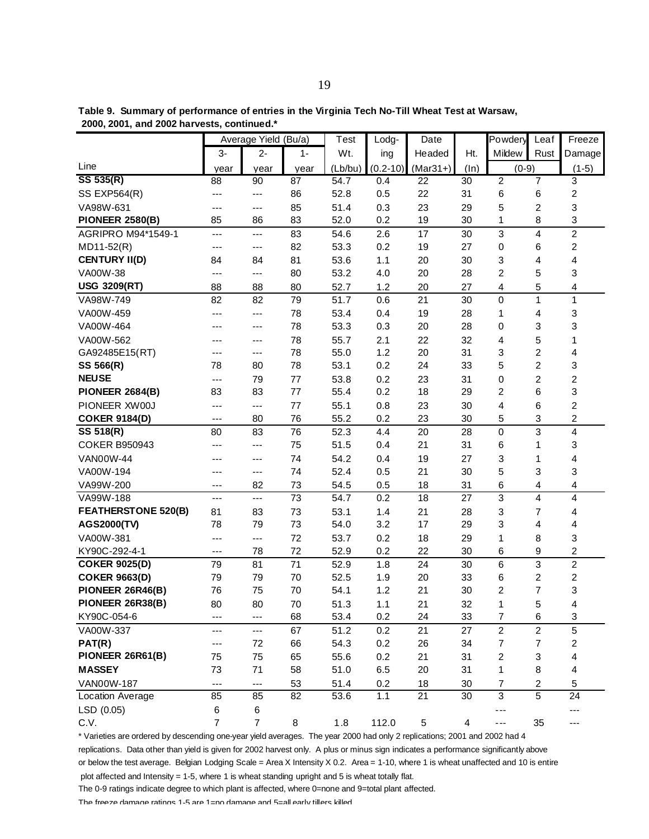|  | Table 9. Summary of performance of entries in the Virginia Tech No-Till Wheat Test at Warsaw, |  |  |  |
|--|-----------------------------------------------------------------------------------------------|--|--|--|
|  | 2000, 2001, and 2002 harvests, continued.*                                                    |  |  |  |

|                            |                 | Average Yield (Bu/a)     |       | Test              | Lodg-        | Date       |         | Powdery                  | Leaf           | Freeze                  |
|----------------------------|-----------------|--------------------------|-------|-------------------|--------------|------------|---------|--------------------------|----------------|-------------------------|
|                            | $3-$            | $2 -$                    | $1 -$ | Wt.               | ing          | Headed     | Ht.     | Mildew                   | Rust           | Damage                  |
| Line                       | year            | year                     | year  | (Lb/bu)           | $(0.2 - 10)$ | $(Mar31+)$ | $(\ln)$ | $(0-9)$                  |                | $(1-5)$                 |
| SS 535(R)                  | $\overline{88}$ | 90                       | 87    | $\overline{54.7}$ | 0.4          | 22         | 30      | $\overline{2}$           | $\overline{7}$ | 3                       |
| <b>SS EXP564(R)</b>        | ---             | ---                      | 86    | 52.8              | 0.5          | 22         | 31      | $\,6$                    | 6              | $\overline{c}$          |
| VA98W-631                  | ---             | ---                      | 85    | 51.4              | 0.3          | 23         | 29      | 5                        | $\overline{c}$ | 3                       |
| <b>PIONEER 2580(B)</b>     | 85              | 86                       | 83    | 52.0              | 0.2          | 19         | 30      | 1                        | 8              | 3                       |
| AGRIPRO M94*1549-1         | ---             | ---                      | 83    | 54.6              | 2.6          | 17         | 30      | 3                        | 4              | $\overline{c}$          |
| $MD11-52(R)$               | ---             | ---                      | 82    | 53.3              | 0.2          | 19         | 27      | 0                        | 6              | $\overline{c}$          |
| <b>CENTURY II(D)</b>       | 84              | 84                       | 81    | 53.6              | 1.1          | 20         | 30      | 3                        | 4              | 4                       |
| VA00W-38                   | ---             | ---                      | 80    | 53.2              | 4.0          | 20         | 28      | $\overline{c}$           | 5              | 3                       |
| <b>USG 3209(RT)</b>        | 88              | 88                       | 80    | 52.7              | 1.2          | 20         | 27      | 4                        | 5              | 4                       |
| VA98W-749                  | 82              | 82                       | 79    | 51.7              | 0.6          | 21         | 30      | $\mathbf 0$              | 1              | 1                       |
| VA00W-459                  | ---             | ---                      | 78    | 53.4              | 0.4          | 19         | 28      | 1                        | 4              | 3                       |
| VA00W-464                  | ---             | ---                      | 78    | 53.3              | 0.3          | 20         | 28      | 0                        | 3              | 3                       |
| VA00W-562                  | ---             | ---                      | 78    | 55.7              | 2.1          | 22         | 32      | 4                        | 5              | 1                       |
| GA92485E15(RT)             | ---             | ---                      | 78    | 55.0              | 1.2          | 20         | 31      | 3                        | $\overline{c}$ | 4                       |
| SS 566(R)                  | 78              | 80                       | 78    | 53.1              | 0.2          | 24         | 33      | 5                        | $\overline{c}$ | 3                       |
| <b>NEUSE</b>               | ---             | 79                       | 77    | 53.8              | 0.2          | 23         | 31      | 0                        | $\overline{2}$ | $\overline{c}$          |
| <b>PIONEER 2684(B)</b>     | 83              | 83                       | 77    | 55.4              | 0.2          | 18         | 29      | 2                        | 6              | 3                       |
| PIONEER XW00J              | ---             | ---                      | 77    | 55.1              | 0.8          | 23         | 30      | 4                        | 6              | 2                       |
| <b>COKER 9184(D)</b>       | ---             | 80                       | 76    | 55.2              | 0.2          | 23         | 30      | 5                        | 3              | $\overline{c}$          |
| SS 518(R)                  | 80              | 83                       | 76    | 52.3              | 4.4          | 20         | 28      | $\pmb{0}$                | 3              | 4                       |
| <b>COKER B950943</b>       | ---             | ---                      | 75    | 51.5              | 0.4          | 21         | 31      | 6                        | 1              | 3                       |
| <b>VAN00W-44</b>           |                 | ---                      | 74    | 54.2              | 0.4          | 19         | 27      | 3                        | 1              | 4                       |
| VA00W-194                  | ---             | ---                      | 74    | 52.4              | 0.5          | 21         | 30      | 5                        | 3              | 3                       |
| VA99W-200                  | ---             | 82                       | 73    | 54.5              | 0.5          | 18         | 31      | 6                        | 4              | 4                       |
| VA99W-188                  | ---             | ---                      | 73    | 54.7              | 0.2          | 18         | 27      | 3                        | 4              | 4                       |
| <b>FEATHERSTONE 520(B)</b> | 81              | 83                       | 73    | 53.1              | 1.4          | 21         | 28      | 3                        | $\overline{7}$ | 4                       |
| AGS2000(TV)                | 78              | 79                       | 73    | 54.0              | 3.2          | 17         | 29      | 3                        | 4              | 4                       |
| VA00W-381                  | ---             | ---                      | 72    | 53.7              | 0.2          | 18         | 29      | 1                        | 8              | 3                       |
| KY90C-292-4-1              | ---             | 78                       | 72    | 52.9              | 0.2          | 22         | 30      | 6                        | 9              | $\overline{c}$          |
| <b>COKER 9025(D)</b>       | 79              | 81                       | 71    | 52.9              | 1.8          | 24         | 30      | $\,6$                    | 3              | $\overline{c}$          |
| <b>COKER 9663(D)</b>       | 79              | 79                       | 70    | 52.5              | 1.9          | 20         | 33      | 6                        | $\overline{c}$ | $\overline{\mathbf{c}}$ |
| PIONEER 26R46(B)           | 76              | 75                       | 70    | 54.1              | 1.2          | 21         | 30      | $\overline{c}$           | $\overline{7}$ | 3                       |
| PIONEER 26R38(B)           | 80              | 80                       | 70    | 51.3              | 1.1          | 21         | 32      | 1                        | 5              | 4                       |
| KY90C-054-6                | ---             | $---$                    | 68    | 53.4              | 0.2          | 24         | 33      | 7                        | 6              | 3                       |
| VA00W-337                  | ---             | ---                      | 67    | 51.2              | 0.2          | 21         | 27      | $\overline{c}$           | $\overline{c}$ | 5                       |
| PAT(R)                     | ---             | 72                       | 66    | 54.3              | 0.2          | 26         | 34      | $\overline{\mathcal{I}}$ | $\overline{7}$ | $\overline{c}$          |
| PIONEER 26R61(B)           | 75              | 75                       | 65    | 55.6              | 0.2          | 21         | 31      | 2                        | 3              | 4                       |
| <b>MASSEY</b>              | 73              | 71                       | 58    | 51.0              | 6.5          | 20         | 31      | 1                        | $\bf 8$        | 4                       |
| VAN00W-187                 | $---$           | $\overline{\phantom{a}}$ | 53    | 51.4              | 0.2          | 18         | 30      | 7                        | $\overline{c}$ | 5                       |
| Location Average           | 85              | 85                       | 82    | 53.6              | 1.1          | 21         | 30      | 3                        | $\overline{5}$ | 24                      |
| LSD (0.05)                 | 6               | 6                        |       |                   |              |            |         | ---                      |                | ---                     |
| C.V.                       | $\overline{7}$  | $\overline{7}$           | 8     | 1.8               | 112.0        | 5          | 4       | ---                      | 35             | ---                     |

\* Varieties are ordered by descending one-year yield averages. The year 2000 had only 2 replications; 2001 and 2002 had 4 replications. Data other than yield is given for 2002 harvest only. A plus or minus sign indicates a performance significantly above or below the test average. Belgian Lodging Scale = Area X Intensity X 0.2. Area = 1-10, where 1 is wheat unaffected and 10 is entire

plot affected and Intensity = 1-5, where 1 is wheat standing upright and 5 is wheat totally flat.

The 0-9 ratings indicate degree to which plant is affected, where 0=none and 9=total plant affected.

The freeze damage ratings 1-5 are 1 $\pm$ no damage and 5 $\pm$ all early tillers killed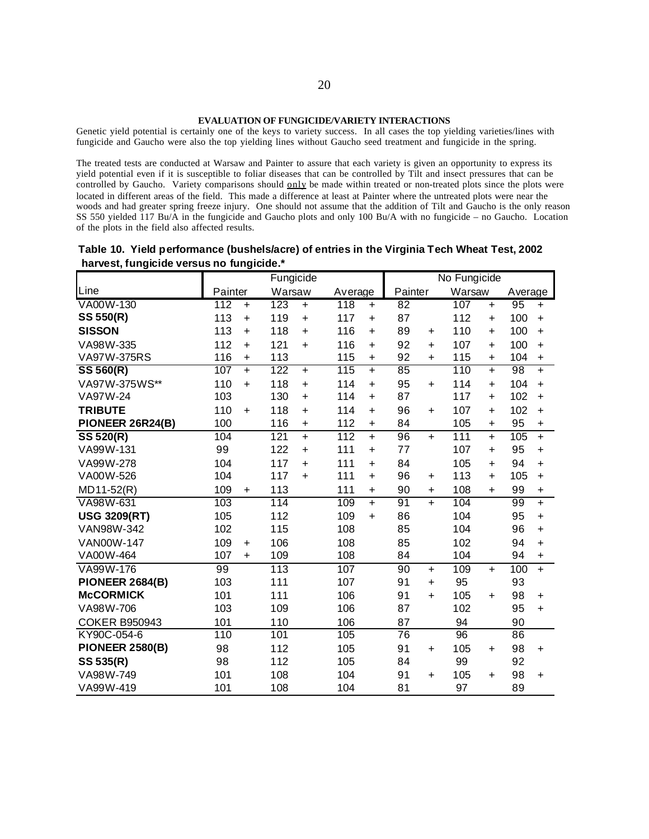Genetic yield potential is certainly one of the keys to variety success. In all cases the top yielding varieties/lines with fungicide and Gaucho were also the top yielding lines without Gaucho seed treatment and fungicide in the spring.

The treated tests are conducted at Warsaw and Painter to assure that each variety is given an opportunity to express its yield potential even if it is susceptible to foliar diseases that can be controlled by Tilt and insect pressures that can be controlled by Gaucho. Variety comparisons should only be made within treated or non-treated plots since the plots were located in different areas of the field. This made a difference at least at Painter where the untreated plots were near the woods and had greater spring freeze injury. One should not assume that the addition of Tilt and Gaucho is the only reason SS 550 yielded 117 Bu/A in the fungicide and Gaucho plots and only 100 Bu/A with no fungicide – no Gaucho. Location of the plots in the field also affected results.

**Table 10. Yield performance (bushels/acre) of entries in the Virginia Tech Wheat Test, 2002 harvest, fungicide versus no fungicide.\***

| ~~~, . ~~. <del>.</del> . | ישיי~י           | Fungicide                     |                               |                        | No Fungicide     |                  |
|---------------------------|------------------|-------------------------------|-------------------------------|------------------------|------------------|------------------|
| Line                      | Painter          | Warsaw                        | Average                       | Painter                | Warsaw           | Average          |
| VA00W-130                 | 112<br>$\ddot{}$ | 123<br>$\ddot{}$              | 118<br>$\ddot{}$              | 82                     | 107<br>$\ddot{}$ | 95<br>$\ddot{}$  |
| SS 550(R)                 | 113<br>$\ddot{}$ | 119<br>$\ddot{}$              | 117<br>$\ddot{}$              | 87                     | 112<br>$\ddot{}$ | 100<br>$+$       |
| <b>SISSON</b>             | 113<br>$\ddot{}$ | 118<br>$\ddot{}$              | 116<br>$\ddot{}$              | 89<br>$\ddot{}$        | 110<br>$\ddot{}$ | 100<br>$\ddot{}$ |
| VA98W-335                 | 112<br>$\ddot{}$ | 121<br>$\ddot{}$              | 116<br>$\ddot{}$              | 92<br>$\ddot{}$        | 107<br>$\ddot{}$ | 100<br>$\ddot{}$ |
| <b>VA97W-375RS</b>        | 116<br>$\ddot{}$ | 113                           | 115<br>$\ddot{}$              | 92<br>$\ddot{}$        | 115<br>$\ddot{}$ | 104<br>$\ddot{}$ |
| SS 560(R)                 | 107<br>$+$       | 122<br>$+$                    | 115<br>$+$                    | 85                     | 110<br>$+$       | 98<br>$+$        |
| VA97W-375WS**             | 110<br>$\ddot{}$ | 118<br>$\ddot{}$              | 114<br>$\ddot{}$              | 95<br>$\ddot{}$        | 114<br>$\ddot{}$ | 104<br>$+$       |
| VA97W-24                  | 103              | 130<br>$\ddot{}$              | 114<br>$+$                    | 87                     | 117<br>÷.        | 102<br>$\ddot{}$ |
| <b>TRIBUTE</b>            | 110<br>$+$       | 118<br>$+$                    | 114<br>$\ddot{}$              | 96<br>$+$              | 107<br>$+$       | 102<br>$+$       |
| PIONEER 26R24(B)          | 100              | 116<br>$\ddot{}$              | 112<br>$\ddot{}$              | 84                     | 105<br>$\ddot{}$ | 95<br>$\ddot{}$  |
| <b>SS 520(R)</b>          | 104              | $\overline{121}$<br>$\ddot{}$ | $\overline{112}$<br>$\ddot{}$ | $\overline{96}$<br>$+$ | 111<br>$+$       | 105<br>$+$       |
| VA99W-131                 | 99               | 122<br>$+$                    | 111<br>$+$                    | 77                     | 107<br>$\ddot{}$ | 95<br>$\ddot{}$  |
| VA99W-278                 | 104              | 117<br>$\ddot{}$              | 111<br>$\ddot{}$              | 84                     | 105<br>$\ddot{}$ | 94<br>$\ddot{}$  |
| VA00W-526                 | 104              | 117<br>$\ddot{}$              | 111<br>$\ddot{}$              | 96<br>$\ddot{}$        | 113<br>$\ddot{}$ | 105<br>$\ddot{}$ |
| MD11-52(R)                | 109<br>$\ddot{}$ | 113                           | 111<br>$\ddot{}$              | 90<br>$\ddot{}$        | 108<br>$+$       | 99<br>$\ddot{}$  |
| VA98W-631                 | 103              | 114                           | 109<br>$+$                    | 91<br>$+$              | 104              | 99<br>$\ddot{}$  |
| <b>USG 3209(RT)</b>       | 105              | 112                           | 109<br>$\ddot{}$              | 86                     | 104              | 95<br>$\ddot{}$  |
| VAN98W-342                | 102              | 115                           | 108                           | 85                     | 104              | 96<br>$+$        |
| VAN00W-147                | 109<br>+         | 106                           | 108                           | 85                     | 102              | 94<br>$\ddot{}$  |
| VA00W-464                 | 107<br>$+$       | 109                           | 108                           | 84                     | 104              | 94<br>$\ddot{}$  |
| VA99W-176                 | 99               | 113                           | 107                           | 90<br>$+$              | 109<br>$+$       | 100<br>$\ddot{}$ |
| <b>PIONEER 2684(B)</b>    | 103              | 111                           | 107                           | 91<br>$\ddot{}$        | 95               | 93               |
| <b>McCORMICK</b>          | 101              | 111                           | 106                           | 91<br>$\ddot{}$        | 105<br>$\ddot{}$ | 98<br>$\ddot{}$  |
| VA98W-706                 | 103              | 109                           | 106                           | 87                     | 102              | 95<br>$\ddot{}$  |
| <b>COKER B950943</b>      | 101              | 110                           | 106                           | 87                     | 94               | 90               |
| KY90C-054-6               | 110              | 101                           | 105                           | 76                     | 96               | 86               |
| <b>PIONEER 2580(B)</b>    | 98               | 112                           | 105                           | 91<br>$\ddot{}$        | 105<br>$\ddot{}$ | 98<br>$+$        |
| SS 535(R)                 | 98               | 112                           | 105                           | 84                     | 99               | 92               |
| VA98W-749                 | 101              | 108                           | 104                           | 91<br>$\ddot{}$        | 105<br>$\ddot{}$ | 98<br>$\ddot{}$  |
| VA99W-419                 | 101              | 108                           | 104                           | 81                     | 97               | 89               |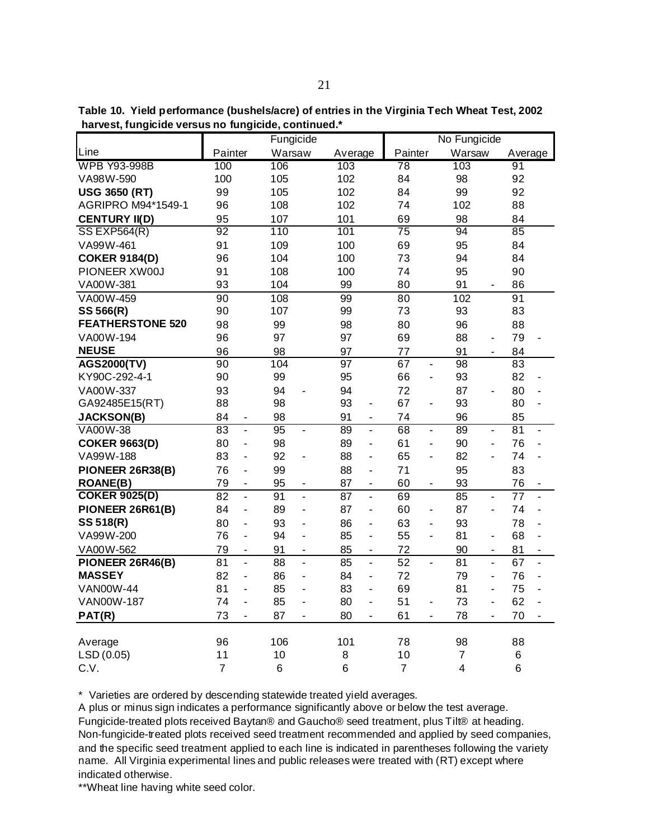**Table 10. Yield performance (bushels/acre) of entries in the Virginia Tech Wheat Test, 2002 harvest, fungicide versus no fungicide, continued.\***

|                         |                 |                          | Fungicide       |                              |         |                          |                 |                              | No Fungicide   |                              |         |                          |
|-------------------------|-----------------|--------------------------|-----------------|------------------------------|---------|--------------------------|-----------------|------------------------------|----------------|------------------------------|---------|--------------------------|
| Line                    | Painter         |                          | Warsaw          |                              | Average |                          | Painter         |                              | Warsaw         |                              | Average |                          |
| <b>WPB Y93-998B</b>     | 100             |                          | 106             |                              | 103     |                          | 78              |                              | 103            |                              | 91      |                          |
| VA98W-590               | 100             |                          | 105             |                              | 102     |                          | 84              |                              | 98             |                              | 92      |                          |
| <b>USG 3650 (RT)</b>    | 99              |                          | 105             |                              | 102     |                          | 84              |                              | 99             |                              | 92      |                          |
| AGRIPRO M94*1549-1      | 96              |                          | 108             |                              | 102     |                          | 74              |                              | 102            |                              | 88      |                          |
| <b>CENTURY II(D)</b>    | 95              |                          | 107             |                              | 101     |                          | 69              |                              | 98             |                              | 84      |                          |
| <b>SS EXP564(R)</b>     | $\overline{92}$ |                          | 110             |                              | 101     |                          | $\overline{75}$ |                              | 94             |                              | 85      |                          |
| VA99W-461               | 91              |                          | 109             |                              | 100     |                          | 69              |                              | 95             |                              | 84      |                          |
| <b>COKER 9184(D)</b>    | 96              |                          | 104             |                              | 100     |                          | 73              |                              | 94             |                              | 84      |                          |
| PIONEER XW00J           | 91              |                          | 108             |                              | 100     |                          | 74              |                              | 95             |                              | 90      |                          |
| VA00W-381               | 93              |                          | 104             |                              | 99      |                          | 80              |                              | 91             | $\qquad \qquad \blacksquare$ | 86      |                          |
| VA00W-459               | 90              |                          | 108             |                              | 99      |                          | 80              |                              | 102            |                              | 91      |                          |
| SS 566(R)               | 90              |                          | 107             |                              | 99      |                          | 73              |                              | 93             |                              | 83      |                          |
| <b>FEATHERSTONE 520</b> | 98              |                          | 99              |                              | 98      |                          | 80              |                              | 96             |                              | 88      |                          |
| VA00W-194               | 96              |                          | 97              |                              | 97      |                          | 69              |                              | 88             | $\overline{\phantom{a}}$     | 79      |                          |
| <b>NEUSE</b>            | 96              |                          | 98              |                              | 97      |                          | 77              |                              | 91             | $\overline{\phantom{a}}$     | 84      |                          |
| <b>AGS2000(TV)</b>      | 90              |                          | 104             |                              | 97      |                          | 67              | $\blacksquare$               | 98             |                              | 83      |                          |
| KY90C-292-4-1           | 90              |                          | 99              |                              | 95      |                          | 66              | ÷,                           | 93             |                              | 82      |                          |
| VA00W-337               | 93              |                          | 94              | ÷,                           | 94      |                          | 72              |                              | 87             | $\blacksquare$               | 80      | $\overline{a}$           |
| GA92485E15(RT)          | 88              |                          | 98              |                              | 93      | $\overline{\phantom{0}}$ | 67              | $\overline{a}$               | 93             |                              | 80      | $\overline{a}$           |
| <b>JACKSON(B)</b>       | 84              | ۰                        | 98              |                              | 91      | ۰                        | 74              |                              | 96             |                              | 85      |                          |
| VA00W-38                | 83              | $\overline{\phantom{a}}$ | 95              | $\overline{a}$               | 89      | ä,                       | $\overline{68}$ | $\overline{a}$               | 89             | $\overline{a}$               | 81      | $\blacksquare$           |
| <b>COKER 9663(D)</b>    | 80              | $\overline{\phantom{a}}$ | 98              |                              | 89      | ٠                        | 61              | $\overline{a}$               | 90             | $\blacksquare$               | 76      | $\overline{\phantom{a}}$ |
| VA99W-188               | 83              | $\overline{\phantom{a}}$ | 92              | ÷,                           | 88      | $\overline{\phantom{0}}$ | 65              | $\overline{a}$               | 82             |                              | 74      |                          |
| PIONEER 26R38(B)        | 76              | $\overline{\phantom{0}}$ | 99              |                              | 88      | ÷,                       | 71              |                              | 95             |                              | 83      |                          |
| <b>ROANE(B)</b>         | 79              | $\overline{\phantom{0}}$ | 95              | $\overline{\phantom{a}}$     | 87      | $\overline{\phantom{a}}$ | 60              | $\qquad \qquad \blacksquare$ | 93             |                              | 76      | $\overline{\phantom{a}}$ |
| <b>COKER 9025(D)</b>    | $\overline{82}$ | $\overline{a}$           | 91              | ÷,                           | 87      | $\overline{a}$           | 69              |                              | 85             | ÷,                           | 77      | ÷,                       |
| PIONEER 26R61(B)        | 84              | $\overline{a}$           | 89              | ä,                           | 87      | ÷                        | 60              | ÷                            | 87             | ä,                           | 74      | ÷,                       |
| SS 518(R)               | 80              | -                        | 93              | $\blacksquare$               | 86      | ÷,                       | 63              | $\overline{a}$               | 93             |                              | 78      |                          |
| VA99W-200               | 76              | $\overline{a}$           | 94              | $\blacksquare$               | 85      | ÷,                       | 55              | L,                           | 81             | $\overline{\phantom{a}}$     | 68      | $\overline{a}$           |
| VA00W-562               | 79              | $\blacksquare$           | 91              |                              | 85      | ä,                       | 72              |                              | 90             |                              | 81      | $\blacksquare$           |
| PIONEER 26R46(B)        | 81              | L,                       | 88              | $\overline{a}$               | 85      | L,                       | 52              | $\overline{a}$               | 81             | $\overline{a}$               | 67      | $\overline{a}$           |
| <b>MASSEY</b>           | 82              | ä,                       | 86              | $\overline{\phantom{0}}$     | 84      | $\overline{\phantom{0}}$ | 72              |                              | 79             | ÷,                           | 76      | ÷,                       |
| <b>VAN00W-44</b>        | 81              | ÷,                       | 85              | $\overline{\phantom{0}}$     | 83      | ÷,                       | 69              |                              | 81             | $\blacksquare$               | 75      | $\overline{a}$           |
| <b>VAN00W-187</b>       | 74              | ä,                       | 85              | ÷,                           | 80      | ä,                       | 51              | $\overline{\phantom{a}}$     | 73             | ÷,                           | 62      | ÷,                       |
| PAT(R)                  | 73              | $\overline{\phantom{0}}$ | 87              | $\qquad \qquad \blacksquare$ | 80      | $\blacksquare$           | 61              | $\frac{1}{2}$                | 78             |                              | 70      |                          |
|                         |                 |                          |                 |                              |         |                          |                 |                              |                |                              |         |                          |
| Average                 | 96              |                          | 106             |                              | 101     |                          | 78              |                              | 98             |                              | 88      |                          |
| LSD (0.05)              | 11              |                          | 10              |                              | 8       |                          | 10              |                              | $\overline{7}$ |                              | 6       |                          |
| C.V.                    | $\overline{7}$  |                          | $6\phantom{1}6$ |                              | 6       |                          | 7               |                              | 4              |                              | 6       |                          |

\* Varieties are ordered by descending statewide treated yield averages.

A plus or minus sign indicates a performance significantly above or below the test average. Fungicide-treated plots received Baytan® and Gaucho® seed treatment, plus Tilt® at heading. Non-fungicide-treated plots received seed treatment recommended and applied by seed companies, and the specific seed treatment applied to each line is indicated in parentheses following the variety name. All Virginia experimental lines and public releases were treated with (RT) except where indicated otherwise.

\*\*Wheat line having white seed color.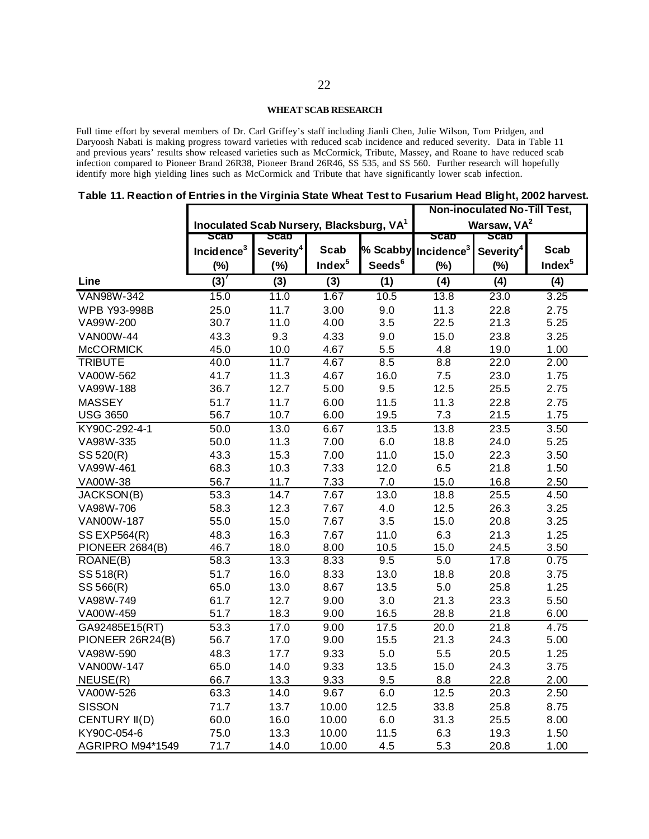## **WHEAT SCAB RESEARCH**

Full time effort by several members of Dr. Carl Griffey's staff including Jianli Chen, Julie Wilson, Tom Pridgen, and Daryoosh Nabati is making progress toward varieties with reduced scab incidence and reduced severity. Data in Table 11 and previous years' results show released varieties such as McCormick, Tribute, Massey, and Roane to have reduced scab infection compared to Pioneer Brand 26R38, Pioneer Brand 26R46, SS 535, and SS 560. Further research will hopefully identify more high yielding lines such as McCormick and Tribute that have significantly lower scab infection.

**Table 11. Reaction of Entries in the Virginia State Wheat Test to Fusarium Head Blight, 2002 harvest.**

|                        |                                                 |                       |                    |                    |                                 | Non-inoculated No-Till Test, |                    |
|------------------------|-------------------------------------------------|-----------------------|--------------------|--------------------|---------------------------------|------------------------------|--------------------|
|                        | <b>Inoculated Scab Nursery, Blacksburg, VA1</b> |                       |                    |                    |                                 | Warsaw, VA <sup>2</sup>      |                    |
|                        | <b>Scap</b>                                     | <b>Scap</b>           |                    |                    | ຣcap                            | scap                         |                    |
|                        | Incidence $3$                                   | Severity <sup>4</sup> | <b>Scab</b>        |                    | % Scabby Incidence <sup>3</sup> | Severity <sup>4</sup>        | <b>Scab</b>        |
|                        | $(\%)$                                          | (%)                   | Index <sup>5</sup> | Seeds <sup>6</sup> | (%)                             | $(\%)$                       | Index <sup>5</sup> |
| Line                   | $\overline{(3)}$                                | $\overline{(3)}$      | $\overline{(3)}$   | (1)                | $\overline{(4)}$                | $\overline{(4)}$             | $\overline{(4)}$   |
| <b>VAN98W-342</b>      | 15.0                                            | 11.0                  | 1.67               | 10.5               | 13.8                            | 23.0                         | 3.25               |
| <b>WPB Y93-998B</b>    | 25.0                                            | 11.7                  | 3.00               | 9.0                | 11.3                            | 22.8                         | 2.75               |
| VA99W-200              | 30.7                                            | 11.0                  | 4.00               | 3.5                | 22.5                            | 21.3                         | 5.25               |
| <b>VAN00W-44</b>       | 43.3                                            | 9.3                   | 4.33               | 9.0                | 15.0                            | 23.8                         | 3.25               |
| <b>McCORMICK</b>       | 45.0                                            | 10.0                  | 4.67               | 5.5                | 4.8                             | 19.0                         | 1.00               |
| <b>TRIBUTE</b>         | 40.0                                            | 11.7                  | 4.67               | 8.5                | 8.8                             | 22.0                         | 2.00               |
| VA00W-562              | 41.7                                            | 11.3                  | 4.67               | 16.0               | $7.5\,$                         | 23.0                         | 1.75               |
| VA99W-188              | 36.7                                            | 12.7                  | 5.00               | 9.5                | 12.5                            | 25.5                         | 2.75               |
| <b>MASSEY</b>          | 51.7                                            | 11.7                  | 6.00               | 11.5               | 11.3                            | 22.8                         | 2.75               |
| <b>USG 3650</b>        | 56.7                                            | 10.7                  | 6.00               | 19.5               | 7.3                             | 21.5                         | 1.75               |
| KY90C-292-4-1          | 50.0                                            | 13.0                  | 6.67               | 13.5               | 13.8                            | 23.5                         | 3.50               |
| VA98W-335              | 50.0                                            | 11.3                  | 7.00               | 6.0                | 18.8                            | 24.0                         | 5.25               |
| SS 520(R)              | 43.3                                            | 15.3                  | 7.00               | 11.0               | 15.0                            | 22.3                         | 3.50               |
| VA99W-461              | 68.3                                            | 10.3                  | 7.33               | 12.0               | 6.5                             | 21.8                         | 1.50               |
| VA00W-38               | 56.7                                            | 11.7                  | 7.33               | 7.0                | 15.0                            | 16.8                         | 2.50               |
| JACKSON(B)             | 53.3                                            | 14.7                  | 7.67               | 13.0               | 18.8                            | 25.5                         | 4.50               |
| VA98W-706              | 58.3                                            | 12.3                  | 7.67               | 4.0                | 12.5                            | 26.3                         | 3.25               |
| <b>VAN00W-187</b>      | 55.0                                            | 15.0                  | 7.67               | 3.5                | 15.0                            | 20.8                         | 3.25               |
| <b>SS EXP564(R)</b>    | 48.3                                            | 16.3                  | 7.67               | 11.0               | 6.3                             | 21.3                         | 1.25               |
| <b>PIONEER 2684(B)</b> | 46.7                                            | 18.0                  | 8.00               | 10.5               | 15.0                            | 24.5                         | 3.50               |
| ROANE(B)               | 58.3                                            | 13.3                  | 8.33               | 9.5                | 5.0                             | 17.8                         | 0.75               |
| SS 518(R)              | 51.7                                            | 16.0                  | 8.33               | 13.0               | 18.8                            | 20.8                         | 3.75               |
| SS 566(R)              | 65.0                                            | 13.0                  | 8.67               | 13.5               | 5.0                             | 25.8                         | 1.25               |
| VA98W-749              | 61.7                                            | 12.7                  | 9.00               | 3.0                | 21.3                            | 23.3                         | 5.50               |
| VA00W-459              | 51.7                                            | 18.3                  | 9.00               | 16.5               | 28.8                            | 21.8                         | 6.00               |
| GA92485E15(RT)         | 53.3                                            | 17.0                  | 9.00               | 17.5               | 20.0                            | 21.8                         | 4.75               |
| PIONEER 26R24(B)       | 56.7                                            | 17.0                  | 9.00               | 15.5               | 21.3                            | 24.3                         | 5.00               |
| VA98W-590              | 48.3                                            | 17.7                  | 9.33               | 5.0                | 5.5                             | 20.5                         | 1.25               |
| <b>VAN00W-147</b>      | 65.0                                            | 14.0                  | 9.33               | 13.5               | 15.0                            | 24.3                         | 3.75               |
| NEUSE(R)               | 66.7                                            | 13.3                  | 9.33               | 9.5                | 8.8                             | 22.8                         | 2.00               |
| VA00W-526              | 63.3                                            | 14.0                  | 9.67               | 6.0                | 12.5                            | 20.3                         | 2.50               |
| <b>SISSON</b>          | 71.7                                            | 13.7                  | 10.00              | 12.5               | 33.8                            | 25.8                         | 8.75               |
| CENTURY II(D)          | 60.0                                            | 16.0                  | 10.00              | 6.0                | 31.3                            | 25.5                         | 8.00               |
| KY90C-054-6            | 75.0                                            | 13.3                  | 10.00              | 11.5               | 6.3                             | 19.3                         | 1.50               |
| AGRIPRO M94*1549       | 71.7                                            | 14.0                  | 10.00              | 4.5                | 5.3                             | 20.8                         | 1.00               |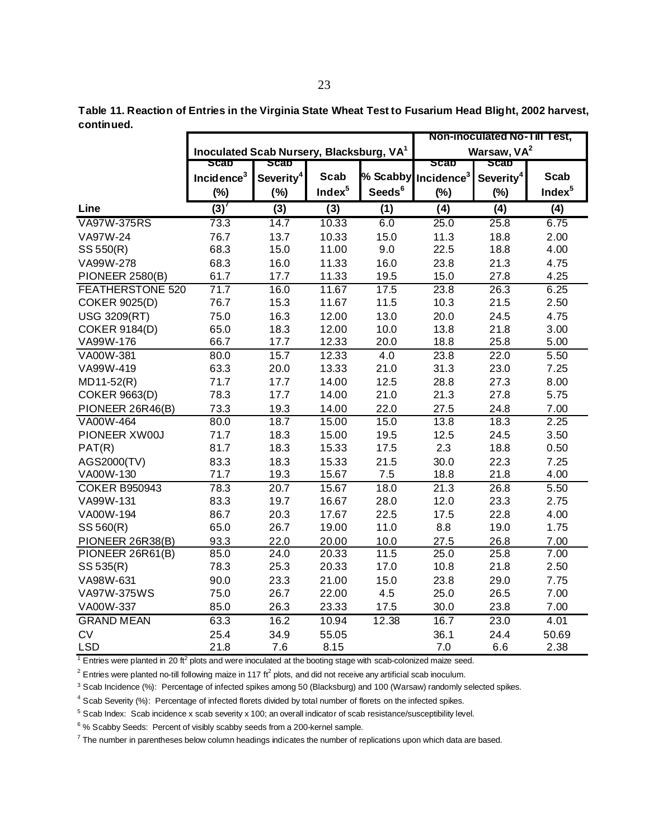**Table 11. Reaction of Entries in the Virginia State Wheat Test to Fusarium Head Blight, 2002 harvest, continued.**

|                         |                                                      |                       |                    |                    |                        | Non-inoculated No-1III Test, |                    |
|-------------------------|------------------------------------------------------|-----------------------|--------------------|--------------------|------------------------|------------------------------|--------------------|
|                         | Inoculated Scab Nursery, Blacksburg, VA <sup>1</sup> |                       |                    |                    |                        | Warsaw, VA <sup>2</sup>      |                    |
|                         | <b>Scap</b>                                          | scap                  |                    |                    | ຣcap                   | <b>Scap</b>                  |                    |
|                         | Incidence $3$                                        | Severity <sup>4</sup> | Scab               | % Scabby           | Incidence <sup>3</sup> | Severity <sup>4</sup>        | <b>Scab</b>        |
|                         | $(\%)$                                               | (%)                   | Index <sup>5</sup> | Seeds <sup>6</sup> | $(\%)$                 | (%)                          | Index <sup>5</sup> |
| Line                    | $\overline{(3)}$                                     | (3)                   | (3)                | (1)                | (4)                    | (4)                          | (4)                |
| <b>VA97W-375RS</b>      | 73.3                                                 | 14.7                  | 10.33              | 6.0                | 25.0                   | 25.8                         | 6.75               |
| VA97W-24                | 76.7                                                 | 13.7                  | 10.33              | 15.0               | 11.3                   | 18.8                         | 2.00               |
| SS 550(R)               | 68.3                                                 | 15.0                  | 11.00              | 9.0                | 22.5                   | 18.8                         | 4.00               |
| VA99W-278               | 68.3                                                 | 16.0                  | 11.33              | 16.0               | 23.8                   | 21.3                         | 4.75               |
| <b>PIONEER 2580(B)</b>  | 61.7                                                 | 17.7                  | 11.33              | 19.5               | 15.0                   | 27.8                         | 4.25               |
| <b>FEATHERSTONE 520</b> | 71.7                                                 | 16.0                  | 11.67              | 17.5               | 23.8                   | 26.3                         | 6.25               |
| <b>COKER 9025(D)</b>    | 76.7                                                 | 15.3                  | 11.67              | 11.5               | 10.3                   | 21.5                         | 2.50               |
| <b>USG 3209(RT)</b>     | 75.0                                                 | 16.3                  | 12.00              | 13.0               | 20.0                   | 24.5                         | 4.75               |
| <b>COKER 9184(D)</b>    | 65.0                                                 | 18.3                  | 12.00              | 10.0               | 13.8                   | 21.8                         | 3.00               |
| VA99W-176               | 66.7                                                 | 17.7                  | 12.33              | 20.0               | 18.8                   | 25.8                         | 5.00               |
| VA00W-381               | 80.0                                                 | $\overline{1}5.7$     | 12.33              | 4.0                | 23.8                   | 22.0                         | 5.50               |
| VA99W-419               | 63.3                                                 | 20.0                  | 13.33              | 21.0               | 31.3                   | 23.0                         | 7.25               |
| MD11-52(R)              | 71.7                                                 | 17.7                  | 14.00              | 12.5               | 28.8                   | 27.3                         | 8.00               |
| <b>COKER 9663(D)</b>    | 78.3                                                 | 17.7                  | 14.00              | 21.0               | 21.3                   | 27.8                         | 5.75               |
| PIONEER 26R46(B)        | 73.3                                                 | 19.3                  | 14.00              | 22.0               | 27.5                   | 24.8                         | 7.00               |
| VA00W-464               | 80.0                                                 | 18.7                  | 15.00              | 15.0               | 13.8                   | 18.3                         | 2.25               |
| PIONEER XW00J           | 71.7                                                 | 18.3                  | 15.00              | 19.5               | 12.5                   | 24.5                         | 3.50               |
| PATH(R)                 | 81.7                                                 | 18.3                  | 15.33              | 17.5               | 2.3                    | 18.8                         | 0.50               |
| AGS2000(TV)             | 83.3                                                 | 18.3                  | 15.33              | 21.5               | 30.0                   | 22.3                         | 7.25               |
| VA00W-130               | 71.7                                                 | 19.3                  | 15.67              | 7.5                | 18.8                   | 21.8                         | 4.00               |
| <b>COKER B950943</b>    | 78.3                                                 | 20.7                  | 15.67              | 18.0               | 21.3                   | 26.8                         | 5.50               |
| VA99W-131               | 83.3                                                 | 19.7                  | 16.67              | 28.0               | 12.0                   | 23.3                         | 2.75               |
| VA00W-194               | 86.7                                                 | 20.3                  | 17.67              | 22.5               | 17.5                   | 22.8                         | 4.00               |
| SS 560(R)               | 65.0                                                 | 26.7                  | 19.00              | 11.0               | 8.8                    | 19.0                         | 1.75               |
| PIONEER 26R38(B)        | 93.3                                                 | 22.0                  | 20.00              | 10.0               | 27.5                   | 26.8                         | 7.00               |
| PIONEER 26R61(B)        | 85.0                                                 | 24.0                  | 20.33              | 11.5               | 25.0                   | 25.8                         | 7.00               |
| SS 535(R)               | 78.3                                                 | 25.3                  | 20.33              | 17.0               | 10.8                   | 21.8                         | 2.50               |
| VA98W-631               | 90.0                                                 | 23.3                  | 21.00              | 15.0               | 23.8                   | 29.0                         | 7.75               |
| VA97W-375WS             | 75.0                                                 | 26.7                  | 22.00              | 4.5                | 25.0                   | 26.5                         | 7.00               |
| VA00W-337               | 85.0                                                 | 26.3                  | 23.33              | 17.5               | 30.0                   | 23.8                         | 7.00               |
| <b>GRAND MEAN</b>       | 63.3                                                 | 16.2                  | 10.94              | 12.38              | 16.7                   | 23.0                         | 4.01               |
| <b>CV</b>               | 25.4                                                 | 34.9                  | 55.05              |                    | 36.1                   | 24.4                         | 50.69              |
| <b>LSD</b>              | 21.8                                                 | 7.6                   | 8.15               |                    | 7.0                    | 6.6                          | 2.38               |

 $1$  Entries were planted in 20 ft<sup>2</sup> plots and were inoculated at the booting stage with scab-colonized maize seed.

 $^2$  Entries were planted no-till following maize in 117 ft<sup>2</sup> plots, and did not receive any artificial scab inoculum.

<sup>3</sup> Scab Incidence (%): Percentage of infected spikes among 50 (Blacksburg) and 100 (Warsaw) randomly selected spikes.

<sup>4</sup> Scab Severity (%): Percentage of infected florets divided by total number of florets on the infected spikes.

<sup>5</sup> Scab Index: Scab incidence x scab severity x 100; an overall indicator of scab resistance/susceptibility level.

 $6\%$  Scabby Seeds: Percent of visibly scabby seeds from a 200-kernel sample.

 $7$  The number in parentheses below column headings indicates the number of replications upon which data are based.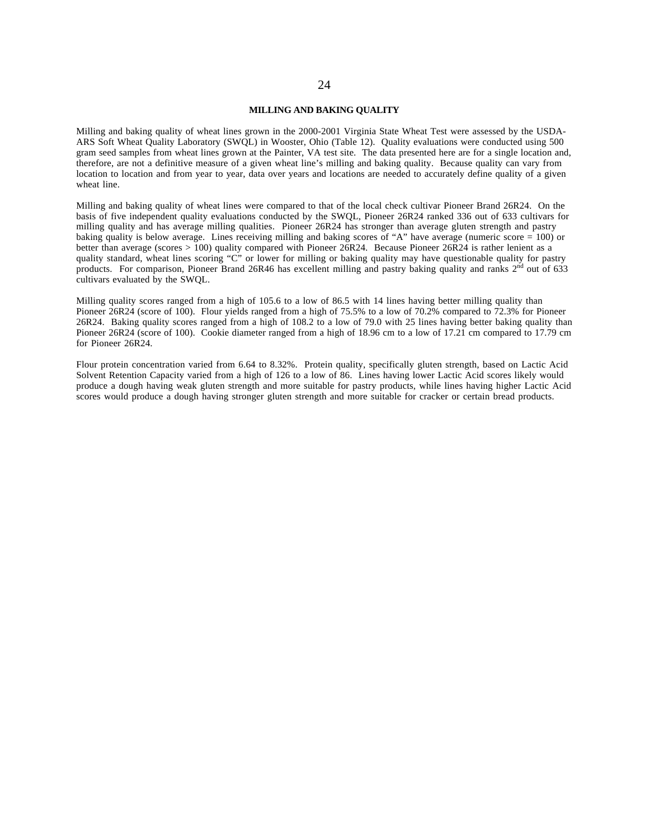#### **MILLING AND BAKING QUALITY**

Milling and baking quality of wheat lines grown in the 2000-2001 Virginia State Wheat Test were assessed by the USDA-ARS Soft Wheat Quality Laboratory (SWQL) in Wooster, Ohio (Table 12). Quality evaluations were conducted using 500 gram seed samples from wheat lines grown at the Painter, VA test site. The data presented here are for a single location and, therefore, are not a definitive measure of a given wheat line's milling and baking quality. Because quality can vary from location to location and from year to year, data over years and locations are needed to accurately define quality of a given wheat line.

Milling and baking quality of wheat lines were compared to that of the local check cultivar Pioneer Brand 26R24. On the basis of five independent quality evaluations conducted by the SWQL, Pioneer 26R24 ranked 336 out of 633 cultivars for milling quality and has average milling qualities. Pioneer 26R24 has stronger than average gluten strength and pastry baking quality is below average. Lines receiving milling and baking scores of "A" have average (numeric score = 100) or better than average (scores > 100) quality compared with Pioneer 26R24. Because Pioneer 26R24 is rather lenient as a quality standard, wheat lines scoring "C" or lower for milling or baking quality may have questionable quality for pastry products. For comparison, Pioneer Brand 26R46 has excellent milling and pastry baking quality and ranks 2<sup>nd</sup> out of 633 cultivars evaluated by the SWQL.

Milling quality scores ranged from a high of 105.6 to a low of 86.5 with 14 lines having better milling quality than Pioneer 26R24 (score of 100). Flour yields ranged from a high of 75.5% to a low of 70.2% compared to 72.3% for Pioneer 26R24. Baking quality scores ranged from a high of 108.2 to a low of 79.0 with 25 lines having better baking quality than Pioneer 26R24 (score of 100). Cookie diameter ranged from a high of 18.96 cm to a low of 17.21 cm compared to 17.79 cm for Pioneer 26R24.

Flour protein concentration varied from 6.64 to 8.32%. Protein quality, specifically gluten strength, based on Lactic Acid Solvent Retention Capacity varied from a high of 126 to a low of 86. Lines having lower Lactic Acid scores likely would produce a dough having weak gluten strength and more suitable for pastry products, while lines having higher Lactic Acid scores would produce a dough having stronger gluten strength and more suitable for cracker or certain bread products.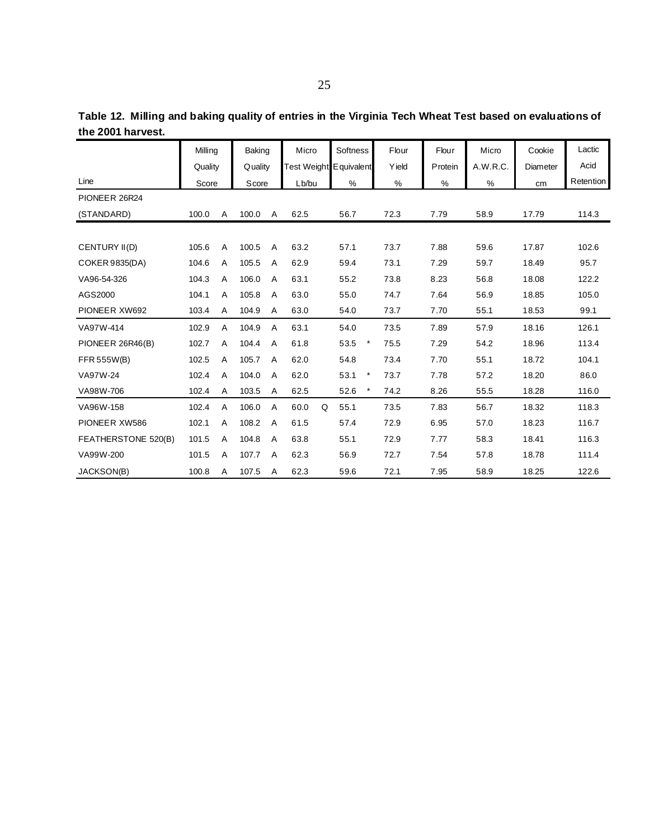|                       | Milling |   | <b>Baking</b> |   | Micro |   | Softness               | Flour | Flour           | Micro    | Cookie   | Lactic    |
|-----------------------|---------|---|---------------|---|-------|---|------------------------|-------|-----------------|----------|----------|-----------|
|                       | Quality |   | Quality       |   |       |   | Test Weight Equivalent | Yield | <b>P</b> rotein | A.W.R.C. | Diameter | Acid      |
| Line                  | Score   |   | Score         |   | Lb/bu |   | %                      | %     | %               | %        | cm       | Retention |
| PIONEER 26R24         |         |   |               |   |       |   |                        |       |                 |          |          |           |
| (STANDARD)            | 100.0   | Α | 100.0         | Α | 62.5  |   | 56.7                   | 72.3  | 7.79            | 58.9     | 17.79    | 114.3     |
|                       |         |   |               |   |       |   |                        |       |                 |          |          |           |
| CENTURY II(D)         | 105.6   | Α | 100.5         | A | 63.2  |   | 57.1                   | 73.7  | 7.88            | 59.6     | 17.87    | 102.6     |
| <b>COKER 9835(DA)</b> | 104.6   | Α | 105.5         | A | 62.9  |   | 59.4                   | 73.1  | 7.29            | 59.7     | 18.49    | 95.7      |
| VA96-54-326           | 104.3   | Α | 106.0         | A | 63.1  |   | 55.2                   | 73.8  | 8.23            | 56.8     | 18.08    | 122.2     |
| AGS2000               | 104.1   | A | 105.8         | A | 63.0  |   | 55.0                   | 74.7  | 7.64            | 56.9     | 18.85    | 105.0     |
| PIONEER XW692         | 103.4   | A | 104.9         | Α | 63.0  |   | 54.0                   | 73.7  | 7.70            | 55.1     | 18.53    | 99.1      |
| VA97W-414             | 102.9   | A | 104.9         | A | 63.1  |   | 54.0                   | 73.5  | 7.89            | 57.9     | 18.16    | 126.1     |
| PIONEER 26R46(B)      | 102.7   | A | 104.4         | A | 61.8  |   | 53.5                   | 75.5  | 7.29            | 54.2     | 18.96    | 113.4     |
| FFR 555W(B)           | 102.5   | A | 105.7         | A | 62.0  |   | 54.8                   | 73.4  | 7.70            | 55.1     | 18.72    | 104.1     |
| VA97W-24              | 102.4   | A | 104.0         | A | 62.0  |   | 53.1<br>$\star$        | 73.7  | 7.78            | 57.2     | 18.20    | 86.0      |
| VA98W-706             | 102.4   | A | 103.5         | A | 62.5  |   | 52.6                   | 74.2  | 8.26            | 55.5     | 18.28    | 116.0     |
| VA96W-158             | 102.4   | A | 106.0         | Α | 60.0  | Q | 55.1                   | 73.5  | 7.83            | 56.7     | 18.32    | 118.3     |
| PIONEER XW586         | 102.1   | A | 108.2         | A | 61.5  |   | 57.4                   | 72.9  | 6.95            | 57.0     | 18.23    | 116.7     |
| FEATHERSTONE 520(B)   | 101.5   | Α | 104.8         | A | 63.8  |   | 55.1                   | 72.9  | 7.77            | 58.3     | 18.41    | 116.3     |
| VA99W-200             | 101.5   | Α | 107.7         | A | 62.3  |   | 56.9                   | 72.7  | 7.54            | 57.8     | 18.78    | 111.4     |
| JACKSON(B)            | 100.8   | Α | 107.5         | A | 62.3  |   | 59.6                   | 72.1  | 7.95            | 58.9     | 18.25    | 122.6     |

**Table 12. Milling and baking quality of entries in the Virginia Tech Wheat Test based on evaluations of the 2001 harvest.**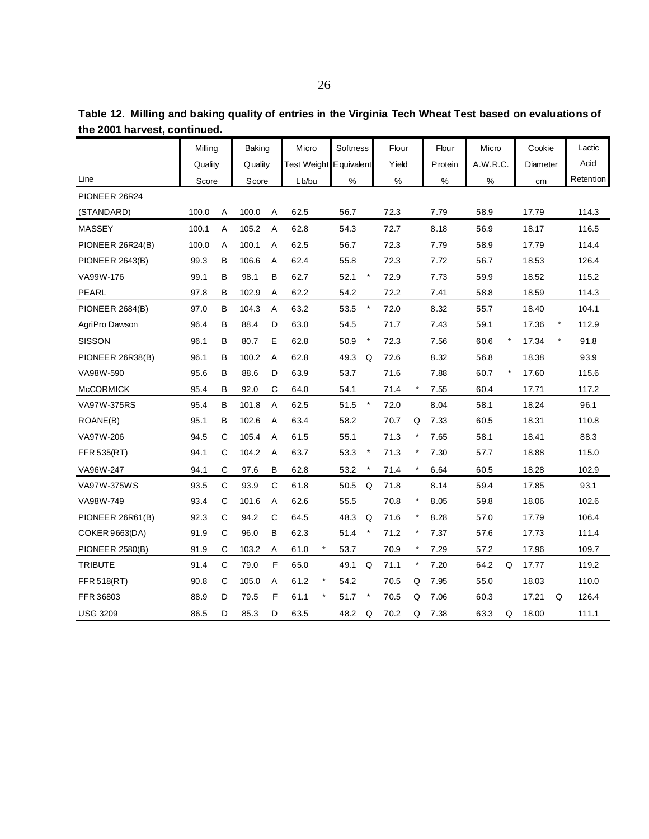|                        | Milling |             | Baking  |             | Micro                  |          | Softness |          | Flour |          | Flour   | Micro    |         | Cookie   |          | Lactic    |
|------------------------|---------|-------------|---------|-------------|------------------------|----------|----------|----------|-------|----------|---------|----------|---------|----------|----------|-----------|
|                        | Quality |             | Quality |             | Test Weight Equivalent |          |          |          | Yield |          | Protein | A.W.R.C. |         | Diameter |          | Acid      |
| Line                   | Score   |             | Score   |             | Lb/bu                  |          | $\%$     |          | $\%$  |          | $\%$    | $\%$     |         | cm       |          | Retention |
| PIONEER 26R24          |         |             |         |             |                        |          |          |          |       |          |         |          |         |          |          |           |
| (STANDARD)             | 100.0   | Α           | 100.0   | Α           | 62.5                   |          | 56.7     |          | 72.3  |          | 7.79    | 58.9     |         | 17.79    |          | 114.3     |
| MASSEY                 | 100.1   | Α           | 105.2   | Α           | 62.8                   |          | 54.3     |          | 72.7  |          | 8.18    | 56.9     |         | 18.17    |          | 116.5     |
| PIONEER 26R24(B)       | 100.0   | Α           | 100.1   | Α           | 62.5                   |          | 56.7     |          | 72.3  |          | 7.79    | 58.9     |         | 17.79    |          | 114.4     |
| PIONEER 2643(B)        | 99.3    | в           | 106.6   | Α           | 62.4                   |          | 55.8     |          | 72.3  |          | 7.72    | 56.7     |         | 18.53    |          | 126.4     |
| VA99W-176              | 99.1    | В           | 98.1    | В           | 62.7                   |          | 52.1     | $\star$  | 72.9  |          | 7.73    | 59.9     |         | 18.52    |          | 115.2     |
| PEARL                  | 97.8    | в           | 102.9   | Α           | 62.2                   |          | 54.2     |          | 72.2  |          | 7.41    | 58.8     |         | 18.59    |          | 114.3     |
| <b>PIONEER 2684(B)</b> | 97.0    | в           | 104.3   | Α           | 63.2                   |          | 53.5     | $\star$  | 72.0  |          | 8.32    | 55.7     |         | 18.40    |          | 104.1     |
| AgriPro Dawson         | 96.4    | в           | 88.4    | D           | 63.0                   |          | 54.5     |          | 71.7  |          | 7.43    | 59.1     |         | 17.36    | $^\star$ | 112.9     |
| <b>SISSON</b>          | 96.1    | B           | 80.7    | E           | 62.8                   |          | 50.9     | $\star$  | 72.3  |          | 7.56    | 60.6     | $\star$ | 17.34    | $^\star$ | 91.8      |
| PIONEER 26R38(B)       | 96.1    | в           | 100.2   | A           | 62.8                   |          | 49.3     | Q        | 72.6  |          | 8.32    | 56.8     |         | 18.38    |          | 93.9      |
| VA98W-590              | 95.6    | в           | 88.6    | D           | 63.9                   |          | 53.7     |          | 71.6  |          | 7.88    | 60.7     | $\star$ | 17.60    |          | 115.6     |
| <b>McCORMICK</b>       | 95.4    | в           | 92.0    | С           | 64.0                   |          | 54.1     |          | 71.4  | $^\star$ | 7.55    | 60.4     |         | 17.71    |          | 117.2     |
| <b>VA97W-375RS</b>     | 95.4    | В           | 101.8   | Α           | 62.5                   |          | 51.5     | $\star$  | 72.0  |          | 8.04    | 58.1     |         | 18.24    |          | 96.1      |
| ROANE(B)               | 95.1    | В           | 102.6   | Α           | 63.4                   |          | 58.2     |          | 70.7  | Q        | 7.33    | 60.5     |         | 18.31    |          | 110.8     |
| VA97W-206              | 94.5    | С           | 105.4   | Α           | 61.5                   |          | 55.1     |          | 71.3  | $\ast$   | 7.65    | 58.1     |         | 18.41    |          | 88.3      |
| FFR 535(RT)            | 94.1    | $\mathsf C$ | 104.2   | Α           | 63.7                   |          | 53.3     | $^\star$ | 71.3  |          | 7.30    | 57.7     |         | 18.88    |          | 115.0     |
| VA96W-247              | 94.1    | C           | 97.6    | B           | 62.8                   |          | 53.2     | $^\star$ | 71.4  | $\star$  | 6.64    | 60.5     |         | 18.28    |          | 102.9     |
| VA97W-375WS            | 93.5    | $\mathbf C$ | 93.9    | $\mathbf C$ | 61.8                   |          | 50.5     | Q        | 71.8  |          | 8.14    | 59.4     |         | 17.85    |          | 93.1      |
| VA98W-749              | 93.4    | С           | 101.6   | Α           | 62.6                   |          | 55.5     |          | 70.8  | $\ast$   | 8.05    | 59.8     |         | 18.06    |          | 102.6     |
| PIONEER 26R61(B)       | 92.3    | C           | 94.2    | С           | 64.5                   |          | 48.3     | Q        | 71.6  |          | 8.28    | 57.0     |         | 17.79    |          | 106.4     |
| <b>COKER 9663(DA)</b>  | 91.9    | C           | 96.0    | B           | 62.3                   |          | 51.4     | $\star$  | 71.2  | $\star$  | 7.37    | 57.6     |         | 17.73    |          | 111.4     |
| <b>PIONEER 2580(B)</b> | 91.9    | С           | 103.2   | Α           | 61.0                   | $^\star$ | 53.7     |          | 70.9  | $^\star$ | 7.29    | 57.2     |         | 17.96    |          | 109.7     |
| <b>TRIBUTE</b>         | 91.4    | $\mathbf C$ | 79.0    | F           | 65.0                   |          | 49.1     | Q        | 71.1  | $^\star$ | 7.20    | 64.2     | Q       | 17.77    |          | 119.2     |
| FFR 518(RT)            | 90.8    | C           | 105.0   | Α           | 61.2                   | $^\star$ | 54.2     |          | 70.5  | Q        | 7.95    | 55.0     |         | 18.03    |          | 110.0     |
| FFR 36803              | 88.9    | D           | 79.5    | F           | 61.1                   | $\star$  | 51.7     | $\star$  | 70.5  | Q        | 7.06    | 60.3     |         | 17.21    | Q        | 126.4     |
| <b>USG 3209</b>        | 86.5    | D           | 85.3    | D           | 63.5                   |          | 48.2     | Q        | 70.2  | Q        | 7.38    | 63.3     | Q       | 18.00    |          | 111.1     |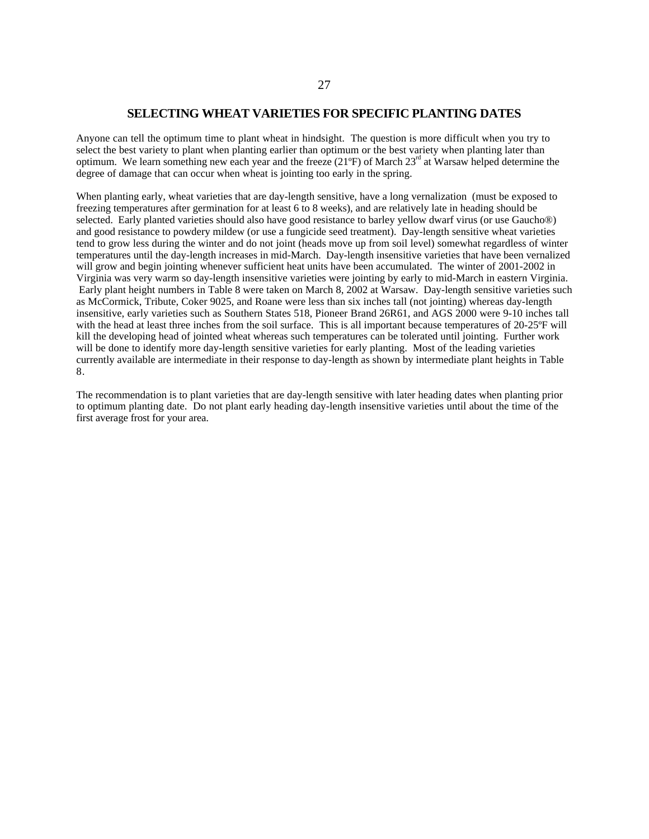## **SELECTING WHEAT VARIETIES FOR SPECIFIC PLANTING DATES**

Anyone can tell the optimum time to plant wheat in hindsight. The question is more difficult when you try to select the best variety to plant when planting earlier than optimum or the best variety when planting later than optimum. We learn something new each year and the freeze  $(21^{\circ}F)$  of March  $23^{\text{rd}}$  at Warsaw helped determine the degree of damage that can occur when wheat is jointing too early in the spring.

When planting early, wheat varieties that are day-length sensitive, have a long vernalization (must be exposed to freezing temperatures after germination for at least 6 to 8 weeks), and are relatively late in heading should be selected. Early planted varieties should also have good resistance to barley yellow dwarf virus (or use Gaucho®) and good resistance to powdery mildew (or use a fungicide seed treatment). Day-length sensitive wheat varieties tend to grow less during the winter and do not joint (heads move up from soil level) somewhat regardless of winter temperatures until the day-length increases in mid-March. Day-length insensitive varieties that have been vernalized will grow and begin jointing whenever sufficient heat units have been accumulated. The winter of 2001-2002 in Virginia was very warm so day-length insensitive varieties were jointing by early to mid-March in eastern Virginia. Early plant height numbers in Table 8 were taken on March 8, 2002 at Warsaw. Day-length sensitive varieties such as McCormick, Tribute, Coker 9025, and Roane were less than six inches tall (not jointing) whereas day-length insensitive, early varieties such as Southern States 518, Pioneer Brand 26R61, and AGS 2000 were 9-10 inches tall with the head at least three inches from the soil surface. This is all important because temperatures of 20-25°F will kill the developing head of jointed wheat whereas such temperatures can be tolerated until jointing. Further work will be done to identify more day-length sensitive varieties for early planting. Most of the leading varieties currently available are intermediate in their response to day-length as shown by intermediate plant heights in Table 8.

The recommendation is to plant varieties that are day-length sensitive with later heading dates when planting prior to optimum planting date. Do not plant early heading day-length insensitive varieties until about the time of the first average frost for your area.